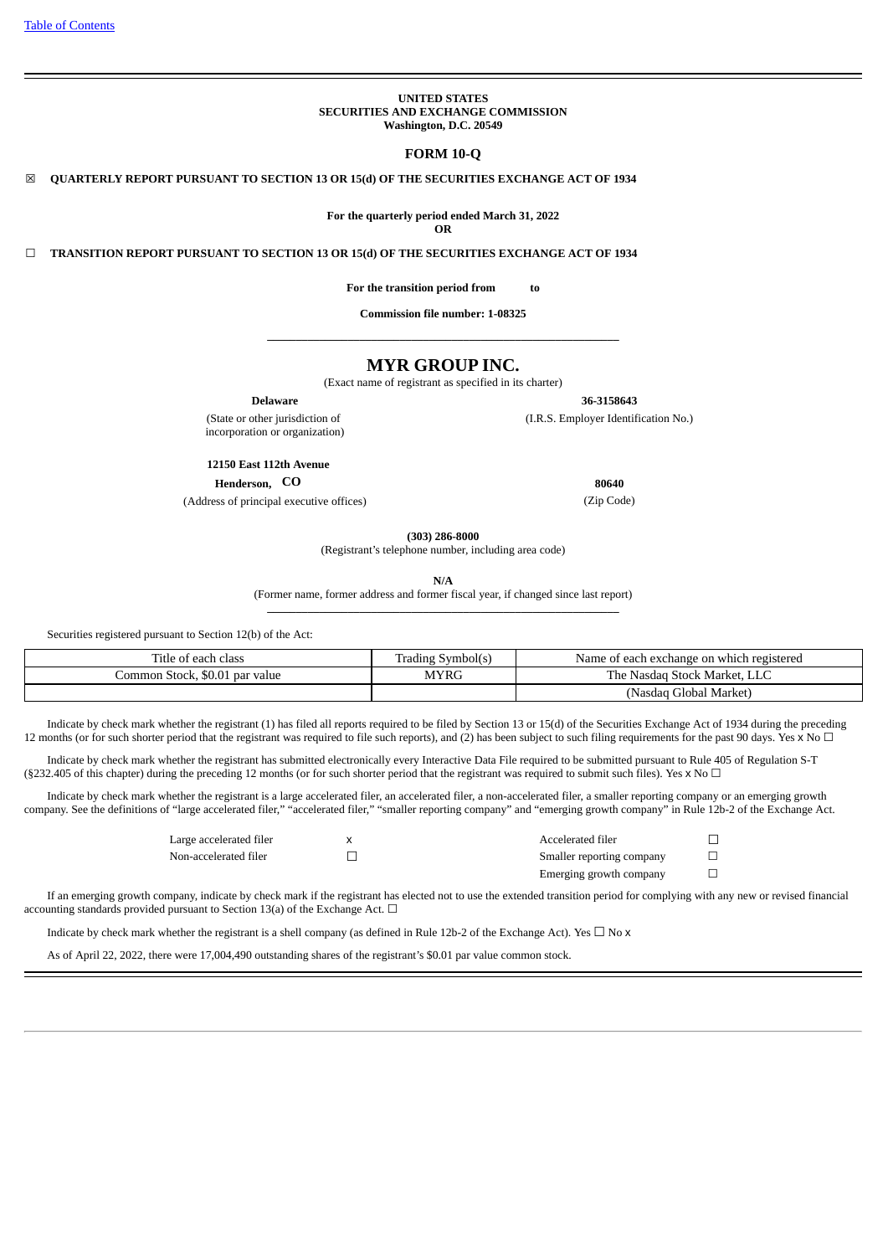#### **UNITED STATES SECURITIES AND EXCHANGE COMMISSION Washington, D.C. 20549**

### **FORM 10-Q**

☒ **QUARTERLY REPORT PURSUANT TO SECTION 13 OR 15(d) OF THE SECURITIES EXCHANGE ACT OF 1934**

**For the quarterly period ended March 31, 2022 OR**

☐ **TRANSITION REPORT PURSUANT TO SECTION 13 OR 15(d) OF THE SECURITIES EXCHANGE ACT OF 1934**

**For the transition period from to**

**Commission file number: 1-08325 \_\_\_\_\_\_\_\_\_\_\_\_\_\_\_\_\_\_\_\_\_\_\_\_\_\_\_\_\_\_\_\_\_\_\_\_\_\_\_\_\_\_\_\_\_\_\_\_\_\_\_\_\_\_\_\_\_\_\_\_\_**

# **MYR GROUP INC.**

(Exact name of registrant as specified in its charter)

**Delaware 36-3158643**

**12150 East 112th Avenue**

(State or other jurisdiction of incorporation or organization) (I.R.S. Employer Identification No.)

**Henderson, CO 80640**

(Address of principal executive offices) (Zip Code)

**(303) 286-8000**

(Registrant's telephone number, including area code)

**N/A**

(Former name, former address and former fiscal year, if changed since last report) **\_\_\_\_\_\_\_\_\_\_\_\_\_\_\_\_\_\_\_\_\_\_\_\_\_\_\_\_\_\_\_\_\_\_\_\_\_\_\_\_\_\_\_\_\_\_\_\_\_\_\_\_\_\_\_\_\_\_\_\_\_**

Securities registered pursuant to Section 12(b) of the Act:

| Title of each class            | Name of each exchange on which registered<br>[ˈrading Svmbol(s] |                              |  |  |  |  |  |
|--------------------------------|-----------------------------------------------------------------|------------------------------|--|--|--|--|--|
| Common Stock, \$0.01 par value | MYRG                                                            | The Nasdag Stock Market, LLC |  |  |  |  |  |
|                                |                                                                 | (Nasdaq Global Market)       |  |  |  |  |  |

Indicate by check mark whether the registrant (1) has filed all reports required to be filed by Section 13 or 15(d) of the Securities Exchange Act of 1934 during the preceding 12 months (or for such shorter period that the registrant was required to file such reports), and (2) has been subject to such filing requirements for the past 90 days. Yes x No  $\Box$ 

Indicate by check mark whether the registrant has submitted electronically every Interactive Data File required to be submitted pursuant to Rule 405 of Regulation S-T (§232.405 of this chapter) during the preceding 12 months (or for such shorter period that the registrant was required to submit such files). Yes x No □

Indicate by check mark whether the registrant is a large accelerated filer, an accelerated filer, a non-accelerated filer, a smaller reporting company or an emerging growth company. See the definitions of "large accelerated filer," "accelerated filer," "smaller reporting company" and "emerging growth company" in Rule 12b-2 of the Exchange Act.

| Large accelerated filer | Accelerated filer         |  |
|-------------------------|---------------------------|--|
| Non-accelerated filer   | Smaller reporting company |  |
|                         | Emerging growth company   |  |

If an emerging growth company, indicate by check mark if the registrant has elected not to use the extended transition period for complying with any new or revised financial accounting standards provided pursuant to Section 13(a) of the Exchange Act.  $\Box$ 

Indicate by check mark whether the registrant is a shell company (as defined in Rule 12b-2 of the Exchange Act). Yes  $\Box$  No x

<span id="page-0-0"></span>As of April 22, 2022, there were 17,004,490 outstanding shares of the registrant's \$0.01 par value common stock.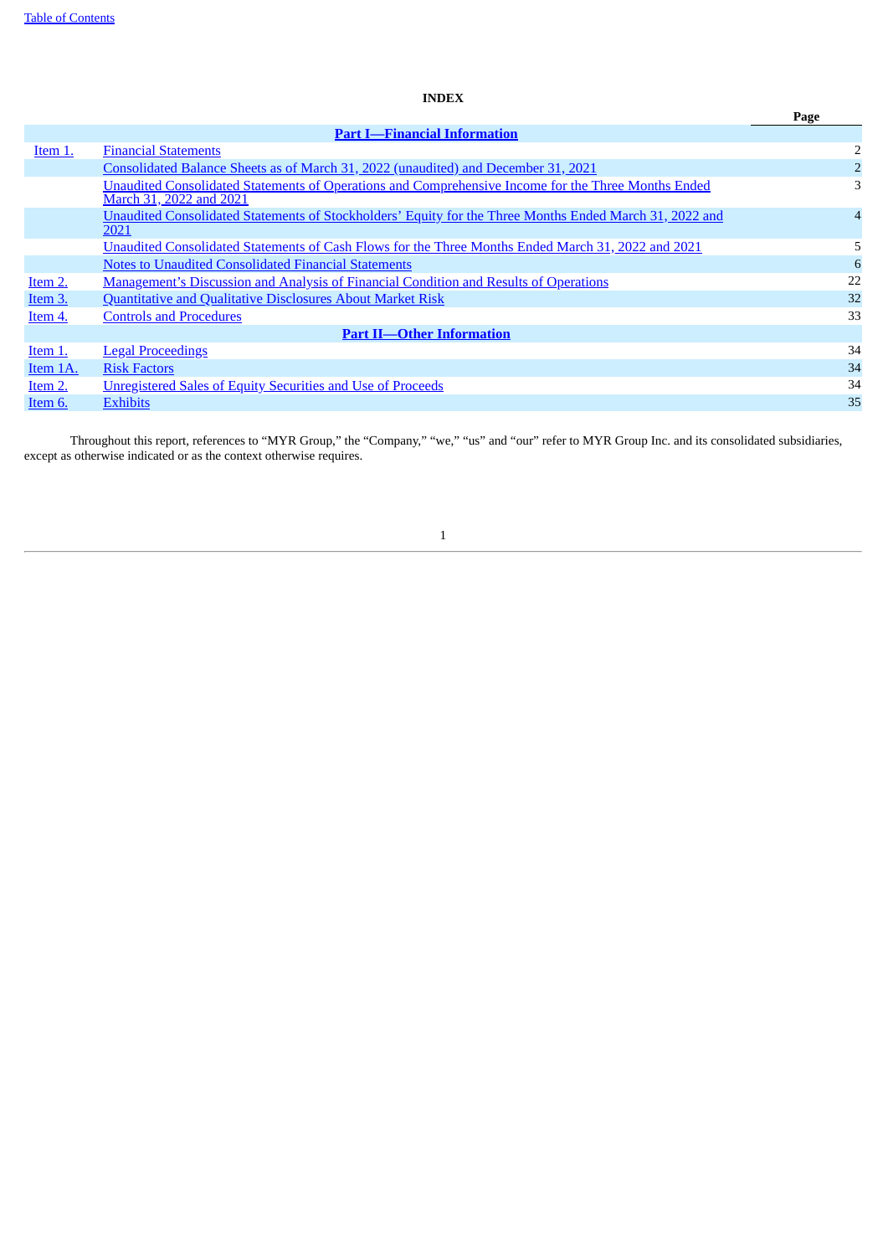# **INDEX**

|                |                                                                                                                                | Page           |
|----------------|--------------------------------------------------------------------------------------------------------------------------------|----------------|
|                | <b>Part I-Financial Information</b>                                                                                            |                |
| Item 1.        | <b>Financial Statements</b>                                                                                                    | 2              |
|                | Consolidated Balance Sheets as of March 31, 2022 (unaudited) and December 31, 2021                                             |                |
|                | Unaudited Consolidated Statements of Operations and Comprehensive Income for the Three Months Ended<br>March 31, 2022 and 2021 | 3              |
|                | Unaudited Consolidated Statements of Stockholders' Equity for the Three Months Ended March 31, 2022 and<br>2021                | $\overline{4}$ |
|                | Unaudited Consolidated Statements of Cash Flows for the Three Months Ended March 31, 2022 and 2021                             | 5              |
|                | <b>Notes to Unaudited Consolidated Financial Statements</b>                                                                    | 6              |
| <u>Item 2.</u> | <u>Management's Discussion and Analysis of Financial Condition and Results of Operations</u>                                   | 22             |
| Item 3.        | Quantitative and Qualitative Disclosures About Market Risk                                                                     | 32             |
| Item 4.        | <b>Controls and Procedures</b>                                                                                                 | 33             |
|                | <b>Part II-Other Information</b>                                                                                               |                |
| Item 1.        | <b>Legal Proceedings</b>                                                                                                       | 34             |
| Item 1A.       | <b>Risk Factors</b>                                                                                                            | 34             |
| Item 2.        | <b>Unregistered Sales of Equity Securities and Use of Proceeds</b>                                                             | 34             |
| Item 6.        | <b>Exhibits</b>                                                                                                                | 35             |

<span id="page-1-0"></span>Throughout this report, references to "MYR Group," the "Company," "we," "us" and "our" refer to MYR Group Inc. and its consolidated subsidiaries, except as otherwise indicated or as the context otherwise requires.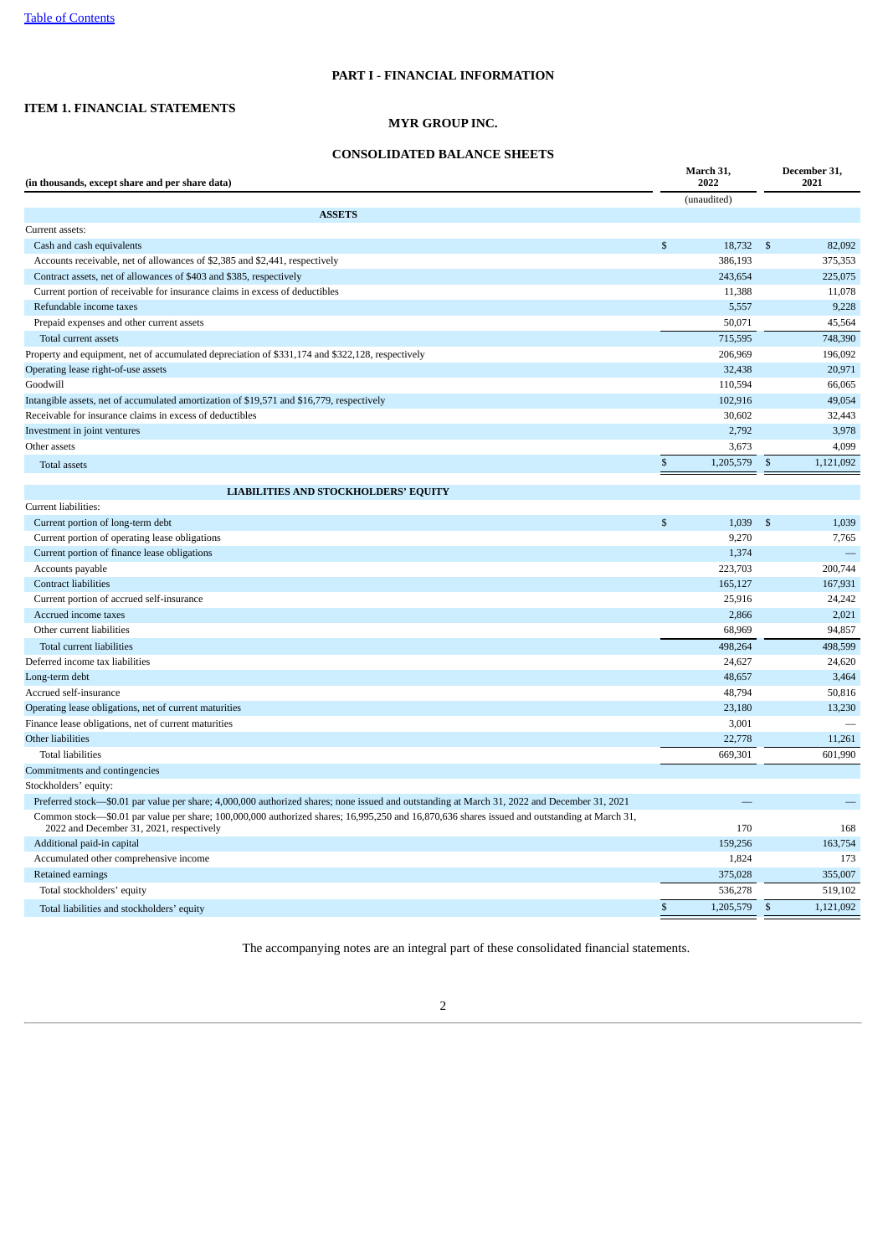# **PART I - FINANCIAL INFORMATION**

# <span id="page-2-1"></span><span id="page-2-0"></span>**ITEM 1. FINANCIAL STATEMENTS**

# **MYR GROUP INC.**

# **CONSOLIDATED BALANCE SHEETS**

| (in thousands, except share and per share data)                                                                                                                                          |               | March 31,<br>2022 |                | December 31,<br>2021 |
|------------------------------------------------------------------------------------------------------------------------------------------------------------------------------------------|---------------|-------------------|----------------|----------------------|
|                                                                                                                                                                                          |               | (unaudited)       |                |                      |
| <b>ASSETS</b>                                                                                                                                                                            |               |                   |                |                      |
| Current assets:                                                                                                                                                                          |               |                   |                |                      |
| Cash and cash equivalents                                                                                                                                                                | \$            | 18,732            | \$             | 82,092               |
| Accounts receivable, net of allowances of \$2,385 and \$2,441, respectively                                                                                                              |               | 386,193           |                | 375,353              |
| Contract assets, net of allowances of \$403 and \$385, respectively                                                                                                                      |               | 243,654           |                | 225,075              |
| Current portion of receivable for insurance claims in excess of deductibles                                                                                                              |               | 11,388            |                | 11,078               |
| Refundable income taxes                                                                                                                                                                  |               | 5,557             |                | 9,228                |
| Prepaid expenses and other current assets                                                                                                                                                |               | 50,071            |                | 45,564               |
| Total current assets                                                                                                                                                                     |               | 715,595           |                | 748,390              |
| Property and equipment, net of accumulated depreciation of \$331,174 and \$322,128, respectively                                                                                         |               | 206,969           |                | 196,092              |
| Operating lease right-of-use assets                                                                                                                                                      |               | 32,438            |                | 20,971               |
| Goodwill                                                                                                                                                                                 |               | 110,594           |                | 66,065               |
| Intangible assets, net of accumulated amortization of \$19,571 and \$16,779, respectively                                                                                                |               | 102,916           |                | 49,054               |
| Receivable for insurance claims in excess of deductibles                                                                                                                                 |               | 30,602            |                | 32,443               |
| Investment in joint ventures                                                                                                                                                             |               | 2,792             |                | 3,978                |
| Other assets                                                                                                                                                                             |               | 3,673             |                | 4,099                |
| <b>Total assets</b>                                                                                                                                                                      | \$            | 1,205,579         | $\mathfrak{s}$ | 1,121,092            |
| <b>LIABILITIES AND STOCKHOLDERS' EQUITY</b>                                                                                                                                              |               |                   |                |                      |
| Current liabilities:                                                                                                                                                                     |               |                   |                |                      |
| Current portion of long-term debt                                                                                                                                                        | \$            | 1,039             | $\mathfrak{s}$ | 1,039                |
| Current portion of operating lease obligations                                                                                                                                           |               | 9,270             |                | 7,765                |
| Current portion of finance lease obligations                                                                                                                                             |               | 1,374             |                |                      |
| Accounts payable                                                                                                                                                                         |               | 223,703           |                | 200,744              |
| <b>Contract liabilities</b>                                                                                                                                                              |               | 165,127           |                | 167,931              |
| Current portion of accrued self-insurance                                                                                                                                                |               | 25,916            |                | 24,242               |
| Accrued income taxes                                                                                                                                                                     |               | 2,866             |                | 2,021                |
| Other current liabilities                                                                                                                                                                |               | 68,969            |                | 94,857               |
| <b>Total current liabilities</b>                                                                                                                                                         |               | 498,264           |                | 498,599              |
| Deferred income tax liabilities                                                                                                                                                          |               | 24,627            |                | 24,620               |
| Long-term debt                                                                                                                                                                           |               | 48,657            |                | 3,464                |
| Accrued self-insurance                                                                                                                                                                   |               | 48,794            |                | 50,816               |
| Operating lease obligations, net of current maturities                                                                                                                                   |               | 23,180            |                | 13,230               |
| Finance lease obligations, net of current maturities                                                                                                                                     |               | 3,001             |                |                      |
| Other liabilities                                                                                                                                                                        |               | 22,778            |                | 11,261               |
| <b>Total liabilities</b>                                                                                                                                                                 |               | 669,301           |                | 601,990              |
| Commitments and contingencies                                                                                                                                                            |               |                   |                |                      |
| Stockholders' equity:                                                                                                                                                                    |               |                   |                |                      |
| Preferred stock—\$0.01 par value per share; 4,000,000 authorized shares; none issued and outstanding at March 31, 2022 and December 31, 2021                                             |               |                   |                |                      |
| Common stock—\$0.01 par value per share; 100,000,000 authorized shares; 16,995,250 and 16,870,636 shares issued and outstanding at March 31,<br>2022 and December 31, 2021, respectively |               | 170               |                | 168                  |
| Additional paid-in capital                                                                                                                                                               |               | 159,256           |                | 163,754              |
| Accumulated other comprehensive income                                                                                                                                                   |               | 1,824             |                | 173                  |
| Retained earnings                                                                                                                                                                        |               | 375,028           |                | 355,007              |
| Total stockholders' equity                                                                                                                                                               |               | 536,278           |                | 519,102              |
| Total liabilities and stockholders' equity                                                                                                                                               | $\mathsf{\$}$ | 1,205,579         | $\mathfrak{s}$ | 1,121,092            |

<span id="page-2-2"></span>The accompanying notes are an integral part of these consolidated financial statements.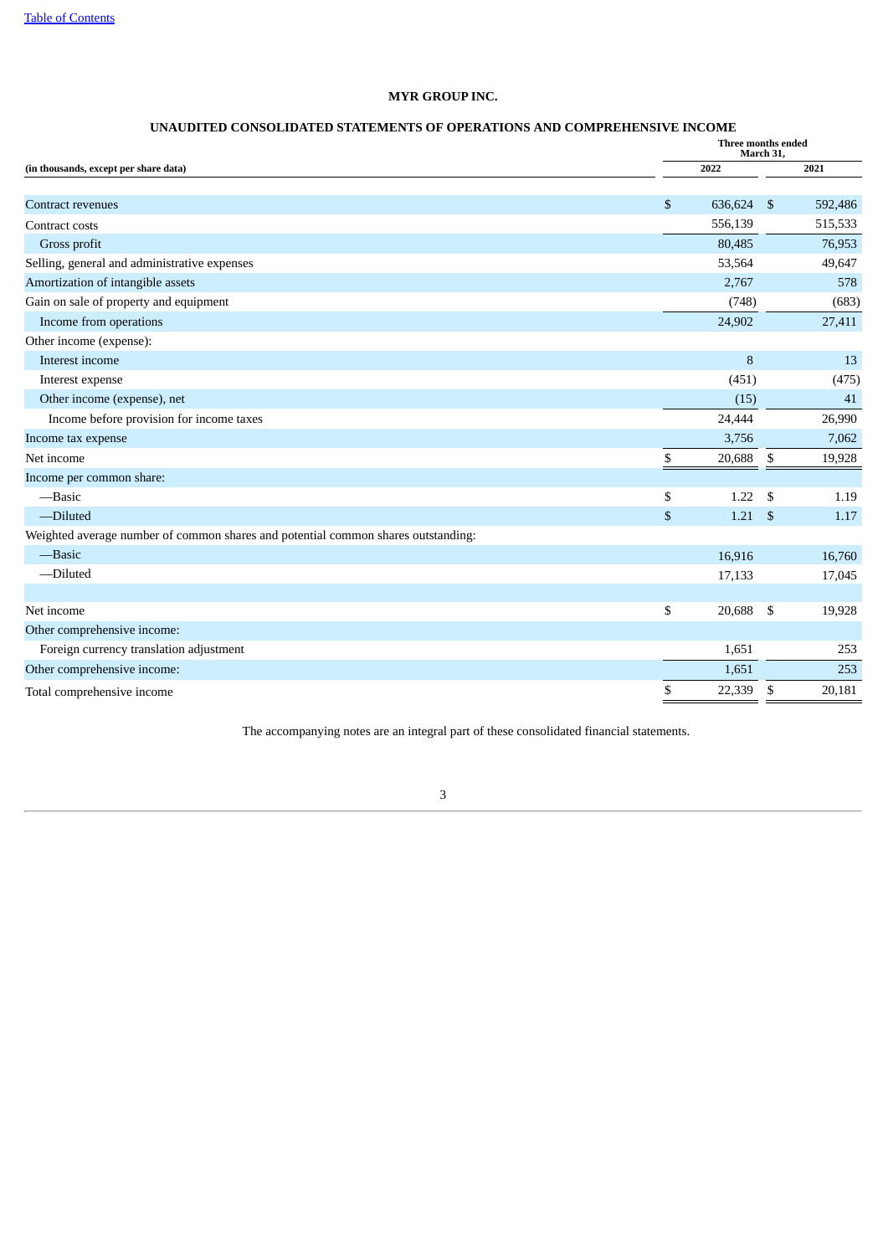# **UNAUDITED CONSOLIDATED STATEMENTS OF OPERATIONS AND COMPREHENSIVE INCOME**

|                                                                                   |    |         | Three months ended<br>March 31. |         |  |  |
|-----------------------------------------------------------------------------------|----|---------|---------------------------------|---------|--|--|
| (in thousands, except per share data)                                             |    | 2022    |                                 | 2021    |  |  |
| Contract revenues                                                                 | \$ | 636,624 | - \$                            | 592,486 |  |  |
| Contract costs                                                                    |    | 556,139 |                                 | 515,533 |  |  |
| Gross profit                                                                      |    | 80,485  |                                 | 76,953  |  |  |
| Selling, general and administrative expenses                                      |    | 53,564  |                                 | 49,647  |  |  |
| Amortization of intangible assets                                                 |    | 2,767   |                                 | 578     |  |  |
| Gain on sale of property and equipment                                            |    | (748)   |                                 | (683)   |  |  |
| Income from operations                                                            |    | 24,902  |                                 | 27,411  |  |  |
| Other income (expense):                                                           |    |         |                                 |         |  |  |
| Interest income                                                                   |    | 8       |                                 | 13      |  |  |
| Interest expense                                                                  |    | (451)   |                                 | (475)   |  |  |
| Other income (expense), net                                                       |    | (15)    |                                 | 41      |  |  |
| Income before provision for income taxes                                          |    | 24,444  |                                 | 26,990  |  |  |
| Income tax expense                                                                |    | 3,756   |                                 | 7,062   |  |  |
| Net income                                                                        | \$ | 20,688  | \$                              | 19,928  |  |  |
| Income per common share:                                                          |    |         |                                 |         |  |  |
| -Basic                                                                            | \$ | 1.22    | -\$                             | 1.19    |  |  |
| -Diluted                                                                          | \$ | 1.21    | -\$                             | 1.17    |  |  |
| Weighted average number of common shares and potential common shares outstanding: |    |         |                                 |         |  |  |
| -Basic                                                                            |    | 16,916  |                                 | 16,760  |  |  |
| -Diluted                                                                          |    | 17,133  |                                 | 17,045  |  |  |
| Net income                                                                        | \$ | 20,688  | -\$                             | 19,928  |  |  |
| Other comprehensive income:                                                       |    |         |                                 |         |  |  |
| Foreign currency translation adjustment                                           |    | 1,651   |                                 | 253     |  |  |
| Other comprehensive income:                                                       |    | 1,651   |                                 | 253     |  |  |
| Total comprehensive income                                                        | \$ | 22,339  | \$                              | 20,181  |  |  |

<span id="page-3-0"></span>The accompanying notes are an integral part of these consolidated financial statements.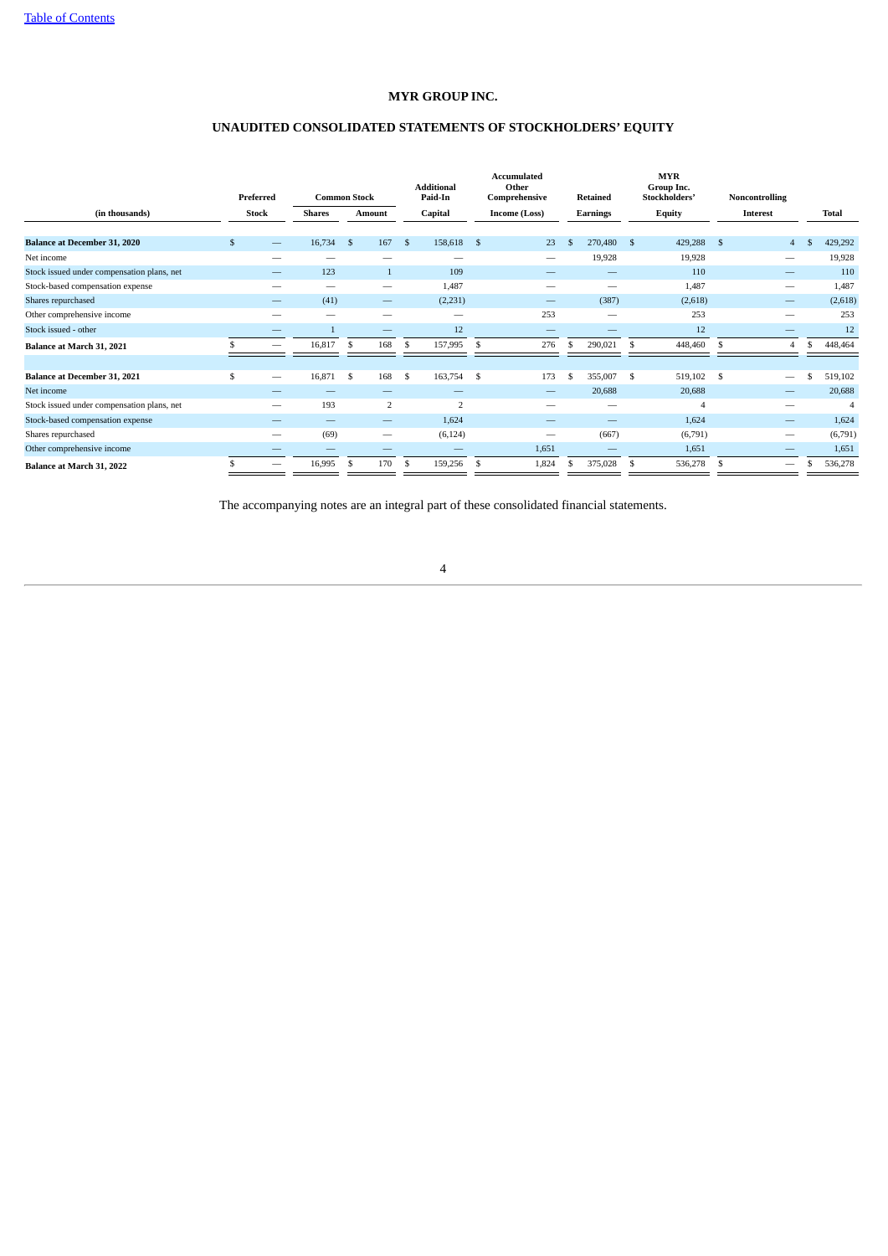# **UNAUDITED CONSOLIDATED STATEMENTS OF STOCKHOLDERS' EQUITY**

|                                            |              | Preferred                       |               | <b>Common Stock</b>             |              | <b>Additional</b><br>Paid-In |      | Accumulated<br>Other<br>Comprehensive |               | <b>Retained</b> |      | <b>MYR</b><br>Group Inc.<br>Stockholders' |                 | Noncontrolling           |   |                |
|--------------------------------------------|--------------|---------------------------------|---------------|---------------------------------|--------------|------------------------------|------|---------------------------------------|---------------|-----------------|------|-------------------------------------------|-----------------|--------------------------|---|----------------|
| (in thousands)                             |              | Stock                           | <b>Shares</b> | Amount                          |              | Capital                      |      | <b>Income (Loss)</b>                  |               | <b>Earnings</b> |      | <b>Equity</b>                             | <b>Interest</b> |                          |   | <b>Total</b>   |
| <b>Balance at December 31, 2020</b>        | $\mathbf{s}$ | $\hspace{0.1mm}-\hspace{0.1mm}$ | 16,734        | 167<br>$\mathbb{S}$             | $\mathbf{s}$ | 158,618                      | -\$  | 23                                    | <sup>\$</sup> | 270,480         | - \$ | 429,288                                   | -S              | $\overline{a}$           |   | 429,292        |
| Net income                                 |              | -                               |               |                                 |              |                              |      |                                       |               | 19,928          |      | 19,928                                    |                 |                          |   | 19,928         |
| Stock issued under compensation plans, net |              |                                 | 123           | $\mathbf{1}$                    |              | 109                          |      |                                       |               |                 |      | 110                                       |                 | -                        |   | 110            |
| Stock-based compensation expense           |              | $\overline{\phantom{a}}$        |               | $\overbrace{\phantom{12332}}$   |              | 1,487                        |      | -                                     |               | -               |      | 1,487                                     |                 | $\overline{\phantom{a}}$ |   | 1,487          |
| Shares repurchased                         |              | $\hspace{0.1mm}-\hspace{0.1mm}$ | (41)          | $\hspace{0.1mm}-\hspace{0.1mm}$ |              | (2,231)                      |      | $\hspace{0.1mm}-\hspace{0.1mm}$       |               | (387)           |      | (2,618)                                   |                 | $\qquad \qquad$          |   | (2,618)        |
| Other comprehensive income                 |              | -                               | -             | $\overline{\phantom{a}}$        |              |                              |      | 253                                   |               |                 |      | 253                                       |                 | -                        |   | 253            |
| Stock issued - other                       |              | _                               |               |                                 |              | 12                           |      |                                       |               |                 |      | 12                                        |                 |                          |   | 12             |
| Balance at March 31, 2021                  |              |                                 | 16,817        | 168<br>S                        | \$           | 157,995                      | \$   | 276                                   | S             | 290,021         | S    | 448,460                                   | S               |                          | S | 448,464        |
|                                            |              |                                 |               |                                 |              |                              |      |                                       |               |                 |      |                                           |                 |                          |   |                |
| Balance at December 31, 2021               | \$           |                                 | 16,871        | 168<br>-S                       | \$           | 163,754                      | - \$ | 173                                   | -S            | 355,007         | - \$ | 519,102                                   | S               |                          |   | 519,102        |
| Net income                                 |              | $\overline{\phantom{a}}$        | _             | $\hspace{0.1mm}-\hspace{0.1mm}$ |              | $\overline{\phantom{a}}$     |      |                                       |               | 20,688          |      | 20,688                                    |                 |                          |   | 20,688         |
| Stock issued under compensation plans, net |              | $\overline{\phantom{a}}$        | 193           | $\overline{2}$                  |              | $\overline{2}$               |      | -                                     |               |                 |      | $\overline{4}$                            |                 |                          |   | $\overline{4}$ |
| Stock-based compensation expense           |              |                                 |               | $\hspace{0.1mm}-\hspace{0.1mm}$ |              | 1,624                        |      |                                       |               |                 |      | 1,624                                     |                 |                          |   | 1,624          |
| Shares repurchased                         |              |                                 | (69)          |                                 |              | (6, 124)                     |      |                                       |               | (667)           |      | (6,791)                                   |                 | -                        |   | (6,791)        |
| Other comprehensive income                 |              | -                               |               |                                 |              |                              |      | 1,651                                 |               |                 |      | 1,651                                     |                 |                          |   | 1,651          |
| Balance at March 31, 2022                  |              |                                 | 16,995        | 170<br>\$                       | \$           | 159,256                      | \$.  | 1,824                                 |               | 375,028         | S    | 536,278                                   |                 | -                        |   | 536,278        |

<span id="page-4-0"></span>The accompanying notes are an integral part of these consolidated financial statements.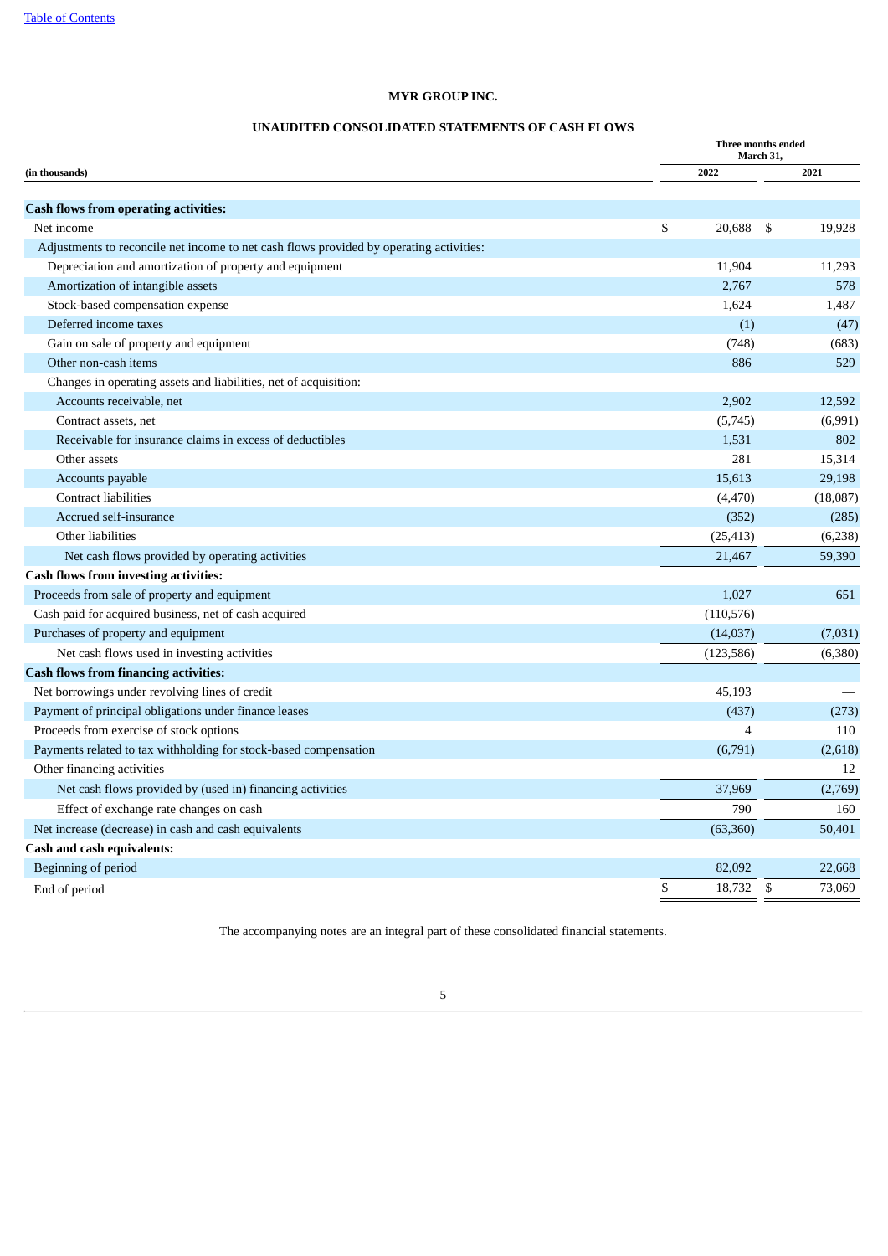# **UNAUDITED CONSOLIDATED STATEMENTS OF CASH FLOWS**

|                                                                                         | Three months ended<br>March 31, |              |          |  |  |
|-----------------------------------------------------------------------------------------|---------------------------------|--------------|----------|--|--|
| (in thousands)                                                                          | 2022                            |              | 2021     |  |  |
|                                                                                         |                                 |              |          |  |  |
| <b>Cash flows from operating activities:</b>                                            |                                 |              |          |  |  |
| Net income                                                                              | \$<br>20,688                    | \$           | 19,928   |  |  |
| Adjustments to reconcile net income to net cash flows provided by operating activities: |                                 |              |          |  |  |
| Depreciation and amortization of property and equipment                                 | 11,904                          |              | 11,293   |  |  |
| Amortization of intangible assets                                                       | 2,767                           |              | 578      |  |  |
| Stock-based compensation expense                                                        | 1,624                           |              | 1,487    |  |  |
| Deferred income taxes                                                                   | (1)                             |              | (47)     |  |  |
| Gain on sale of property and equipment                                                  | (748)                           |              | (683)    |  |  |
| Other non-cash items                                                                    | 886                             |              | 529      |  |  |
| Changes in operating assets and liabilities, net of acquisition:                        |                                 |              |          |  |  |
| Accounts receivable, net                                                                | 2,902                           |              | 12,592   |  |  |
| Contract assets, net                                                                    | (5,745)                         |              | (6,991)  |  |  |
| Receivable for insurance claims in excess of deductibles                                | 1,531                           |              | 802      |  |  |
| Other assets                                                                            | 281                             |              | 15,314   |  |  |
| Accounts payable                                                                        | 15,613                          |              | 29,198   |  |  |
| <b>Contract liabilities</b>                                                             | (4, 470)                        |              | (18,087) |  |  |
| Accrued self-insurance                                                                  | (352)                           |              | (285)    |  |  |
| Other liabilities                                                                       | (25, 413)                       |              | (6,238)  |  |  |
| Net cash flows provided by operating activities                                         | 21,467                          |              | 59,390   |  |  |
| <b>Cash flows from investing activities:</b>                                            |                                 |              |          |  |  |
| Proceeds from sale of property and equipment                                            | 1,027                           |              | 651      |  |  |
| Cash paid for acquired business, net of cash acquired                                   | (110, 576)                      |              |          |  |  |
| Purchases of property and equipment                                                     | (14,037)                        |              | (7,031)  |  |  |
| Net cash flows used in investing activities                                             | (123, 586)                      |              | (6,380)  |  |  |
| <b>Cash flows from financing activities:</b>                                            |                                 |              |          |  |  |
| Net borrowings under revolving lines of credit                                          | 45,193                          |              |          |  |  |
| Payment of principal obligations under finance leases                                   | (437)                           |              | (273)    |  |  |
| Proceeds from exercise of stock options                                                 | $\overline{4}$                  |              | 110      |  |  |
| Payments related to tax withholding for stock-based compensation                        | (6,791)                         |              | (2,618)  |  |  |
| Other financing activities                                                              |                                 |              | 12       |  |  |
| Net cash flows provided by (used in) financing activities                               | 37,969                          |              | (2,769)  |  |  |
| Effect of exchange rate changes on cash                                                 | 790                             |              | 160      |  |  |
| Net increase (decrease) in cash and cash equivalents                                    | (63,360)                        |              | 50,401   |  |  |
| <b>Cash and cash equivalents:</b>                                                       |                                 |              |          |  |  |
| Beginning of period                                                                     | 82,092                          |              | 22,668   |  |  |
| End of period                                                                           | \$<br>18.732                    | $\mathbf{s}$ | 73,069   |  |  |

<span id="page-5-0"></span>The accompanying notes are an integral part of these consolidated financial statements.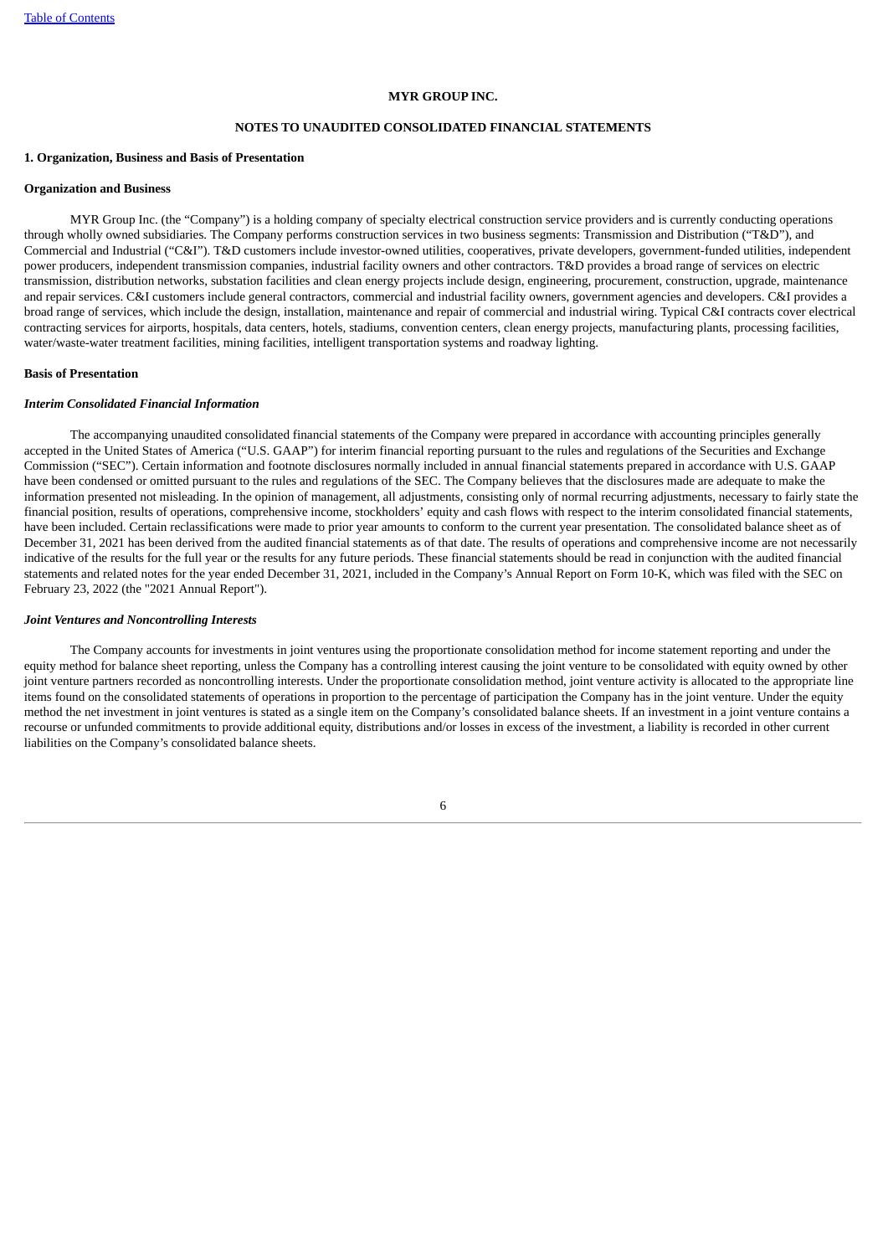### **NOTES TO UNAUDITED CONSOLIDATED FINANCIAL STATEMENTS**

### **1. Organization, Business and Basis of Presentation**

### **Organization and Business**

MYR Group Inc. (the "Company") is a holding company of specialty electrical construction service providers and is currently conducting operations through wholly owned subsidiaries. The Company performs construction services in two business segments: Transmission and Distribution ("T&D"), and Commercial and Industrial ("C&I"). T&D customers include investor-owned utilities, cooperatives, private developers, government-funded utilities, independent power producers, independent transmission companies, industrial facility owners and other contractors. T&D provides a broad range of services on electric transmission, distribution networks, substation facilities and clean energy projects include design, engineering, procurement, construction, upgrade, maintenance and repair services. C&I customers include general contractors, commercial and industrial facility owners, government agencies and developers. C&I provides a broad range of services, which include the design, installation, maintenance and repair of commercial and industrial wiring. Typical C&I contracts cover electrical contracting services for airports, hospitals, data centers, hotels, stadiums, convention centers, clean energy projects, manufacturing plants, processing facilities, water/waste-water treatment facilities, mining facilities, intelligent transportation systems and roadway lighting.

### **Basis of Presentation**

### *Interim Consolidated Financial Information*

The accompanying unaudited consolidated financial statements of the Company were prepared in accordance with accounting principles generally accepted in the United States of America ("U.S. GAAP") for interim financial reporting pursuant to the rules and regulations of the Securities and Exchange Commission ("SEC"). Certain information and footnote disclosures normally included in annual financial statements prepared in accordance with U.S. GAAP have been condensed or omitted pursuant to the rules and regulations of the SEC. The Company believes that the disclosures made are adequate to make the information presented not misleading. In the opinion of management, all adjustments, consisting only of normal recurring adjustments, necessary to fairly state the financial position, results of operations, comprehensive income, stockholders' equity and cash flows with respect to the interim consolidated financial statements, have been included. Certain reclassifications were made to prior year amounts to conform to the current year presentation. The consolidated balance sheet as of December 31, 2021 has been derived from the audited financial statements as of that date. The results of operations and comprehensive income are not necessarily indicative of the results for the full year or the results for any future periods. These financial statements should be read in conjunction with the audited financial statements and related notes for the year ended December 31, 2021, included in the Company's Annual Report on Form 10-K, which was filed with the SEC on February 23, 2022 (the "2021 Annual Report").

### *Joint Ventures and Noncontrolling Interests*

The Company accounts for investments in joint ventures using the proportionate consolidation method for income statement reporting and under the equity method for balance sheet reporting, unless the Company has a controlling interest causing the joint venture to be consolidated with equity owned by other joint venture partners recorded as noncontrolling interests. Under the proportionate consolidation method, joint venture activity is allocated to the appropriate line items found on the consolidated statements of operations in proportion to the percentage of participation the Company has in the joint venture. Under the equity method the net investment in joint ventures is stated as a single item on the Company's consolidated balance sheets. If an investment in a joint venture contains a recourse or unfunded commitments to provide additional equity, distributions and/or losses in excess of the investment, a liability is recorded in other current liabilities on the Company's consolidated balance sheets.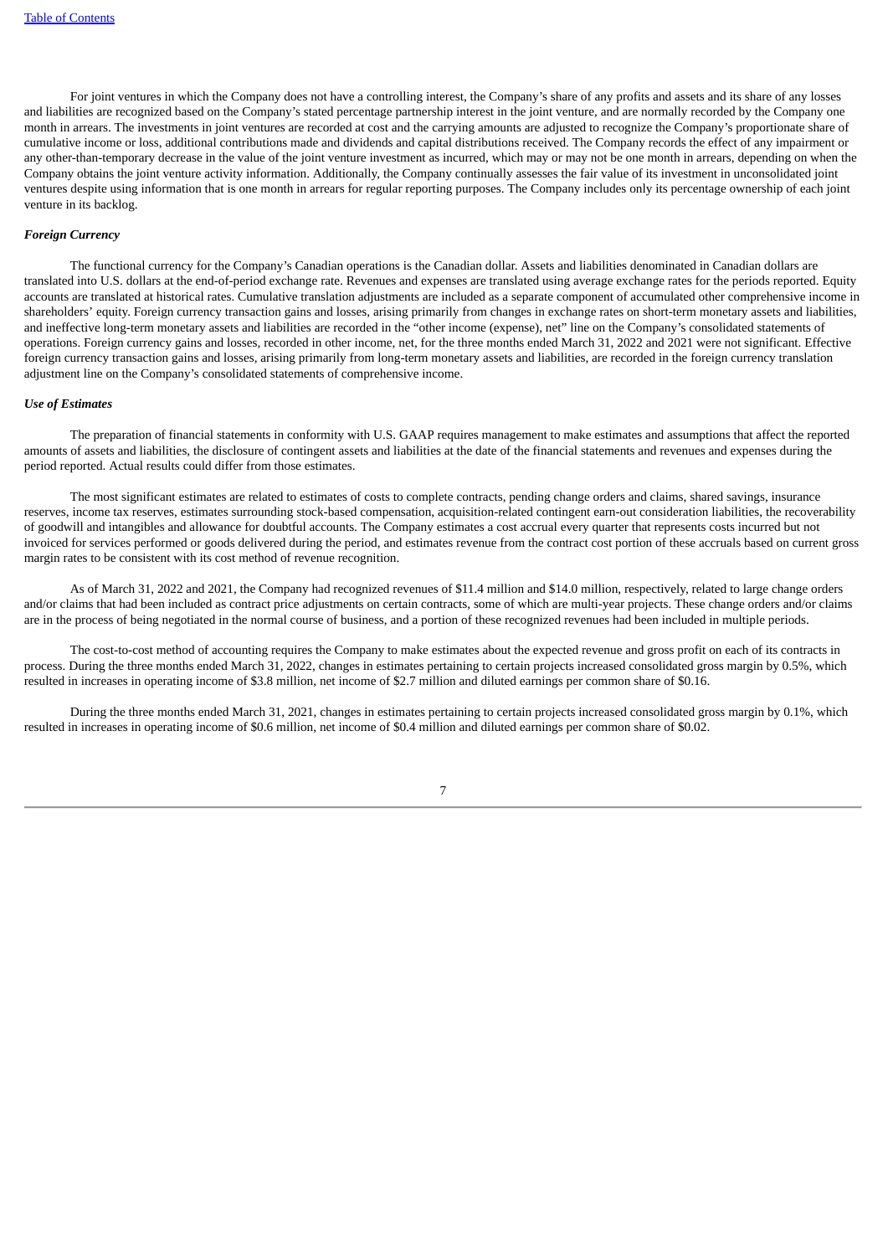For joint ventures in which the Company does not have a controlling interest, the Company's share of any profits and assets and its share of any losses and liabilities are recognized based on the Company's stated percentage partnership interest in the joint venture, and are normally recorded by the Company one month in arrears. The investments in joint ventures are recorded at cost and the carrying amounts are adjusted to recognize the Company's proportionate share of cumulative income or loss, additional contributions made and dividends and capital distributions received. The Company records the effect of any impairment or any other-than-temporary decrease in the value of the joint venture investment as incurred, which may or may not be one month in arrears, depending on when the Company obtains the joint venture activity information. Additionally, the Company continually assesses the fair value of its investment in unconsolidated joint ventures despite using information that is one month in arrears for regular reporting purposes. The Company includes only its percentage ownership of each joint venture in its backlog.

### *Foreign Currency*

The functional currency for the Company's Canadian operations is the Canadian dollar. Assets and liabilities denominated in Canadian dollars are translated into U.S. dollars at the end-of-period exchange rate. Revenues and expenses are translated using average exchange rates for the periods reported. Equity accounts are translated at historical rates. Cumulative translation adjustments are included as a separate component of accumulated other comprehensive income in shareholders' equity. Foreign currency transaction gains and losses, arising primarily from changes in exchange rates on short-term monetary assets and liabilities, and ineffective long-term monetary assets and liabilities are recorded in the "other income (expense), net" line on the Company's consolidated statements of operations. Foreign currency gains and losses, recorded in other income, net, for the three months ended March 31, 2022 and 2021 were not significant. Effective foreign currency transaction gains and losses, arising primarily from long-term monetary assets and liabilities, are recorded in the foreign currency translation adjustment line on the Company's consolidated statements of comprehensive income.

#### *Use of Estimates*

The preparation of financial statements in conformity with U.S. GAAP requires management to make estimates and assumptions that affect the reported amounts of assets and liabilities, the disclosure of contingent assets and liabilities at the date of the financial statements and revenues and expenses during the period reported. Actual results could differ from those estimates.

The most significant estimates are related to estimates of costs to complete contracts, pending change orders and claims, shared savings, insurance reserves, income tax reserves, estimates surrounding stock-based compensation, acquisition-related contingent earn-out consideration liabilities, the recoverability of goodwill and intangibles and allowance for doubtful accounts. The Company estimates a cost accrual every quarter that represents costs incurred but not invoiced for services performed or goods delivered during the period, and estimates revenue from the contract cost portion of these accruals based on current gross margin rates to be consistent with its cost method of revenue recognition.

As of March 31, 2022 and 2021, the Company had recognized revenues of \$11.4 million and \$14.0 million, respectively, related to large change orders and/or claims that had been included as contract price adjustments on certain contracts, some of which are multi-year projects. These change orders and/or claims are in the process of being negotiated in the normal course of business, and a portion of these recognized revenues had been included in multiple periods.

The cost-to-cost method of accounting requires the Company to make estimates about the expected revenue and gross profit on each of its contracts in process. During the three months ended March 31, 2022, changes in estimates pertaining to certain projects increased consolidated gross margin by 0.5%, which resulted in increases in operating income of \$3.8 million, net income of \$2.7 million and diluted earnings per common share of \$0.16.

During the three months ended March 31, 2021, changes in estimates pertaining to certain projects increased consolidated gross margin by 0.1%, which resulted in increases in operating income of \$0.6 million, net income of \$0.4 million and diluted earnings per common share of \$0.02.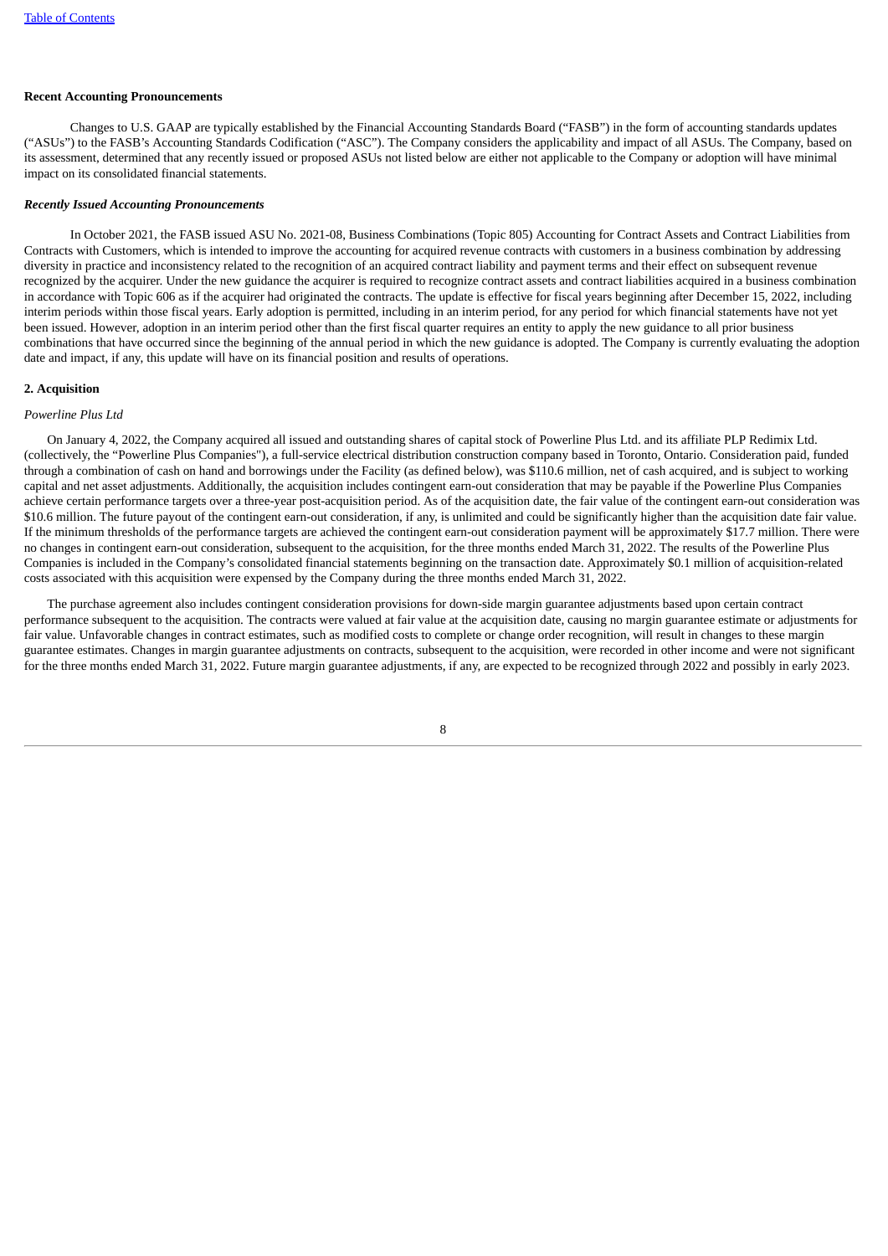#### **Recent Accounting Pronouncements**

Changes to U.S. GAAP are typically established by the Financial Accounting Standards Board ("FASB") in the form of accounting standards updates ("ASUs") to the FASB's Accounting Standards Codification ("ASC"). The Company considers the applicability and impact of all ASUs. The Company, based on its assessment, determined that any recently issued or proposed ASUs not listed below are either not applicable to the Company or adoption will have minimal impact on its consolidated financial statements.

#### *Recently Issued Accounting Pronouncements*

In October 2021, the FASB issued ASU No. 2021-08, Business Combinations (Topic 805) Accounting for Contract Assets and Contract Liabilities from Contracts with Customers, which is intended to improve the accounting for acquired revenue contracts with customers in a business combination by addressing diversity in practice and inconsistency related to the recognition of an acquired contract liability and payment terms and their effect on subsequent revenue recognized by the acquirer. Under the new guidance the acquirer is required to recognize contract assets and contract liabilities acquired in a business combination in accordance with Topic 606 as if the acquirer had originated the contracts. The update is effective for fiscal years beginning after December 15, 2022, including interim periods within those fiscal years. Early adoption is permitted, including in an interim period, for any period for which financial statements have not yet been issued. However, adoption in an interim period other than the first fiscal quarter requires an entity to apply the new guidance to all prior business combinations that have occurred since the beginning of the annual period in which the new guidance is adopted. The Company is currently evaluating the adoption date and impact, if any, this update will have on its financial position and results of operations.

#### **2. Acquisition**

### *Powerline Plus Ltd*

On January 4, 2022, the Company acquired all issued and outstanding shares of capital stock of Powerline Plus Ltd. and its affiliate PLP Redimix Ltd. (collectively, the "Powerline Plus Companies"), a full-service electrical distribution construction company based in Toronto, Ontario. Consideration paid, funded through a combination of cash on hand and borrowings under the Facility (as defined below), was \$110.6 million, net of cash acquired, and is subject to working capital and net asset adjustments. Additionally, the acquisition includes contingent earn-out consideration that may be payable if the Powerline Plus Companies achieve certain performance targets over a three-year post-acquisition period. As of the acquisition date, the fair value of the contingent earn-out consideration was \$10.6 million. The future payout of the contingent earn-out consideration, if any, is unlimited and could be significantly higher than the acquisition date fair value. If the minimum thresholds of the performance targets are achieved the contingent earn-out consideration payment will be approximately \$17.7 million. There were no changes in contingent earn-out consideration, subsequent to the acquisition, for the three months ended March 31, 2022. The results of the Powerline Plus Companies is included in the Company's consolidated financial statements beginning on the transaction date. Approximately \$0.1 million of acquisition-related costs associated with this acquisition were expensed by the Company during the three months ended March 31, 2022.

The purchase agreement also includes contingent consideration provisions for down-side margin guarantee adjustments based upon certain contract performance subsequent to the acquisition. The contracts were valued at fair value at the acquisition date, causing no margin guarantee estimate or adjustments for fair value. Unfavorable changes in contract estimates, such as modified costs to complete or change order recognition, will result in changes to these margin guarantee estimates. Changes in margin guarantee adjustments on contracts, subsequent to the acquisition, were recorded in other income and were not significant for the three months ended March 31, 2022. Future margin guarantee adjustments, if any, are expected to be recognized through 2022 and possibly in early 2023.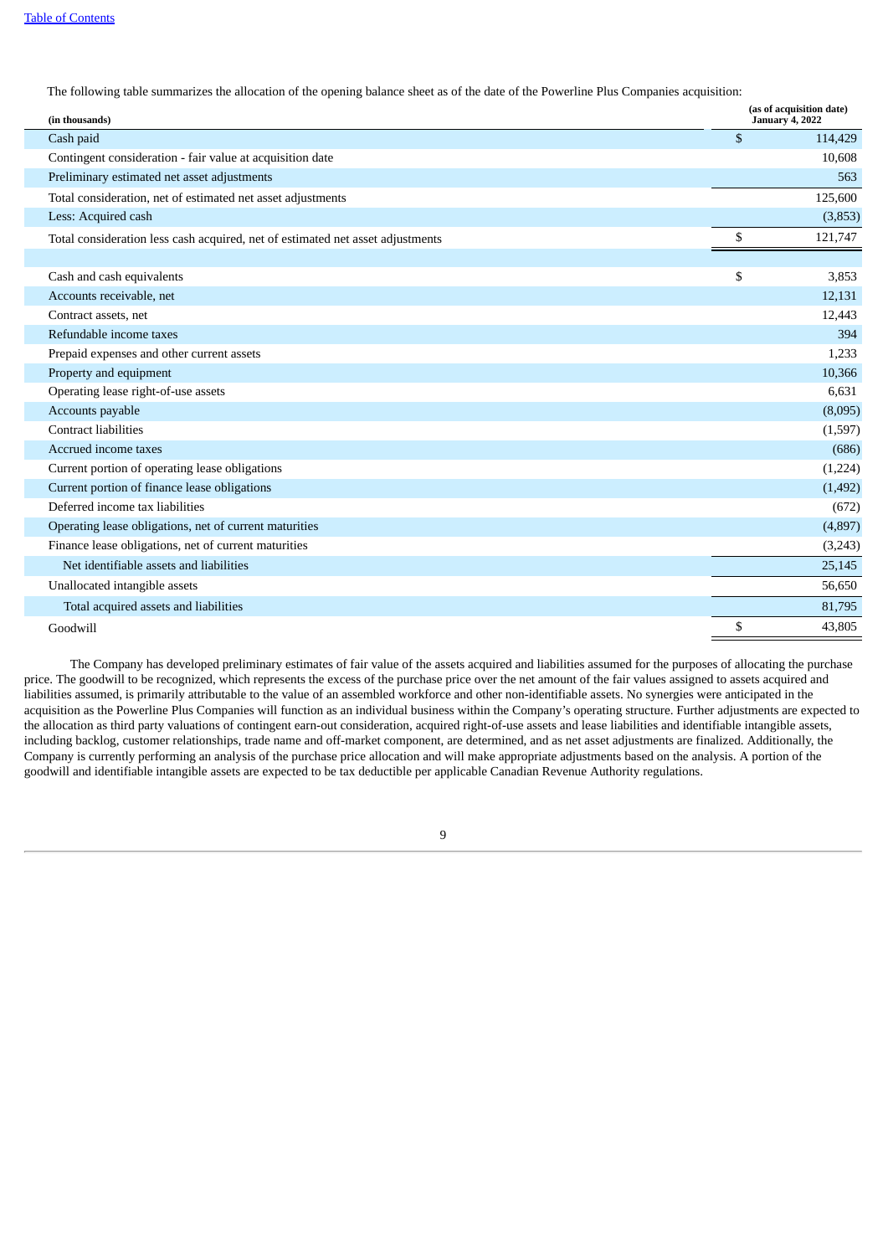The following table summarizes the allocation of the opening balance sheet as of the date of the Powerline Plus Companies acquisition:

| (in thousands)                                                                 | (as of acquisition date)<br><b>January 4, 2022</b> |
|--------------------------------------------------------------------------------|----------------------------------------------------|
| Cash paid                                                                      | \$<br>114,429                                      |
| Contingent consideration - fair value at acquisition date                      | 10,608                                             |
| Preliminary estimated net asset adjustments                                    | 563                                                |
| Total consideration, net of estimated net asset adjustments                    | 125,600                                            |
| Less: Acquired cash                                                            | (3,853)                                            |
| Total consideration less cash acquired, net of estimated net asset adjustments | \$<br>121,747                                      |
|                                                                                |                                                    |
| Cash and cash equivalents                                                      | \$<br>3,853                                        |
| Accounts receivable, net                                                       | 12,131                                             |
| Contract assets, net                                                           | 12,443                                             |
| Refundable income taxes                                                        | 394                                                |
| Prepaid expenses and other current assets                                      | 1,233                                              |
| Property and equipment                                                         | 10,366                                             |
| Operating lease right-of-use assets                                            | 6,631                                              |
| Accounts payable                                                               | (8,095)                                            |
| <b>Contract liabilities</b>                                                    | (1,597)                                            |
| Accrued income taxes                                                           | (686)                                              |
| Current portion of operating lease obligations                                 | (1,224)                                            |
| Current portion of finance lease obligations                                   | (1,492)                                            |
| Deferred income tax liabilities                                                | (672)                                              |
| Operating lease obligations, net of current maturities                         | (4,897)                                            |
| Finance lease obligations, net of current maturities                           | (3,243)                                            |
| Net identifiable assets and liabilities                                        | 25,145                                             |
| Unallocated intangible assets                                                  | 56,650                                             |
| Total acquired assets and liabilities                                          | 81,795                                             |
| Goodwill                                                                       | \$<br>43,805                                       |

The Company has developed preliminary estimates of fair value of the assets acquired and liabilities assumed for the purposes of allocating the purchase price. The goodwill to be recognized, which represents the excess of the purchase price over the net amount of the fair values assigned to assets acquired and liabilities assumed, is primarily attributable to the value of an assembled workforce and other non-identifiable assets. No synergies were anticipated in the acquisition as the Powerline Plus Companies will function as an individual business within the Company's operating structure. Further adjustments are expected to the allocation as third party valuations of contingent earn-out consideration, acquired right-of-use assets and lease liabilities and identifiable intangible assets, including backlog, customer relationships, trade name and off-market component, are determined, and as net asset adjustments are finalized. Additionally, the Company is currently performing an analysis of the purchase price allocation and will make appropriate adjustments based on the analysis. A portion of the goodwill and identifiable intangible assets are expected to be tax deductible per applicable Canadian Revenue Authority regulations.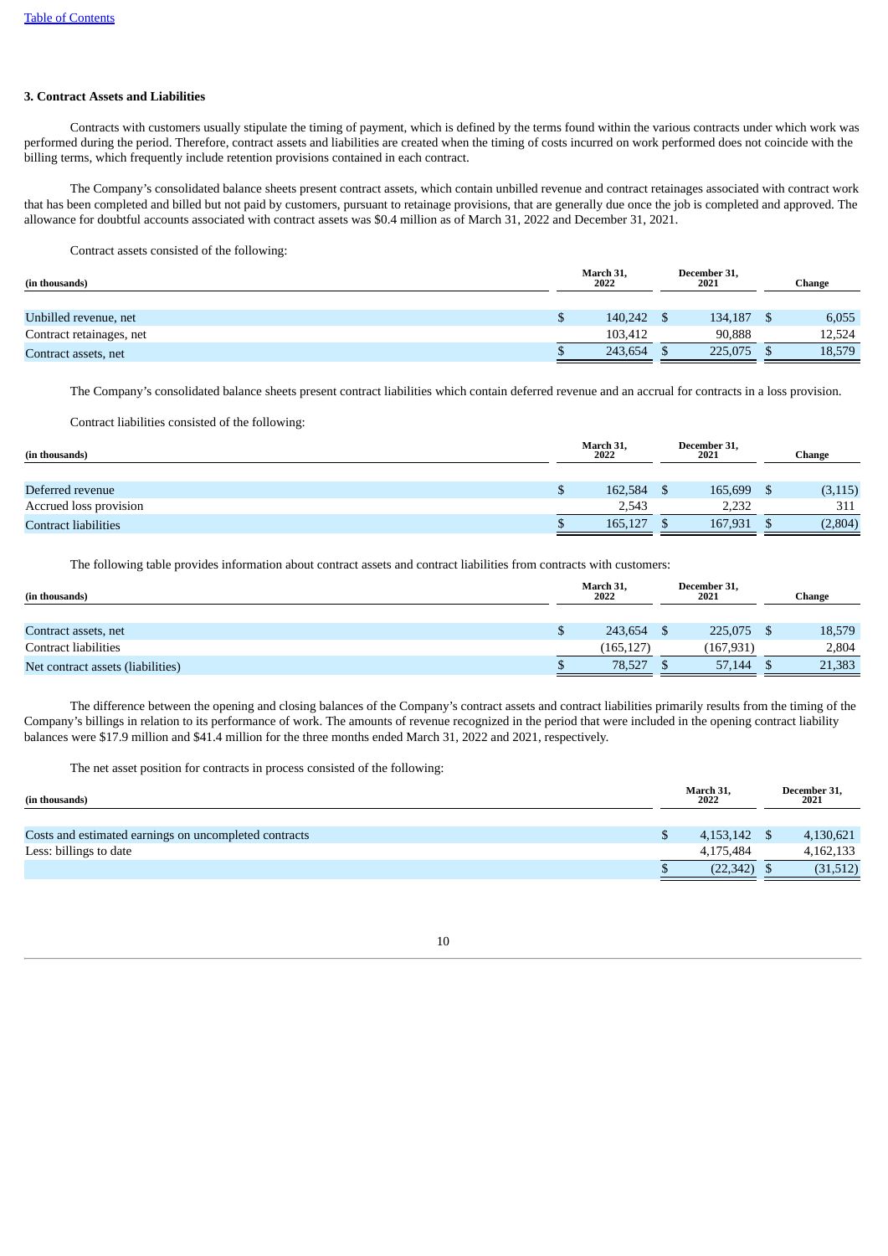### **3. Contract Assets and Liabilities**

Contracts with customers usually stipulate the timing of payment, which is defined by the terms found within the various contracts under which work was performed during the period. Therefore, contract assets and liabilities are created when the timing of costs incurred on work performed does not coincide with the billing terms, which frequently include retention provisions contained in each contract.

The Company's consolidated balance sheets present contract assets, which contain unbilled revenue and contract retainages associated with contract work that has been completed and billed but not paid by customers, pursuant to retainage provisions, that are generally due once the job is completed and approved. The allowance for doubtful accounts associated with contract assets was \$0.4 million as of March 31, 2022 and December 31, 2021.

Contract assets consisted of the following:

| (in thousands)           | March 31,<br>2022 | December 31,<br>2021 |         |  | <b>Change</b> |
|--------------------------|-------------------|----------------------|---------|--|---------------|
|                          |                   |                      |         |  |               |
| Unbilled revenue, net    | 140,242           |                      | 134,187 |  | 6,055         |
| Contract retainages, net | 103.412           |                      | 90.888  |  | 12,524        |
| Contract assets, net     | 243.654           |                      | 225,075 |  | 18,579        |

The Company's consolidated balance sheets present contract liabilities which contain deferred revenue and an accrual for contracts in a loss provision.

Contract liabilities consisted of the following:

| (in thousands)              |    | March 31,<br>2022 |  |         |  |          |  |  |  |  |  |  |  |  |  |  |  |  |  |  |  | December 31,<br>2021 |  | Change |
|-----------------------------|----|-------------------|--|---------|--|----------|--|--|--|--|--|--|--|--|--|--|--|--|--|--|--|----------------------|--|--------|
| Deferred revenue            | D. | 162,584           |  | 165,699 |  | (3, 115) |  |  |  |  |  |  |  |  |  |  |  |  |  |  |  |                      |  |        |
| Accrued loss provision      |    | 2,543             |  | 2,232   |  | 311      |  |  |  |  |  |  |  |  |  |  |  |  |  |  |  |                      |  |        |
| <b>Contract liabilities</b> |    | 165.127           |  | 167,931 |  | (2,804)  |  |  |  |  |  |  |  |  |  |  |  |  |  |  |  |                      |  |        |

The following table provides information about contract assets and contract liabilities from contracts with customers:

| (in thousands)                    | March 31,<br>2022 |            | December 31,<br>2021 |            | Change |
|-----------------------------------|-------------------|------------|----------------------|------------|--------|
|                                   |                   |            |                      |            |        |
| Contract assets, net              |                   | 243,654    |                      | 225,075    | 18,579 |
| Contract liabilities              |                   | (165, 127) |                      | (167, 931) | 2,804  |
| Net contract assets (liabilities) |                   | 78.527     |                      | 57,144     | 21,383 |
|                                   |                   |            |                      |            |        |

The difference between the opening and closing balances of the Company's contract assets and contract liabilities primarily results from the timing of the Company's billings in relation to its performance of work. The amounts of revenue recognized in the period that were included in the opening contract liability balances were \$17.9 million and \$41.4 million for the three months ended March 31, 2022 and 2021, respectively.

The net asset position for contracts in process consisted of the following:

| (in thousands)                                        |  | March 31,<br>2022 |  |             |  |  |  |  |  | December 31,<br>2021 |
|-------------------------------------------------------|--|-------------------|--|-------------|--|--|--|--|--|----------------------|
|                                                       |  |                   |  |             |  |  |  |  |  |                      |
| Costs and estimated earnings on uncompleted contracts |  | 4, 153, 142       |  | 4,130,621   |  |  |  |  |  |                      |
| Less: billings to date                                |  | 4.175.484         |  | 4, 162, 133 |  |  |  |  |  |                      |
|                                                       |  | (22, 342)         |  | (31,512)    |  |  |  |  |  |                      |
|                                                       |  |                   |  |             |  |  |  |  |  |                      |

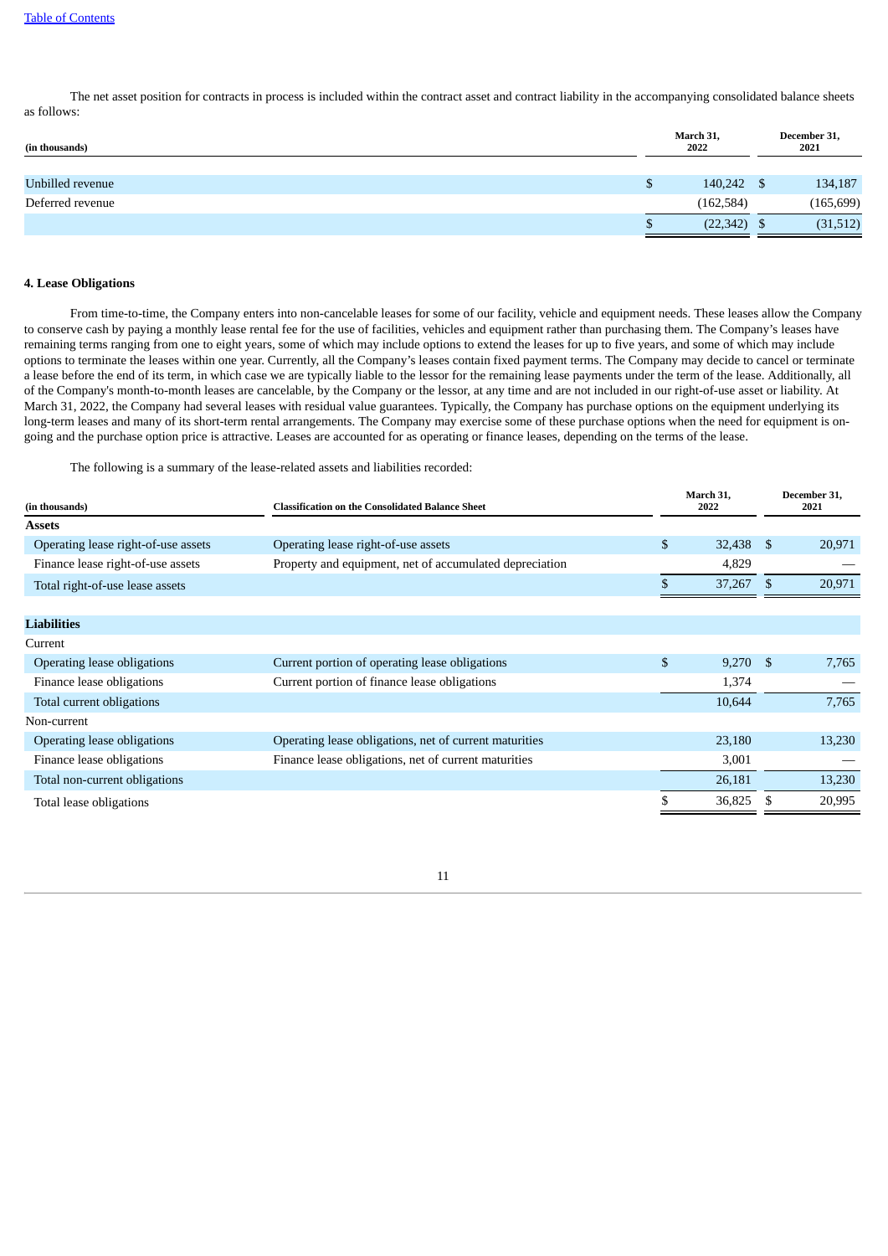The net asset position for contracts in process is included within the contract asset and contract liability in the accompanying consolidated balance sheets as follows:

| (in thousands)   | March 31,<br>2022 |  | December 31,<br>2021 |
|------------------|-------------------|--|----------------------|
|                  |                   |  |                      |
| Unbilled revenue | 140,242 \$<br>\$  |  | 134,187              |
| Deferred revenue | (162, 584)        |  | (165, 699)           |
|                  | (22, 342)<br>D    |  | (31,512)             |

### **4. Lease Obligations**

From time-to-time, the Company enters into non-cancelable leases for some of our facility, vehicle and equipment needs. These leases allow the Company to conserve cash by paying a monthly lease rental fee for the use of facilities, vehicles and equipment rather than purchasing them. The Company's leases have remaining terms ranging from one to eight years, some of which may include options to extend the leases for up to five years, and some of which may include options to terminate the leases within one year. Currently, all the Company's leases contain fixed payment terms. The Company may decide to cancel or terminate a lease before the end of its term, in which case we are typically liable to the lessor for the remaining lease payments under the term of the lease. Additionally, all of the Company's month-to-month leases are cancelable, by the Company or the lessor, at any time and are not included in our right-of-use asset or liability. At March 31, 2022, the Company had several leases with residual value guarantees. Typically, the Company has purchase options on the equipment underlying its long-term leases and many of its short-term rental arrangements. The Company may exercise some of these purchase options when the need for equipment is ongoing and the purchase option price is attractive. Leases are accounted for as operating or finance leases, depending on the terms of the lease.

The following is a summary of the lease-related assets and liabilities recorded:

| (in thousands)                      | <b>Classification on the Consolidated Balance Sheet</b> | March 31,<br>2022 |     | December 31,<br>2021 |  |
|-------------------------------------|---------------------------------------------------------|-------------------|-----|----------------------|--|
| <b>Assets</b>                       |                                                         |                   |     |                      |  |
| Operating lease right-of-use assets | Operating lease right-of-use assets                     | \$<br>32,438 \$   |     | 20,971               |  |
| Finance lease right-of-use assets   | Property and equipment, net of accumulated depreciation | 4,829             |     |                      |  |
| Total right-of-use lease assets     |                                                         | 37,267            | \$  | 20,971               |  |
|                                     |                                                         |                   |     |                      |  |
| <b>Liabilities</b>                  |                                                         |                   |     |                      |  |
| Current                             |                                                         |                   |     |                      |  |
| Operating lease obligations         | Current portion of operating lease obligations          | \$<br>9,270       | -\$ | 7,765                |  |
| Finance lease obligations           | Current portion of finance lease obligations            | 1,374             |     |                      |  |
| Total current obligations           |                                                         | 10,644            |     | 7,765                |  |
| Non-current                         |                                                         |                   |     |                      |  |
| Operating lease obligations         | Operating lease obligations, net of current maturities  | 23,180            |     | 13,230               |  |
| Finance lease obligations           | Finance lease obligations, net of current maturities    | 3,001             |     |                      |  |
| Total non-current obligations       |                                                         | 26,181            |     | 13,230               |  |
| Total lease obligations             |                                                         | 36,825            |     | 20,995               |  |
|                                     |                                                         |                   |     |                      |  |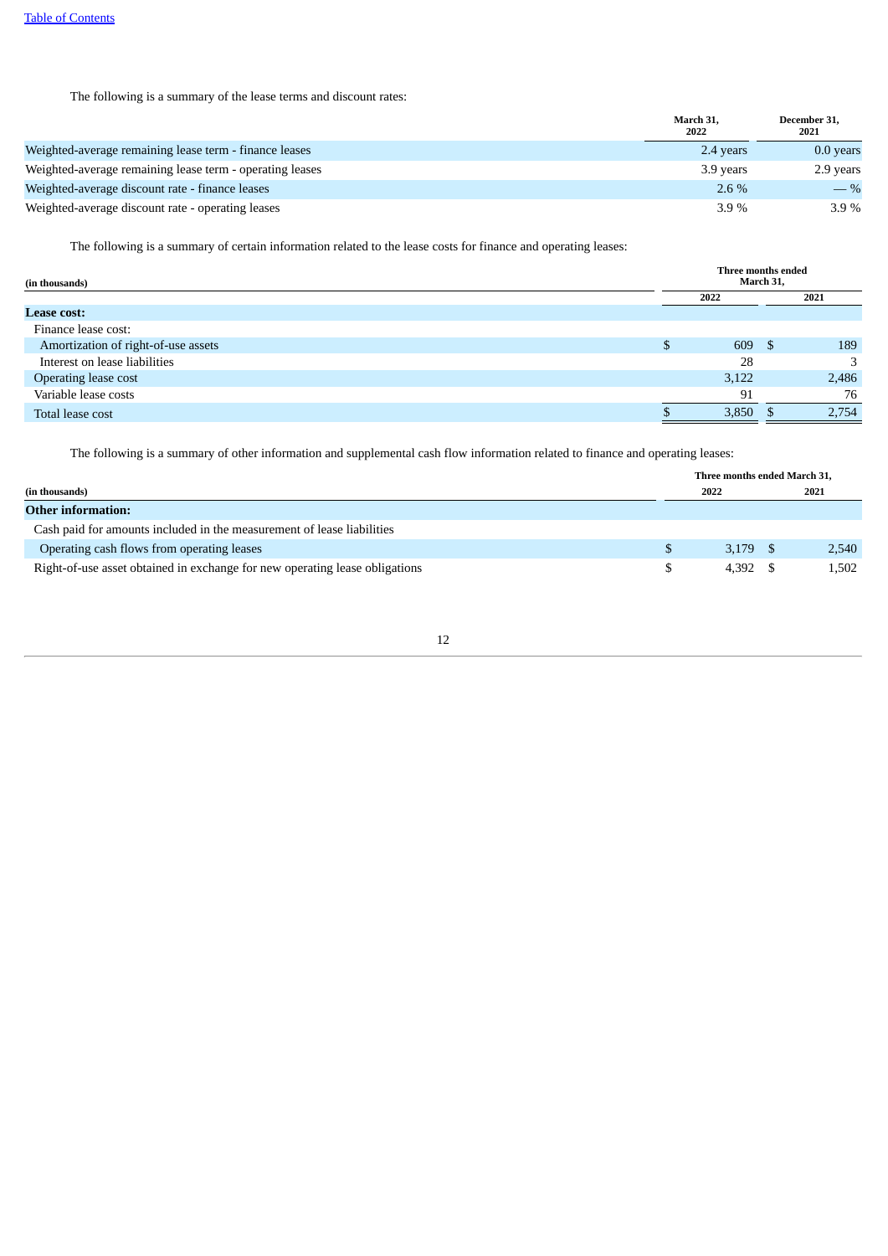The following is a summary of the lease terms and discount rates:

|                                                          | March 31.<br>2022 | December 31,<br>2021 |
|----------------------------------------------------------|-------------------|----------------------|
| Weighted-average remaining lease term - finance leases   | 2.4 years         | $0.0$ years          |
| Weighted-average remaining lease term - operating leases | 3.9 vears         | 2.9 years            |
| Weighted-average discount rate - finance leases          | $2.6\%$           | $-$ %                |
| Weighted-average discount rate - operating leases        | 3.9%              | 3.9 %                |

The following is a summary of certain information related to the lease costs for finance and operating leases:

| (in thousands)                      | Three months ended<br>March 31, |       |      |       |  |
|-------------------------------------|---------------------------------|-------|------|-------|--|
|                                     |                                 | 2022  |      | 2021  |  |
| Lease cost:                         |                                 |       |      |       |  |
| Finance lease cost:                 |                                 |       |      |       |  |
| Amortization of right-of-use assets |                                 | 609   | - \$ | 189   |  |
| Interest on lease liabilities       |                                 | 28    |      | 3     |  |
| Operating lease cost                |                                 | 3,122 |      | 2,486 |  |
| Variable lease costs                |                                 | 91    |      | 76    |  |
| Total lease cost                    |                                 | 3.850 |      | 2.754 |  |
|                                     |                                 |       |      |       |  |

The following is a summary of other information and supplemental cash flow information related to finance and operating leases:

|                                                                             |      | Three months ended March 31. |  |       |
|-----------------------------------------------------------------------------|------|------------------------------|--|-------|
| (in thousands)                                                              | 2022 |                              |  | 2021  |
| <b>Other information:</b>                                                   |      |                              |  |       |
| Cash paid for amounts included in the measurement of lease liabilities      |      |                              |  |       |
| Operating cash flows from operating leases                                  |      | $3.179$ \$                   |  | 2.540 |
| Right-of-use asset obtained in exchange for new operating lease obligations |      | 4.392S                       |  | L.502 |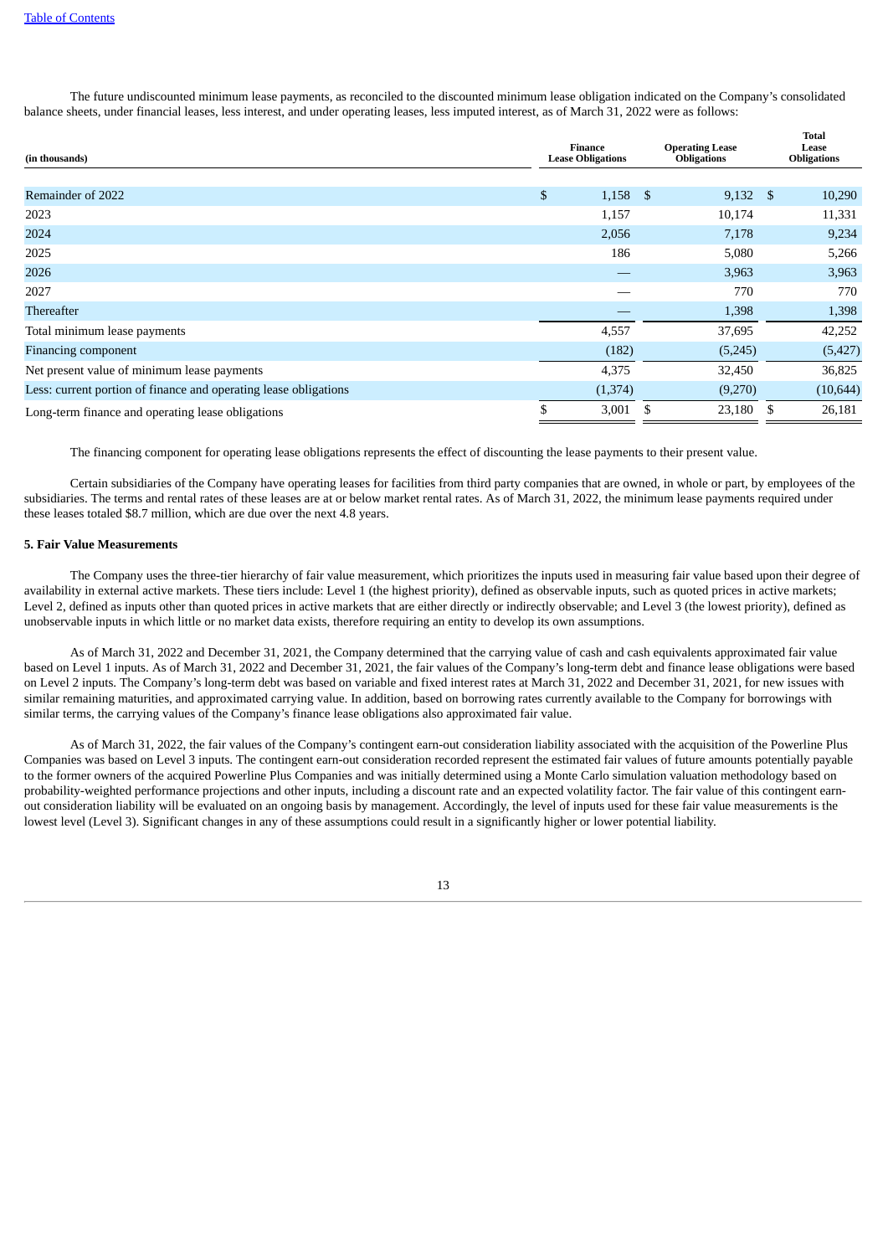The future undiscounted minimum lease payments, as reconciled to the discounted minimum lease obligation indicated on the Company's consolidated balance sheets, under financial leases, less interest, and under operating leases, less imputed interest, as of March 31, 2022 were as follows:

| (in thousands)                                                   | Finance<br><b>Lease Obligations</b> | <b>Operating Lease</b><br><b>Obligations</b> | Total<br>Lease<br><b>Obligations</b> |  |  |
|------------------------------------------------------------------|-------------------------------------|----------------------------------------------|--------------------------------------|--|--|
|                                                                  |                                     |                                              |                                      |  |  |
| Remainder of 2022                                                | \$<br>$1,158$ \$                    | $9,132$ \$                                   | 10,290                               |  |  |
| 2023                                                             | 1,157                               | 10,174                                       | 11,331                               |  |  |
| 2024                                                             | 2,056                               | 7,178                                        | 9,234                                |  |  |
| 2025                                                             | 186                                 | 5,080                                        | 5,266                                |  |  |
| 2026                                                             |                                     | 3,963                                        | 3,963                                |  |  |
| 2027                                                             |                                     | 770                                          | 770                                  |  |  |
| Thereafter                                                       |                                     | 1,398                                        | 1,398                                |  |  |
| Total minimum lease payments                                     | 4,557                               | 37,695                                       | 42,252                               |  |  |
| Financing component                                              | (182)                               | (5,245)                                      | (5, 427)                             |  |  |
| Net present value of minimum lease payments                      | 4,375                               | 32,450                                       | 36,825                               |  |  |
| Less: current portion of finance and operating lease obligations | (1,374)                             | (9,270)                                      | (10, 644)                            |  |  |
| Long-term finance and operating lease obligations                | \$<br>3,001                         | 23,180                                       | 26,181                               |  |  |

The financing component for operating lease obligations represents the effect of discounting the lease payments to their present value.

Certain subsidiaries of the Company have operating leases for facilities from third party companies that are owned, in whole or part, by employees of the subsidiaries. The terms and rental rates of these leases are at or below market rental rates. As of March 31, 2022, the minimum lease payments required under these leases totaled \$8.7 million, which are due over the next 4.8 years.

### **5. Fair Value Measurements**

The Company uses the three-tier hierarchy of fair value measurement, which prioritizes the inputs used in measuring fair value based upon their degree of availability in external active markets. These tiers include: Level 1 (the highest priority), defined as observable inputs, such as quoted prices in active markets; Level 2, defined as inputs other than quoted prices in active markets that are either directly or indirectly observable; and Level 3 (the lowest priority), defined as unobservable inputs in which little or no market data exists, therefore requiring an entity to develop its own assumptions.

As of March 31, 2022 and December 31, 2021, the Company determined that the carrying value of cash and cash equivalents approximated fair value based on Level 1 inputs. As of March 31, 2022 and December 31, 2021, the fair values of the Company's long-term debt and finance lease obligations were based on Level 2 inputs. The Company's long-term debt was based on variable and fixed interest rates at March 31, 2022 and December 31, 2021, for new issues with similar remaining maturities, and approximated carrying value. In addition, based on borrowing rates currently available to the Company for borrowings with similar terms, the carrying values of the Company's finance lease obligations also approximated fair value.

As of March 31, 2022, the fair values of the Company's contingent earn-out consideration liability associated with the acquisition of the Powerline Plus Companies was based on Level 3 inputs. The contingent earn-out consideration recorded represent the estimated fair values of future amounts potentially payable to the former owners of the acquired Powerline Plus Companies and was initially determined using a Monte Carlo simulation valuation methodology based on probability-weighted performance projections and other inputs, including a discount rate and an expected volatility factor. The fair value of this contingent earnout consideration liability will be evaluated on an ongoing basis by management. Accordingly, the level of inputs used for these fair value measurements is the lowest level (Level 3). Significant changes in any of these assumptions could result in a significantly higher or lower potential liability.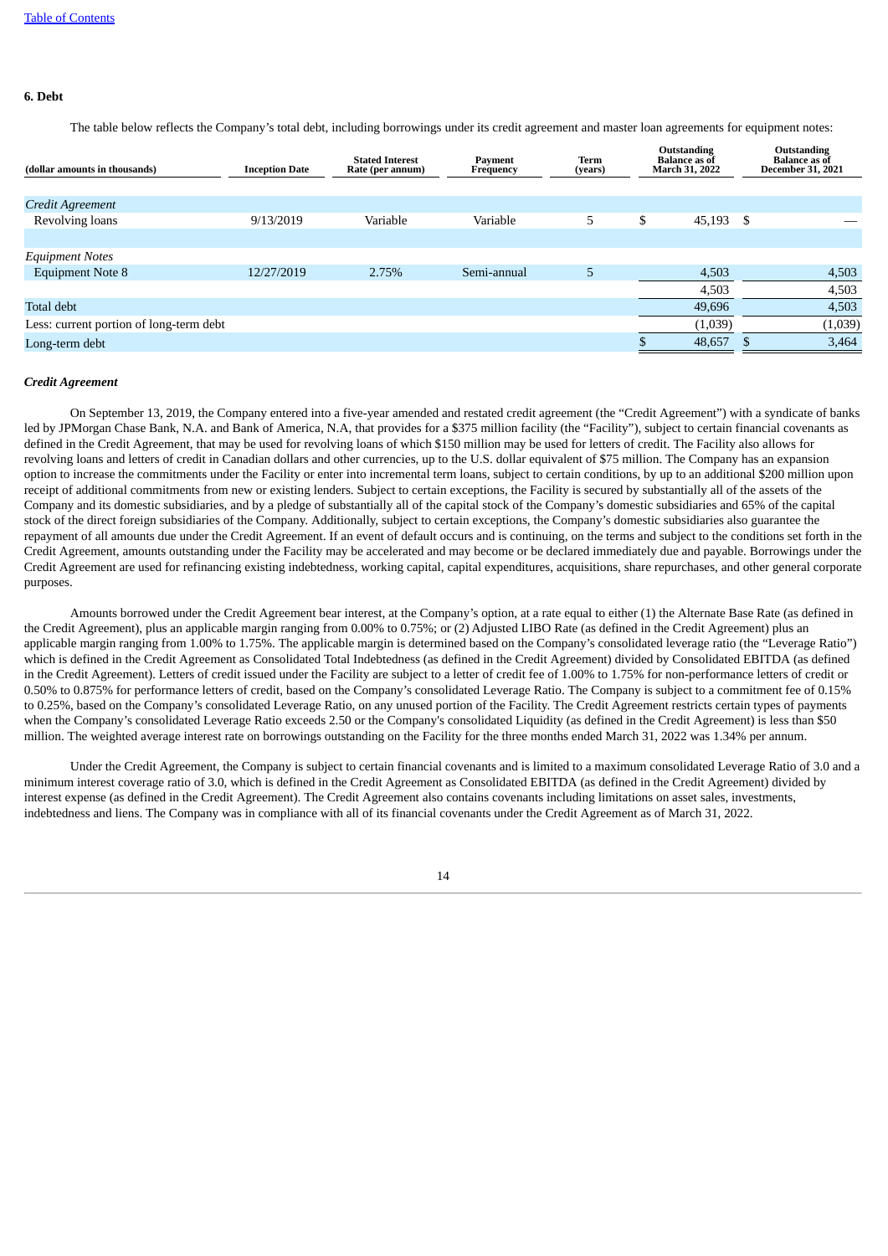### **6. Debt**

The table below reflects the Company's total debt, including borrowings under its credit agreement and master loan agreements for equipment notes:

| (dollar amounts in thousands)           | <b>Inception Date</b> | <b>Stated Interest</b><br>Rate (per annum) | Payment<br>Frequency | Term<br>(years) |   | Outstanding<br><b>Balance as of</b><br>March 31, 2022 |      | Outstanding<br><b>Balance as of</b><br><b>December 31, 2021</b> |
|-----------------------------------------|-----------------------|--------------------------------------------|----------------------|-----------------|---|-------------------------------------------------------|------|-----------------------------------------------------------------|
|                                         |                       |                                            |                      |                 |   |                                                       |      |                                                                 |
| <b>Credit Agreement</b>                 |                       |                                            |                      |                 |   |                                                       |      |                                                                 |
| Revolving loans                         | 9/13/2019             | Variable                                   | Variable             | 5               | S | 45,193                                                | - \$ |                                                                 |
|                                         |                       |                                            |                      |                 |   |                                                       |      |                                                                 |
| <b>Equipment Notes</b>                  |                       |                                            |                      |                 |   |                                                       |      |                                                                 |
| <b>Equipment Note 8</b>                 | 12/27/2019            | 2.75%                                      | Semi-annual          | 5               |   | 4,503                                                 |      | 4,503                                                           |
|                                         |                       |                                            |                      |                 |   | 4,503                                                 |      | 4,503                                                           |
| <b>Total debt</b>                       |                       |                                            |                      |                 |   | 49,696                                                |      | 4,503                                                           |
| Less: current portion of long-term debt |                       |                                            |                      |                 |   | (1,039)                                               |      | (1,039)                                                         |
| Long-term debt                          |                       |                                            |                      |                 |   | 48,657                                                |      | 3,464                                                           |
|                                         |                       |                                            |                      |                 |   |                                                       |      |                                                                 |

#### *Credit Agreement*

On September 13, 2019, the Company entered into a five-year amended and restated credit agreement (the "Credit Agreement") with a syndicate of banks led by JPMorgan Chase Bank, N.A. and Bank of America, N.A, that provides for a \$375 million facility (the "Facility"), subject to certain financial covenants as defined in the Credit Agreement, that may be used for revolving loans of which \$150 million may be used for letters of credit. The Facility also allows for revolving loans and letters of credit in Canadian dollars and other currencies, up to the U.S. dollar equivalent of \$75 million. The Company has an expansion option to increase the commitments under the Facility or enter into incremental term loans, subject to certain conditions, by up to an additional \$200 million upon receipt of additional commitments from new or existing lenders. Subject to certain exceptions, the Facility is secured by substantially all of the assets of the Company and its domestic subsidiaries, and by a pledge of substantially all of the capital stock of the Company's domestic subsidiaries and 65% of the capital stock of the direct foreign subsidiaries of the Company. Additionally, subject to certain exceptions, the Company's domestic subsidiaries also guarantee the repayment of all amounts due under the Credit Agreement. If an event of default occurs and is continuing, on the terms and subject to the conditions set forth in the Credit Agreement, amounts outstanding under the Facility may be accelerated and may become or be declared immediately due and payable. Borrowings under the Credit Agreement are used for refinancing existing indebtedness, working capital, capital expenditures, acquisitions, share repurchases, and other general corporate purposes.

Amounts borrowed under the Credit Agreement bear interest, at the Company's option, at a rate equal to either (1) the Alternate Base Rate (as defined in the Credit Agreement), plus an applicable margin ranging from 0.00% to 0.75%; or (2) Adjusted LIBO Rate (as defined in the Credit Agreement) plus an applicable margin ranging from 1.00% to 1.75%. The applicable margin is determined based on the Company's consolidated leverage ratio (the "Leverage Ratio") which is defined in the Credit Agreement as Consolidated Total Indebtedness (as defined in the Credit Agreement) divided by Consolidated EBITDA (as defined in the Credit Agreement). Letters of credit issued under the Facility are subject to a letter of credit fee of 1.00% to 1.75% for non-performance letters of credit or 0.50% to 0.875% for performance letters of credit, based on the Company's consolidated Leverage Ratio. The Company is subject to a commitment fee of 0.15% to 0.25%, based on the Company's consolidated Leverage Ratio, on any unused portion of the Facility. The Credit Agreement restricts certain types of payments when the Company's consolidated Leverage Ratio exceeds 2.50 or the Company's consolidated Liquidity (as defined in the Credit Agreement) is less than \$50 million. The weighted average interest rate on borrowings outstanding on the Facility for the three months ended March 31, 2022 was 1.34% per annum.

Under the Credit Agreement, the Company is subject to certain financial covenants and is limited to a maximum consolidated Leverage Ratio of 3.0 and a minimum interest coverage ratio of 3.0, which is defined in the Credit Agreement as Consolidated EBITDA (as defined in the Credit Agreement) divided by interest expense (as defined in the Credit Agreement). The Credit Agreement also contains covenants including limitations on asset sales, investments, indebtedness and liens. The Company was in compliance with all of its financial covenants under the Credit Agreement as of March 31, 2022.

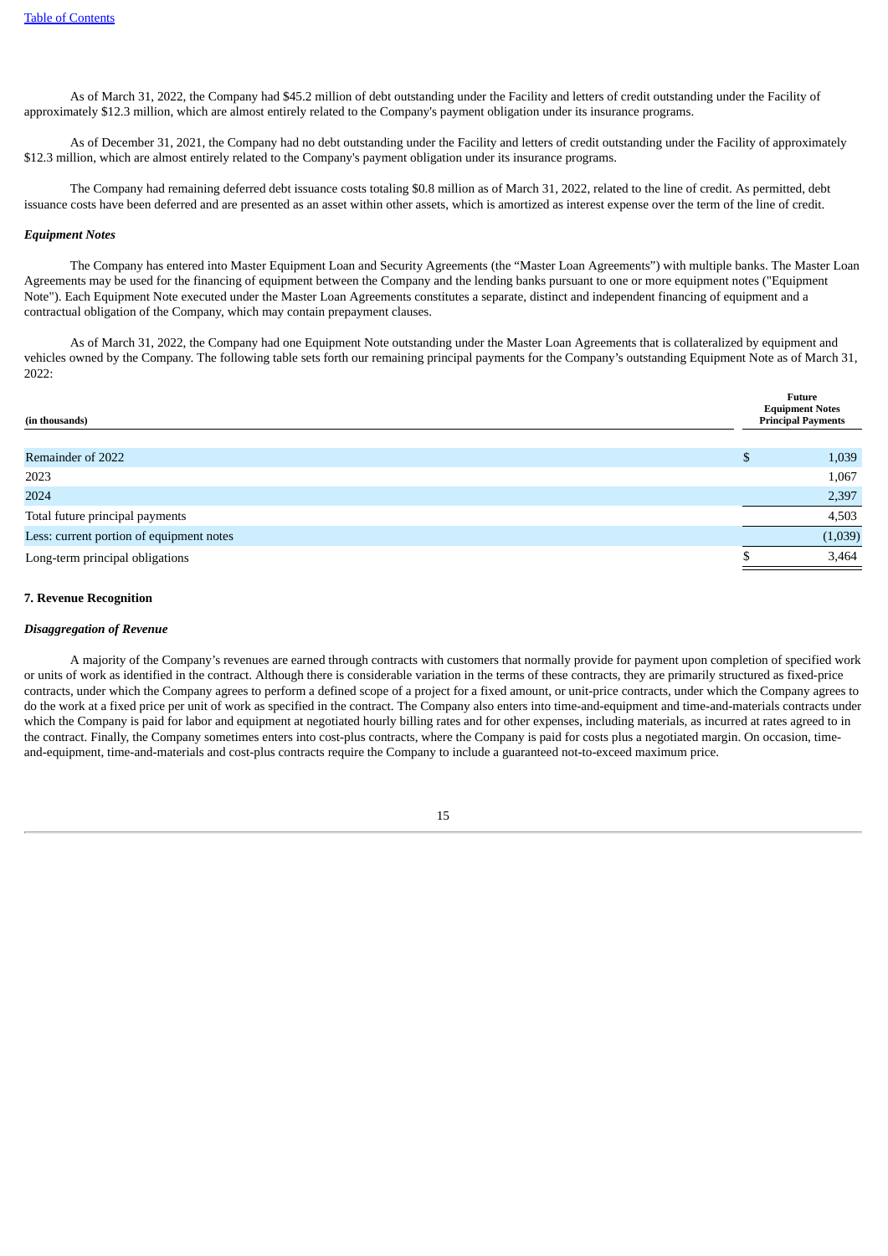As of March 31, 2022, the Company had \$45.2 million of debt outstanding under the Facility and letters of credit outstanding under the Facility of approximately \$12.3 million, which are almost entirely related to the Company's payment obligation under its insurance programs.

As of December 31, 2021, the Company had no debt outstanding under the Facility and letters of credit outstanding under the Facility of approximately \$12.3 million, which are almost entirely related to the Company's payment obligation under its insurance programs.

The Company had remaining deferred debt issuance costs totaling \$0.8 million as of March 31, 2022, related to the line of credit. As permitted, debt issuance costs have been deferred and are presented as an asset within other assets, which is amortized as interest expense over the term of the line of credit.

### *Equipment Notes*

The Company has entered into Master Equipment Loan and Security Agreements (the "Master Loan Agreements") with multiple banks. The Master Loan Agreements may be used for the financing of equipment between the Company and the lending banks pursuant to one or more equipment notes ("Equipment Note"). Each Equipment Note executed under the Master Loan Agreements constitutes a separate, distinct and independent financing of equipment and a contractual obligation of the Company, which may contain prepayment clauses.

As of March 31, 2022, the Company had one Equipment Note outstanding under the Master Loan Agreements that is collateralized by equipment and vehicles owned by the Company. The following table sets forth our remaining principal payments for the Company's outstanding Equipment Note as of March 31, 2022:

| (in thousands)                           |   | Future<br><b>Equipment Notes</b><br><b>Principal Payments</b> |  |  |
|------------------------------------------|---|---------------------------------------------------------------|--|--|
|                                          |   |                                                               |  |  |
| Remainder of 2022                        | S | 1,039                                                         |  |  |
| 2023                                     |   | 1,067                                                         |  |  |
| 2024                                     |   | 2,397                                                         |  |  |
| Total future principal payments          |   | 4,503                                                         |  |  |
| Less: current portion of equipment notes |   | (1,039)                                                       |  |  |
| Long-term principal obligations          |   | 3,464                                                         |  |  |

### **7. Revenue Recognition**

### *Disaggregation of Revenue*

A majority of the Company's revenues are earned through contracts with customers that normally provide for payment upon completion of specified work or units of work as identified in the contract. Although there is considerable variation in the terms of these contracts, they are primarily structured as fixed-price contracts, under which the Company agrees to perform a defined scope of a project for a fixed amount, or unit-price contracts, under which the Company agrees to do the work at a fixed price per unit of work as specified in the contract. The Company also enters into time-and-equipment and time-and-materials contracts under which the Company is paid for labor and equipment at negotiated hourly billing rates and for other expenses, including materials, as incurred at rates agreed to in the contract. Finally, the Company sometimes enters into cost-plus contracts, where the Company is paid for costs plus a negotiated margin. On occasion, timeand-equipment, time-and-materials and cost-plus contracts require the Company to include a guaranteed not-to-exceed maximum price.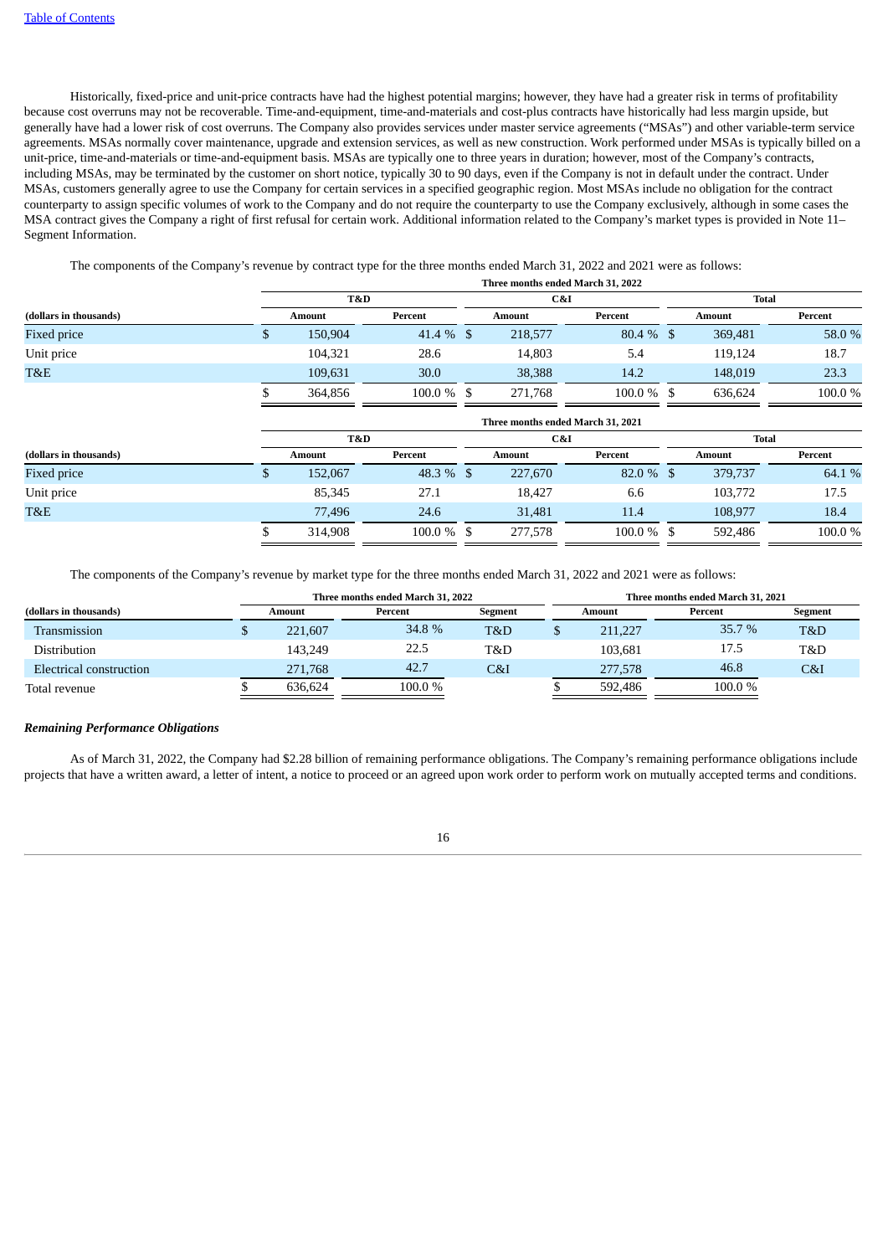Historically, fixed-price and unit-price contracts have had the highest potential margins; however, they have had a greater risk in terms of profitability because cost overruns may not be recoverable. Time-and-equipment, time-and-materials and cost-plus contracts have historically had less margin upside, but generally have had a lower risk of cost overruns. The Company also provides services under master service agreements ("MSAs") and other variable-term service agreements. MSAs normally cover maintenance, upgrade and extension services, as well as new construction. Work performed under MSAs is typically billed on a unit-price, time-and-materials or time-and-equipment basis. MSAs are typically one to three years in duration; however, most of the Company's contracts, including MSAs, may be terminated by the customer on short notice, typically 30 to 90 days, even if the Company is not in default under the contract. Under MSAs, customers generally agree to use the Company for certain services in a specified geographic region. Most MSAs include no obligation for the contract counterparty to assign specific volumes of work to the Company and do not require the counterparty to use the Company exclusively, although in some cases the MSA contract gives the Company a right of first refusal for certain work. Additional information related to the Company's market types is provided in Note 11– Segment Information.

**Three months ended March 31, 2022**

The components of the Company's revenue by contract type for the three months ended March 31, 2022 and 2021 were as follows:

|                        | T&D<br>C&I |         |               |               |                                   |              | <b>Total</b> |               |         |  |  |
|------------------------|------------|---------|---------------|---------------|-----------------------------------|--------------|--------------|---------------|---------|--|--|
| (dollars in thousands) |            | Amount  | Percent       | <b>Amount</b> |                                   | Percent      |              | <b>Amount</b> | Percent |  |  |
| <b>Fixed price</b>     | \$         | 150.904 | $41.4\%$ \$   |               | 218,577                           | $80.4\%$ \$  |              | 369,481       | 58.0 %  |  |  |
| Unit price             |            | 104,321 | 28.6          |               | 14,803                            | 5.4          |              | 119.124       | 18.7    |  |  |
| T&E                    |            | 109,631 | 30.0          |               | 38,388                            | 14.2         |              | 148,019       | 23.3    |  |  |
|                        |            | 364,856 | $100.0 \%$ \$ |               | 271,768                           | 100.0 % \$   |              | 636,624       | 100.0%  |  |  |
|                        |            |         |               |               | Three months ended March 31, 2021 |              |              |               |         |  |  |
|                        |            | T&D     |               |               | C&I                               |              |              | Total         |         |  |  |
| (dollars in thousands) |            | Amount  | Percent       |               | Amount                            | Percent      |              | Amount        | Percent |  |  |
| <b>Fixed price</b>     | \$         | 152,067 | 48.3 % \$     |               | 227,670                           | $82.0\%$ \$  |              | 379,737       | 64.1 %  |  |  |
| Unit price             |            | 85,345  | 27.1          |               | 18,427                            | 6.6          |              | 103,772       | 17.5    |  |  |
| T&E                    |            | 77,496  | 24.6          |               | 31,481                            | 11.4         |              | 108,977       | 18.4    |  |  |
|                        | \$         | 314,908 | $100.0\%$ \$  |               | 277,578                           | $100.0\%$ \$ |              | 592.486       | 100.0%  |  |  |

The components of the Company's revenue by market type for the three months ended March 31, 2022 and 2021 were as follows:

|                         |         | Three months ended March 31, 2022 | Three months ended March 31, 2021 |         |         |         |
|-------------------------|---------|-----------------------------------|-----------------------------------|---------|---------|---------|
| (dollars in thousands)  | Amount  | Percent                           | Segment                           | Amount  | Percent | Segment |
| Transmission            | 221,607 | 34.8 %                            | T&D                               | 211,227 | 35.7 %  | T&D     |
| Distribution            | 143.249 | 22.5                              | T&D                               | 103.681 | 17.5    | T&D     |
| Electrical construction | 271,768 | 42.7                              | C&I                               | 277,578 | 46.8    | C&I     |
| Total revenue           | 636.624 | 100.0 %                           |                                   | 592.486 | 100.0%  |         |

### *Remaining Performance Obligations*

As of March 31, 2022, the Company had \$2.28 billion of remaining performance obligations. The Company's remaining performance obligations include projects that have a written award, a letter of intent, a notice to proceed or an agreed upon work order to perform work on mutually accepted terms and conditions.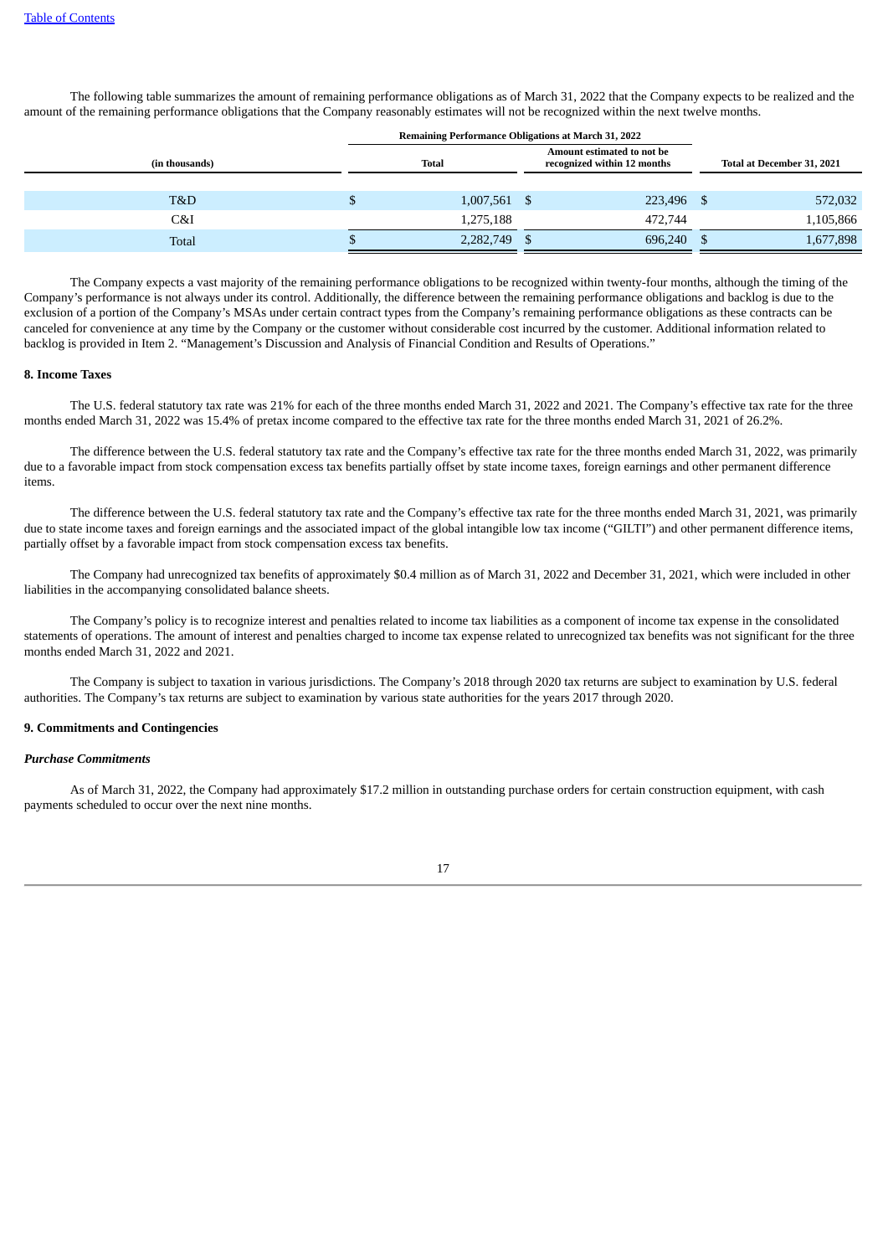The following table summarizes the amount of remaining performance obligations as of March 31, 2022 that the Company expects to be realized and the amount of the remaining performance obligations that the Company reasonably estimates will not be recognized within the next twelve months.

|                | <b>Remaining Performance Obligations at March 31, 2022</b> |                |            |           |  |  |                                                           |                            |
|----------------|------------------------------------------------------------|----------------|------------|-----------|--|--|-----------------------------------------------------------|----------------------------|
| (in thousands) | Total                                                      |                |            |           |  |  | Amount estimated to not be<br>recognized within 12 months | Total at December 31, 2021 |
|                |                                                            |                |            |           |  |  |                                                           |                            |
| T&D            |                                                            | $1,007,561$ \$ | 223,496 \$ | 572,032   |  |  |                                                           |                            |
| C&I            |                                                            | 1,275,188      | 472,744    | 1,105,866 |  |  |                                                           |                            |
| Total          |                                                            | 2,282,749      | 696,240 \$ | 1,677,898 |  |  |                                                           |                            |

The Company expects a vast majority of the remaining performance obligations to be recognized within twenty-four months, although the timing of the Company's performance is not always under its control. Additionally, the difference between the remaining performance obligations and backlog is due to the exclusion of a portion of the Company's MSAs under certain contract types from the Company's remaining performance obligations as these contracts can be canceled for convenience at any time by the Company or the customer without considerable cost incurred by the customer. Additional information related to backlog is provided in Item 2. "Management's Discussion and Analysis of Financial Condition and Results of Operations."

#### **8. Income Taxes**

The U.S. federal statutory tax rate was 21% for each of the three months ended March 31, 2022 and 2021. The Company's effective tax rate for the three months ended March 31, 2022 was 15.4% of pretax income compared to the effective tax rate for the three months ended March 31, 2021 of 26.2%.

The difference between the U.S. federal statutory tax rate and the Company's effective tax rate for the three months ended March 31, 2022, was primarily due to a favorable impact from stock compensation excess tax benefits partially offset by state income taxes, foreign earnings and other permanent difference items.

The difference between the U.S. federal statutory tax rate and the Company's effective tax rate for the three months ended March 31, 2021, was primarily due to state income taxes and foreign earnings and the associated impact of the global intangible low tax income ("GILTI") and other permanent difference items, partially offset by a favorable impact from stock compensation excess tax benefits.

The Company had unrecognized tax benefits of approximately \$0.4 million as of March 31, 2022 and December 31, 2021, which were included in other liabilities in the accompanying consolidated balance sheets.

The Company's policy is to recognize interest and penalties related to income tax liabilities as a component of income tax expense in the consolidated statements of operations. The amount of interest and penalties charged to income tax expense related to unrecognized tax benefits was not significant for the three months ended March 31, 2022 and 2021.

The Company is subject to taxation in various jurisdictions. The Company's 2018 through 2020 tax returns are subject to examination by U.S. federal authorities. The Company's tax returns are subject to examination by various state authorities for the years 2017 through 2020.

#### **9. Commitments and Contingencies**

### *Purchase Commitments*

As of March 31, 2022, the Company had approximately \$17.2 million in outstanding purchase orders for certain construction equipment, with cash payments scheduled to occur over the next nine months.

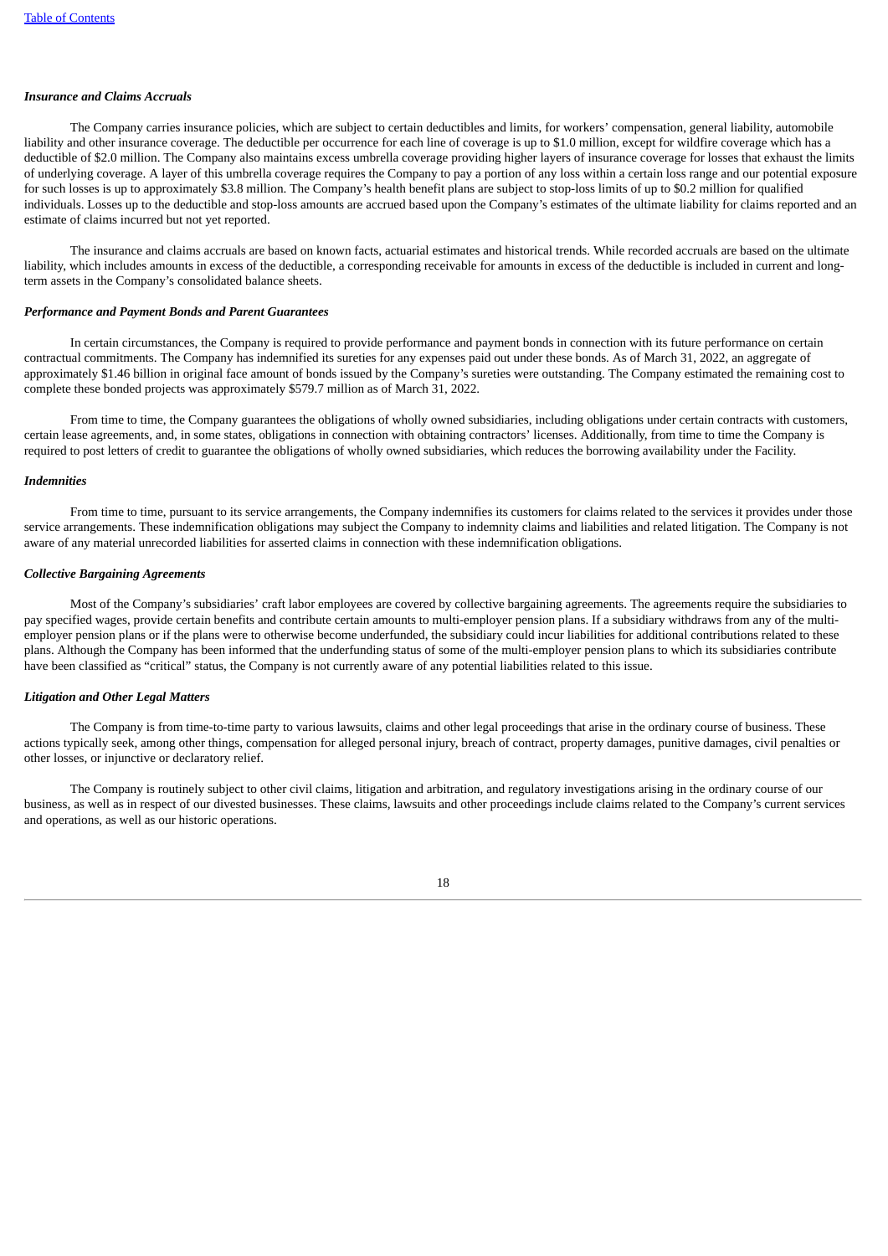### *Insurance and Claims Accruals*

The Company carries insurance policies, which are subject to certain deductibles and limits, for workers' compensation, general liability, automobile liability and other insurance coverage. The deductible per occurrence for each line of coverage is up to \$1.0 million, except for wildfire coverage which has a deductible of \$2.0 million. The Company also maintains excess umbrella coverage providing higher layers of insurance coverage for losses that exhaust the limits of underlying coverage. A layer of this umbrella coverage requires the Company to pay a portion of any loss within a certain loss range and our potential exposure for such losses is up to approximately \$3.8 million. The Company's health benefit plans are subject to stop-loss limits of up to \$0.2 million for qualified individuals. Losses up to the deductible and stop-loss amounts are accrued based upon the Company's estimates of the ultimate liability for claims reported and an estimate of claims incurred but not yet reported.

The insurance and claims accruals are based on known facts, actuarial estimates and historical trends. While recorded accruals are based on the ultimate liability, which includes amounts in excess of the deductible, a corresponding receivable for amounts in excess of the deductible is included in current and longterm assets in the Company's consolidated balance sheets.

#### *Performance and Payment Bonds and Parent Guarantees*

In certain circumstances, the Company is required to provide performance and payment bonds in connection with its future performance on certain contractual commitments. The Company has indemnified its sureties for any expenses paid out under these bonds. As of March 31, 2022, an aggregate of approximately \$1.46 billion in original face amount of bonds issued by the Company's sureties were outstanding. The Company estimated the remaining cost to complete these bonded projects was approximately \$579.7 million as of March 31, 2022.

From time to time, the Company guarantees the obligations of wholly owned subsidiaries, including obligations under certain contracts with customers, certain lease agreements, and, in some states, obligations in connection with obtaining contractors' licenses. Additionally, from time to time the Company is required to post letters of credit to guarantee the obligations of wholly owned subsidiaries, which reduces the borrowing availability under the Facility.

### *Indemnities*

From time to time, pursuant to its service arrangements, the Company indemnifies its customers for claims related to the services it provides under those service arrangements. These indemnification obligations may subject the Company to indemnity claims and liabilities and related litigation. The Company is not aware of any material unrecorded liabilities for asserted claims in connection with these indemnification obligations.

#### *Collective Bargaining Agreements*

Most of the Company's subsidiaries' craft labor employees are covered by collective bargaining agreements. The agreements require the subsidiaries to pay specified wages, provide certain benefits and contribute certain amounts to multi-employer pension plans. If a subsidiary withdraws from any of the multiemployer pension plans or if the plans were to otherwise become underfunded, the subsidiary could incur liabilities for additional contributions related to these plans. Although the Company has been informed that the underfunding status of some of the multi-employer pension plans to which its subsidiaries contribute have been classified as "critical" status, the Company is not currently aware of any potential liabilities related to this issue.

### *Litigation and Other Legal Matters*

The Company is from time-to-time party to various lawsuits, claims and other legal proceedings that arise in the ordinary course of business. These actions typically seek, among other things, compensation for alleged personal injury, breach of contract, property damages, punitive damages, civil penalties or other losses, or injunctive or declaratory relief.

The Company is routinely subject to other civil claims, litigation and arbitration, and regulatory investigations arising in the ordinary course of our business, as well as in respect of our divested businesses. These claims, lawsuits and other proceedings include claims related to the Company's current services and operations, as well as our historic operations.

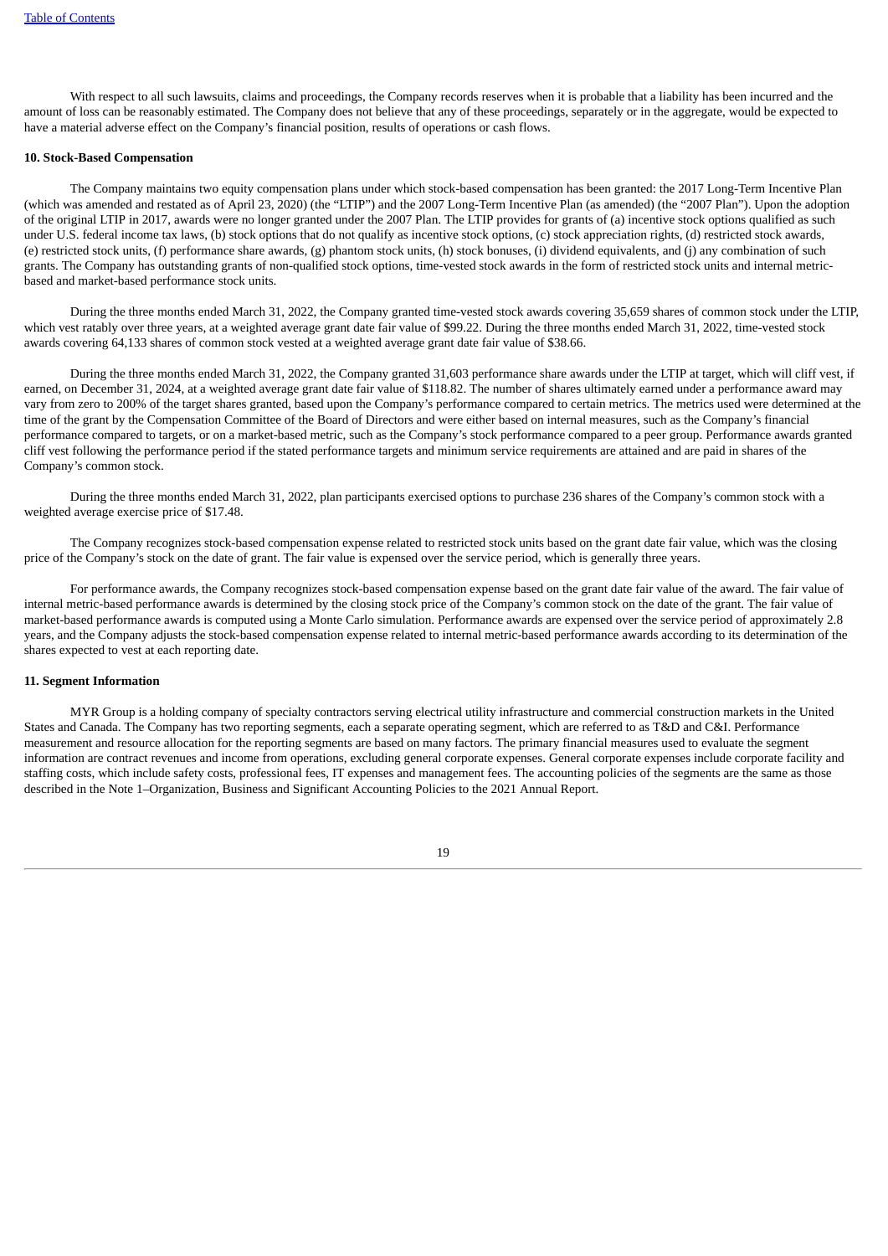With respect to all such lawsuits, claims and proceedings, the Company records reserves when it is probable that a liability has been incurred and the amount of loss can be reasonably estimated. The Company does not believe that any of these proceedings, separately or in the aggregate, would be expected to have a material adverse effect on the Company's financial position, results of operations or cash flows.

#### **10. Stock-Based Compensation**

The Company maintains two equity compensation plans under which stock-based compensation has been granted: the 2017 Long-Term Incentive Plan (which was amended and restated as of April 23, 2020) (the "LTIP") and the 2007 Long-Term Incentive Plan (as amended) (the "2007 Plan"). Upon the adoption of the original LTIP in 2017, awards were no longer granted under the 2007 Plan. The LTIP provides for grants of (a) incentive stock options qualified as such under U.S. federal income tax laws, (b) stock options that do not qualify as incentive stock options, (c) stock appreciation rights, (d) restricted stock awards, (e) restricted stock units, (f) performance share awards, (g) phantom stock units, (h) stock bonuses, (i) dividend equivalents, and (j) any combination of such grants. The Company has outstanding grants of non-qualified stock options, time-vested stock awards in the form of restricted stock units and internal metricbased and market-based performance stock units.

During the three months ended March 31, 2022, the Company granted time-vested stock awards covering 35,659 shares of common stock under the LTIP, which vest ratably over three years, at a weighted average grant date fair value of \$99.22. During the three months ended March 31, 2022, time-vested stock awards covering 64,133 shares of common stock vested at a weighted average grant date fair value of \$38.66.

During the three months ended March 31, 2022, the Company granted 31,603 performance share awards under the LTIP at target, which will cliff vest, if earned, on December 31, 2024, at a weighted average grant date fair value of \$118.82. The number of shares ultimately earned under a performance award may vary from zero to 200% of the target shares granted, based upon the Company's performance compared to certain metrics. The metrics used were determined at the time of the grant by the Compensation Committee of the Board of Directors and were either based on internal measures, such as the Company's financial performance compared to targets, or on a market-based metric, such as the Company's stock performance compared to a peer group. Performance awards granted cliff vest following the performance period if the stated performance targets and minimum service requirements are attained and are paid in shares of the Company's common stock.

During the three months ended March 31, 2022, plan participants exercised options to purchase 236 shares of the Company's common stock with a weighted average exercise price of \$17.48.

The Company recognizes stock-based compensation expense related to restricted stock units based on the grant date fair value, which was the closing price of the Company's stock on the date of grant. The fair value is expensed over the service period, which is generally three years.

For performance awards, the Company recognizes stock-based compensation expense based on the grant date fair value of the award. The fair value of internal metric-based performance awards is determined by the closing stock price of the Company's common stock on the date of the grant. The fair value of market-based performance awards is computed using a Monte Carlo simulation. Performance awards are expensed over the service period of approximately 2.8 years, and the Company adjusts the stock-based compensation expense related to internal metric-based performance awards according to its determination of the shares expected to vest at each reporting date.

### **11. Segment Information**

MYR Group is a holding company of specialty contractors serving electrical utility infrastructure and commercial construction markets in the United States and Canada. The Company has two reporting segments, each a separate operating segment, which are referred to as T&D and C&I. Performance measurement and resource allocation for the reporting segments are based on many factors. The primary financial measures used to evaluate the segment information are contract revenues and income from operations, excluding general corporate expenses. General corporate expenses include corporate facility and staffing costs, which include safety costs, professional fees, IT expenses and management fees. The accounting policies of the segments are the same as those described in the Note 1–Organization, Business and Significant Accounting Policies to the 2021 Annual Report.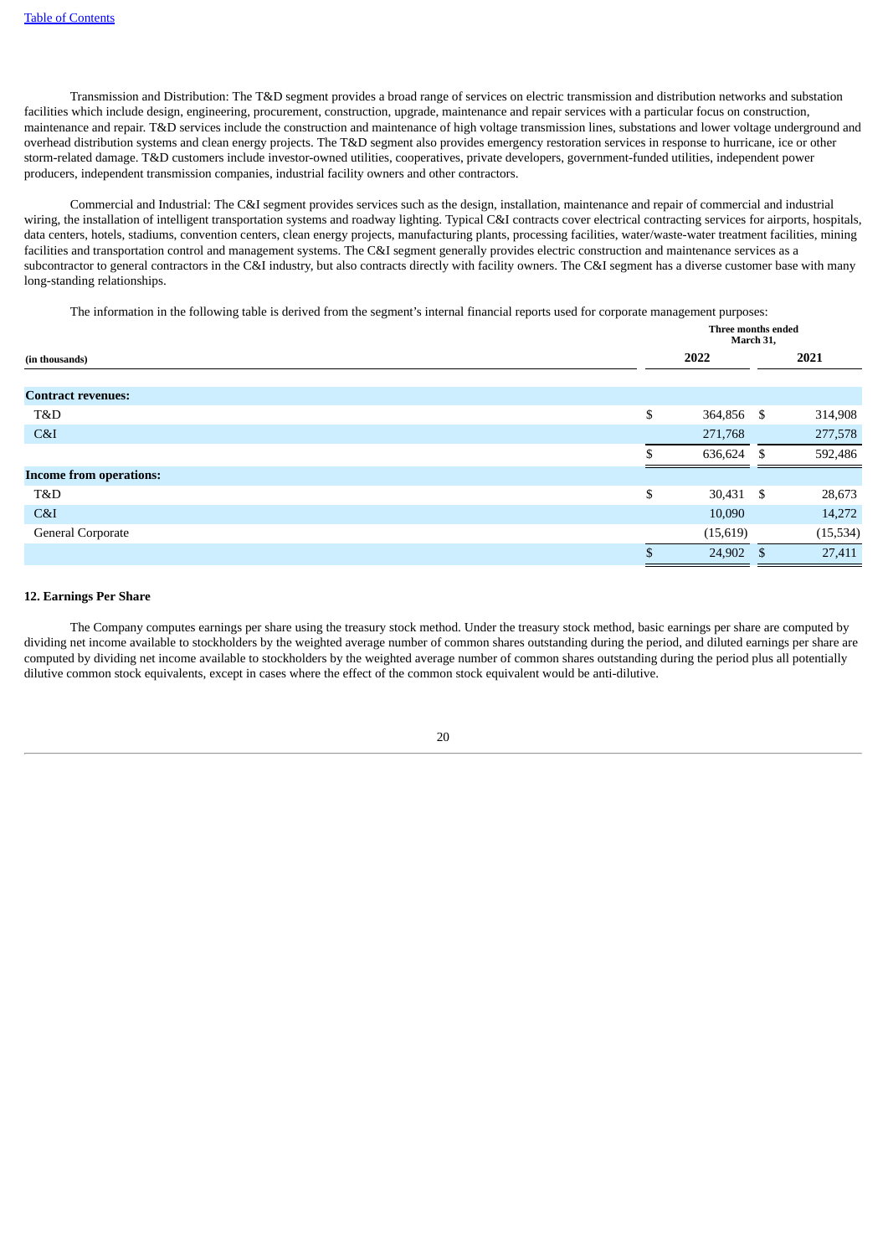Transmission and Distribution: The T&D segment provides a broad range of services on electric transmission and distribution networks and substation facilities which include design, engineering, procurement, construction, upgrade, maintenance and repair services with a particular focus on construction, maintenance and repair. T&D services include the construction and maintenance of high voltage transmission lines, substations and lower voltage underground and overhead distribution systems and clean energy projects. The T&D segment also provides emergency restoration services in response to hurricane, ice or other storm-related damage. T&D customers include investor-owned utilities, cooperatives, private developers, government-funded utilities, independent power producers, independent transmission companies, industrial facility owners and other contractors.

Commercial and Industrial: The C&I segment provides services such as the design, installation, maintenance and repair of commercial and industrial wiring, the installation of intelligent transportation systems and roadway lighting. Typical C&I contracts cover electrical contracting services for airports, hospitals, data centers, hotels, stadiums, convention centers, clean energy projects, manufacturing plants, processing facilities, water/waste-water treatment facilities, mining facilities and transportation control and management systems. The C&I segment generally provides electric construction and maintenance services as a subcontractor to general contractors in the C&I industry, but also contracts directly with facility owners. The C&I segment has a diverse customer base with many long-standing relationships.

The information in the following table is derived from the segment's internal financial reports used for corporate management purposes:

|                                | <b>Three months ended</b><br>March 31, |  |           |  |  |  |
|--------------------------------|----------------------------------------|--|-----------|--|--|--|
| (in thousands)                 | 2022                                   |  | 2021      |  |  |  |
|                                |                                        |  |           |  |  |  |
| <b>Contract revenues:</b>      |                                        |  |           |  |  |  |
| T&D                            | \$<br>364,856 \$                       |  | 314,908   |  |  |  |
| C&I                            | 271,768                                |  | 277,578   |  |  |  |
|                                | 636,624 \$                             |  | 592,486   |  |  |  |
| <b>Income from operations:</b> |                                        |  |           |  |  |  |
| T&D                            | \$<br>30,431 \$                        |  | 28,673    |  |  |  |
| C&I                            | 10,090                                 |  | 14,272    |  |  |  |
| General Corporate              | (15, 619)                              |  | (15, 534) |  |  |  |
|                                | \$<br>24,902 \$                        |  | 27,411    |  |  |  |
|                                |                                        |  |           |  |  |  |

### **12. Earnings Per Share**

The Company computes earnings per share using the treasury stock method. Under the treasury stock method, basic earnings per share are computed by dividing net income available to stockholders by the weighted average number of common shares outstanding during the period, and diluted earnings per share are computed by dividing net income available to stockholders by the weighted average number of common shares outstanding during the period plus all potentially dilutive common stock equivalents, except in cases where the effect of the common stock equivalent would be anti-dilutive.

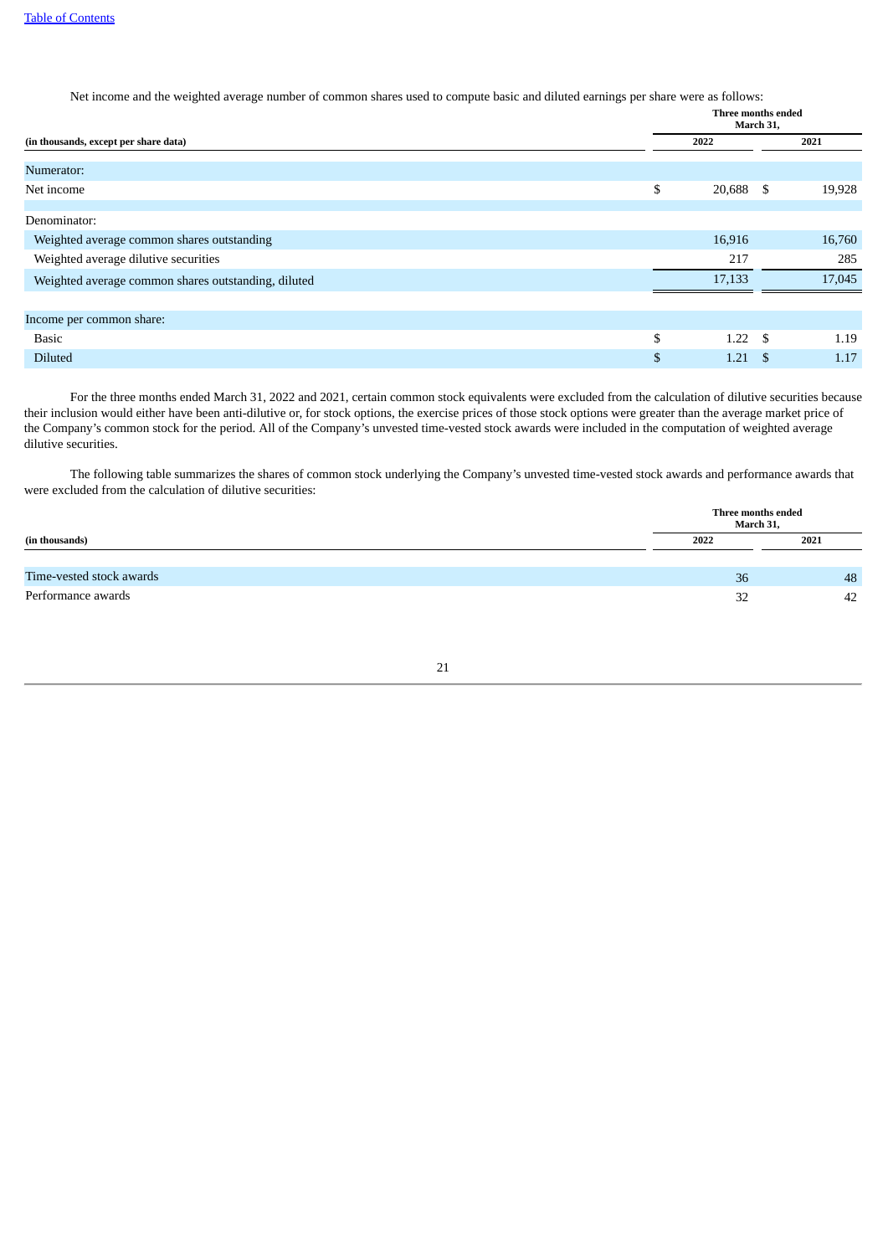Net income and the weighted average number of common shares used to compute basic and diluted earnings per share were as follows:

|                                                     | Three months ended    | March 31, |        |  |
|-----------------------------------------------------|-----------------------|-----------|--------|--|
| (in thousands, except per share data)               | 2022                  |           | 2021   |  |
| Numerator:                                          |                       |           |        |  |
| Net income                                          | \$<br>20,688 \$       |           | 19,928 |  |
| Denominator:                                        |                       |           |        |  |
| Weighted average common shares outstanding          | 16,916                |           | 16,760 |  |
| Weighted average dilutive securities                | 217                   |           | 285    |  |
| Weighted average common shares outstanding, diluted | 17,133                |           | 17,045 |  |
|                                                     |                       |           |        |  |
| Income per common share:                            |                       |           |        |  |
| <b>Basic</b>                                        | \$<br>$1.22 \quad$ \$ |           | 1.19   |  |
| <b>Diluted</b>                                      | \$<br>1.21            | S         | 1.17   |  |
|                                                     |                       |           |        |  |

For the three months ended March 31, 2022 and 2021, certain common stock equivalents were excluded from the calculation of dilutive securities because their inclusion would either have been anti-dilutive or, for stock options, the exercise prices of those stock options were greater than the average market price of the Company's common stock for the period. All of the Company's unvested time-vested stock awards were included in the computation of weighted average dilutive securities.

The following table summarizes the shares of common stock underlying the Company's unvested time-vested stock awards and performance awards that were excluded from the calculation of dilutive securities:

<span id="page-21-0"></span>

|                          | Three months ended<br>March 31, |      |  |  |
|--------------------------|---------------------------------|------|--|--|
| (in thousands)           | 2022                            | 2021 |  |  |
|                          |                                 |      |  |  |
| Time-vested stock awards | 36                              | 48   |  |  |
| Performance awards       | 32                              | 42   |  |  |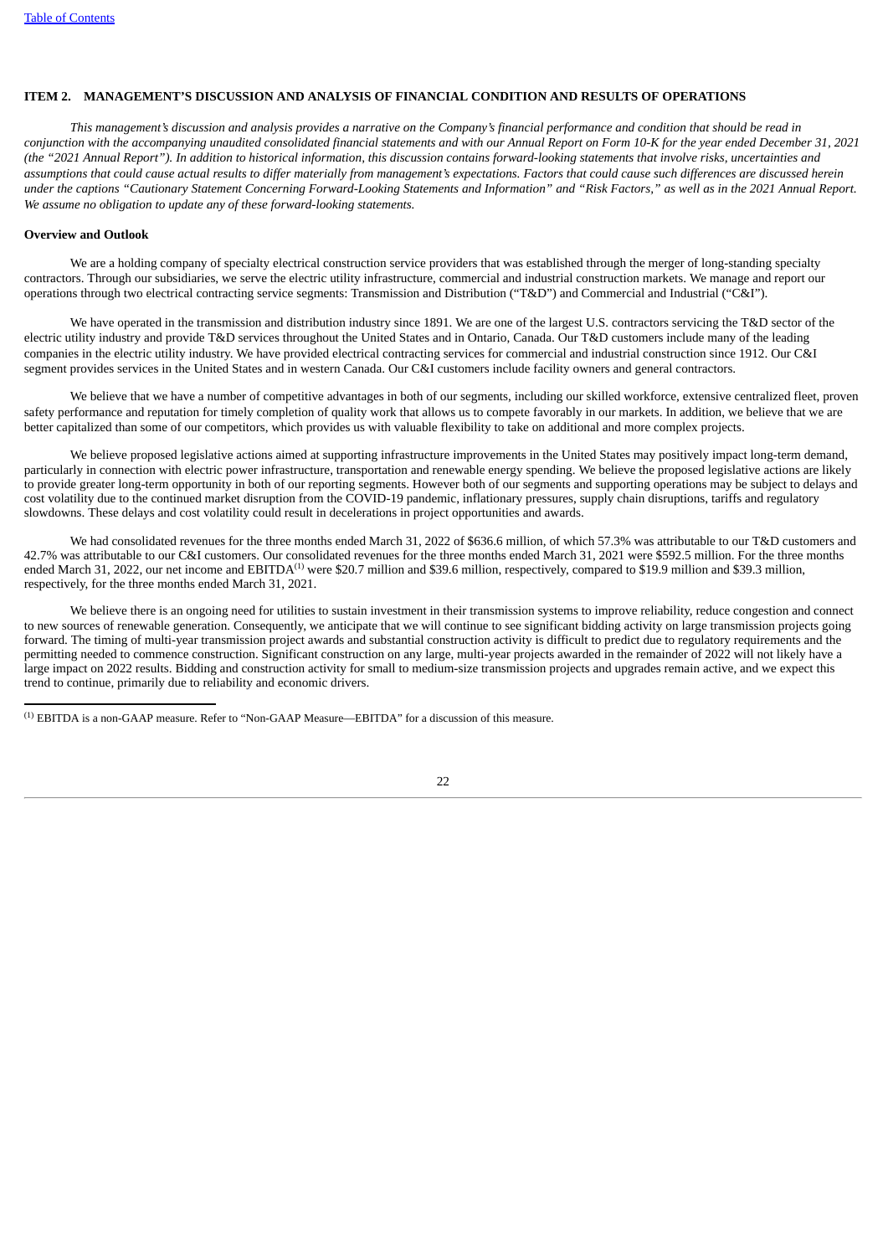### **ITEM 2. MANAGEMENT'S DISCUSSION AND ANALYSIS OF FINANCIAL CONDITION AND RESULTS OF OPERATIONS**

This management's discussion and analysis provides a narrative on the Company's financial performance and condition that should be read in conjunction with the accompanying unaudited consolidated financial statements and with our Annual Report on Form 10-K for the year ended December 31, 2021 (the "2021 Annual Report"). In addition to historical information, this discussion contains forward-looking statements that involve risks, uncertainties and assumptions that could cause actual results to differ materially from management's expectations. Factors that could cause such differences are discussed herein under the captions "Cautionary Statement Concerning Forward-Looking Statements and Information" and "Risk Factors," as well as in the 2021 Annual Report. *We assume no obligation to update any of these forward-looking statements.*

### **Overview and Outlook**

We are a holding company of specialty electrical construction service providers that was established through the merger of long-standing specialty contractors. Through our subsidiaries, we serve the electric utility infrastructure, commercial and industrial construction markets. We manage and report our operations through two electrical contracting service segments: Transmission and Distribution ("T&D") and Commercial and Industrial ("C&I").

We have operated in the transmission and distribution industry since 1891. We are one of the largest U.S. contractors servicing the T&D sector of the electric utility industry and provide T&D services throughout the United States and in Ontario, Canada. Our T&D customers include many of the leading companies in the electric utility industry. We have provided electrical contracting services for commercial and industrial construction since 1912. Our C&I segment provides services in the United States and in western Canada. Our C&I customers include facility owners and general contractors.

We believe that we have a number of competitive advantages in both of our segments, including our skilled workforce, extensive centralized fleet, proven safety performance and reputation for timely completion of quality work that allows us to compete favorably in our markets. In addition, we believe that we are better capitalized than some of our competitors, which provides us with valuable flexibility to take on additional and more complex projects.

We believe proposed legislative actions aimed at supporting infrastructure improvements in the United States may positively impact long-term demand, particularly in connection with electric power infrastructure, transportation and renewable energy spending. We believe the proposed legislative actions are likely to provide greater long-term opportunity in both of our reporting segments. However both of our segments and supporting operations may be subject to delays and cost volatility due to the continued market disruption from the COVID-19 pandemic, inflationary pressures, supply chain disruptions, tariffs and regulatory slowdowns. These delays and cost volatility could result in decelerations in project opportunities and awards.

We had consolidated revenues for the three months ended March 31, 2022 of \$636.6 million, of which 57.3% was attributable to our T&D customers and 42.7% was attributable to our C&I customers. Our consolidated revenues for the three months ended March 31, 2021 were \$592.5 million. For the three months ended March 31, 2022, our net income and EBITDA<sup>(1)</sup> were \$20.7 million and \$39.6 million, respectively, compared to \$19.9 million and \$39.3 million, respectively, for the three months ended March 31, 2021.

We believe there is an ongoing need for utilities to sustain investment in their transmission systems to improve reliability, reduce congestion and connect to new sources of renewable generation. Consequently, we anticipate that we will continue to see significant bidding activity on large transmission projects going forward. The timing of multi-year transmission project awards and substantial construction activity is difficult to predict due to regulatory requirements and the permitting needed to commence construction. Significant construction on any large, multi-year projects awarded in the remainder of 2022 will not likely have a large impact on 2022 results. Bidding and construction activity for small to medium-size transmission projects and upgrades remain active, and we expect this trend to continue, primarily due to reliability and economic drivers.

 $<sup>(1)</sup>$  EBITDA is a non-GAAP measure. Refer to "Non-GAAP Measure—EBITDA" for a discussion of this measure.</sup>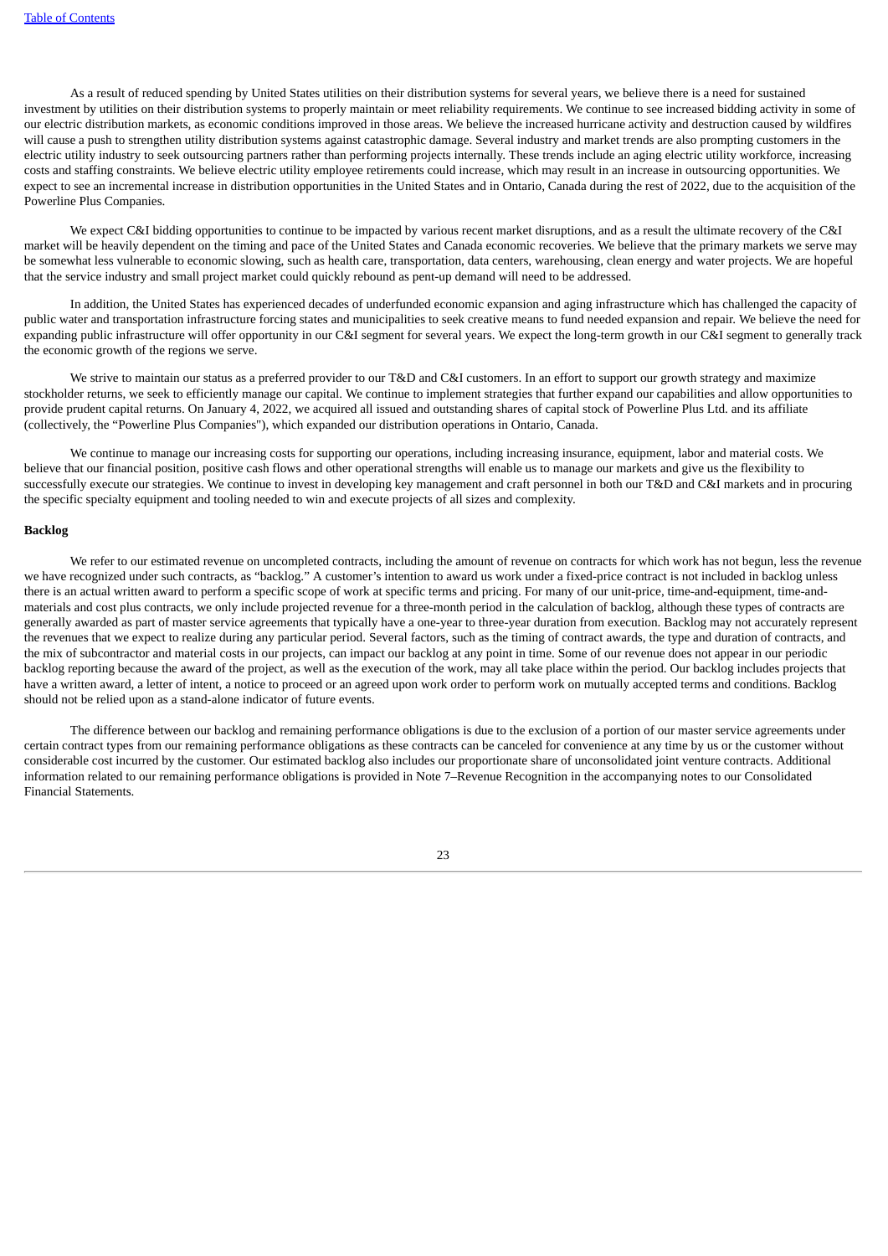As a result of reduced spending by United States utilities on their distribution systems for several years, we believe there is a need for sustained investment by utilities on their distribution systems to properly maintain or meet reliability requirements. We continue to see increased bidding activity in some of our electric distribution markets, as economic conditions improved in those areas. We believe the increased hurricane activity and destruction caused by wildfires will cause a push to strengthen utility distribution systems against catastrophic damage. Several industry and market trends are also prompting customers in the electric utility industry to seek outsourcing partners rather than performing projects internally. These trends include an aging electric utility workforce, increasing costs and staffing constraints. We believe electric utility employee retirements could increase, which may result in an increase in outsourcing opportunities. We expect to see an incremental increase in distribution opportunities in the United States and in Ontario, Canada during the rest of 2022, due to the acquisition of the Powerline Plus Companies.

We expect C&I bidding opportunities to continue to be impacted by various recent market disruptions, and as a result the ultimate recovery of the C&I market will be heavily dependent on the timing and pace of the United States and Canada economic recoveries. We believe that the primary markets we serve may be somewhat less vulnerable to economic slowing, such as health care, transportation, data centers, warehousing, clean energy and water projects. We are hopeful that the service industry and small project market could quickly rebound as pent-up demand will need to be addressed.

In addition, the United States has experienced decades of underfunded economic expansion and aging infrastructure which has challenged the capacity of public water and transportation infrastructure forcing states and municipalities to seek creative means to fund needed expansion and repair. We believe the need for expanding public infrastructure will offer opportunity in our C&I segment for several years. We expect the long-term growth in our C&I segment to generally track the economic growth of the regions we serve.

We strive to maintain our status as a preferred provider to our T&D and C&I customers. In an effort to support our growth strategy and maximize stockholder returns, we seek to efficiently manage our capital. We continue to implement strategies that further expand our capabilities and allow opportunities to provide prudent capital returns. On January 4, 2022, we acquired all issued and outstanding shares of capital stock of Powerline Plus Ltd. and its affiliate (collectively, the "Powerline Plus Companies"), which expanded our distribution operations in Ontario, Canada.

We continue to manage our increasing costs for supporting our operations, including increasing insurance, equipment, labor and material costs. We believe that our financial position, positive cash flows and other operational strengths will enable us to manage our markets and give us the flexibility to successfully execute our strategies. We continue to invest in developing key management and craft personnel in both our T&D and C&I markets and in procuring the specific specialty equipment and tooling needed to win and execute projects of all sizes and complexity.

### **Backlog**

We refer to our estimated revenue on uncompleted contracts, including the amount of revenue on contracts for which work has not begun, less the revenue we have recognized under such contracts, as "backlog." A customer's intention to award us work under a fixed-price contract is not included in backlog unless there is an actual written award to perform a specific scope of work at specific terms and pricing. For many of our unit-price, time-and-equipment, time-andmaterials and cost plus contracts, we only include projected revenue for a three-month period in the calculation of backlog, although these types of contracts are generally awarded as part of master service agreements that typically have a one-year to three-year duration from execution. Backlog may not accurately represent the revenues that we expect to realize during any particular period. Several factors, such as the timing of contract awards, the type and duration of contracts, and the mix of subcontractor and material costs in our projects, can impact our backlog at any point in time. Some of our revenue does not appear in our periodic backlog reporting because the award of the project, as well as the execution of the work, may all take place within the period. Our backlog includes projects that have a written award, a letter of intent, a notice to proceed or an agreed upon work order to perform work on mutually accepted terms and conditions. Backlog should not be relied upon as a stand-alone indicator of future events.

The difference between our backlog and remaining performance obligations is due to the exclusion of a portion of our master service agreements under certain contract types from our remaining performance obligations as these contracts can be canceled for convenience at any time by us or the customer without considerable cost incurred by the customer. Our estimated backlog also includes our proportionate share of unconsolidated joint venture contracts. Additional information related to our remaining performance obligations is provided in Note 7–Revenue Recognition in the accompanying notes to our Consolidated Financial Statements.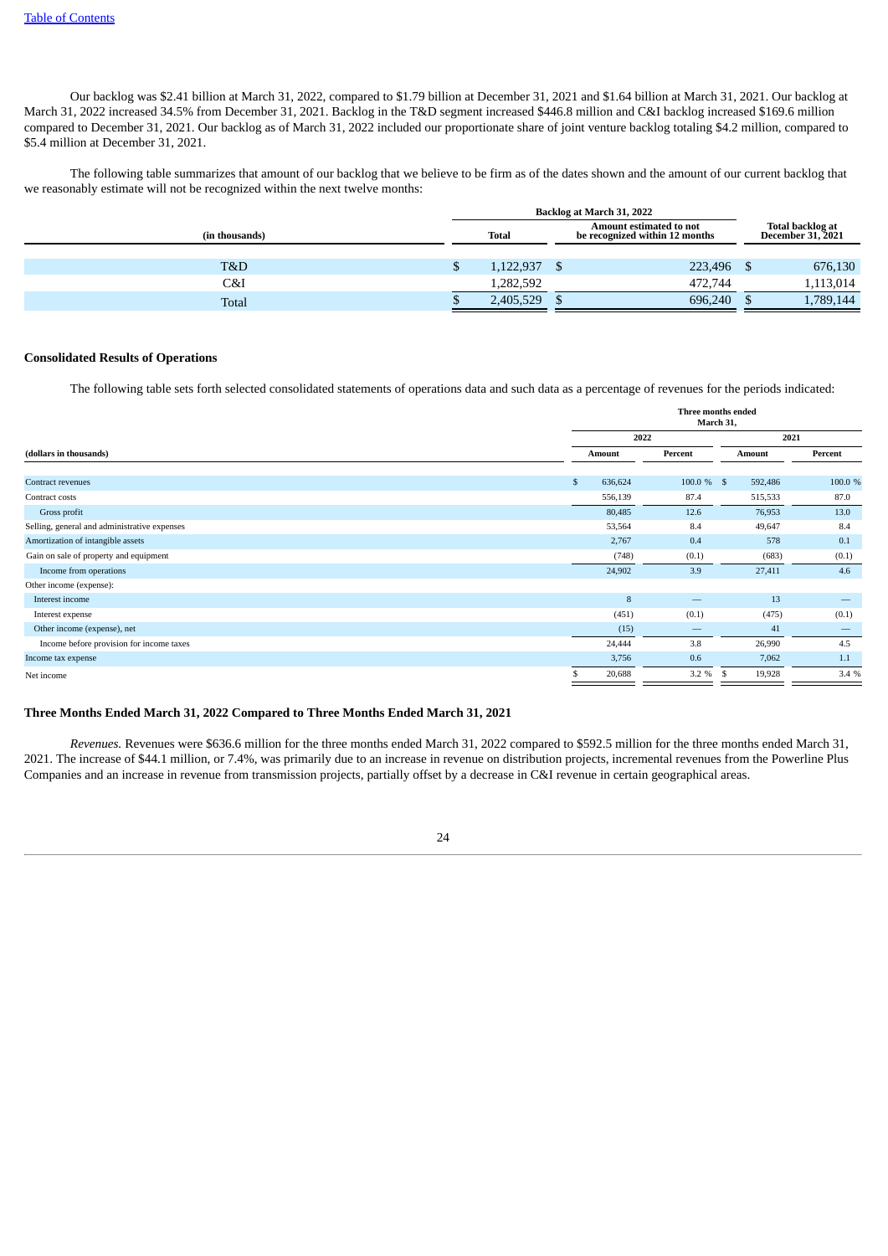Our backlog was \$2.41 billion at March 31, 2022, compared to \$1.79 billion at December 31, 2021 and \$1.64 billion at March 31, 2021. Our backlog at March 31, 2022 increased 34.5% from December 31, 2021. Backlog in the T&D segment increased \$446.8 million and C&I backlog increased \$169.6 million compared to December 31, 2021. Our backlog as of March 31, 2022 included our proportionate share of joint venture backlog totaling \$4.2 million, compared to \$5.4 million at December 31, 2021.

The following table summarizes that amount of our backlog that we believe to be firm as of the dates shown and the amount of our current backlog that we reasonably estimate will not be recognized within the next twelve months:

|                | <b>Backlog at March 31, 2022</b> |                |  |                                                                  |  |                                                     |
|----------------|----------------------------------|----------------|--|------------------------------------------------------------------|--|-----------------------------------------------------|
| (in thousands) |                                  | Total          |  | <b>Amount estimated to not</b><br>be recognized within 12 months |  | <b>Total backlog at</b><br><b>December 31, 2021</b> |
|                |                                  |                |  |                                                                  |  |                                                     |
| T&D            | Φ                                | $1,122,937$ \$ |  | 223,496                                                          |  | 676,130                                             |
| C&I            |                                  | 1,282,592      |  | 472.744                                                          |  | 1,113,014                                           |
| Total          |                                  | 2,405,529      |  | 696,240                                                          |  | 1,789,144                                           |

### **Consolidated Results of Operations**

The following table sets forth selected consolidated statements of operations data and such data as a percentage of revenues for the periods indicated:

|                                              | Three months ended<br>March 31, |               |                          |    |         |                                 |  |  |
|----------------------------------------------|---------------------------------|---------------|--------------------------|----|---------|---------------------------------|--|--|
|                                              |                                 | 2022          |                          |    | 2021    |                                 |  |  |
| (dollars in thousands)                       |                                 | <b>Amount</b> | Percent                  |    | Amount  | Percent                         |  |  |
|                                              |                                 |               |                          |    |         |                                 |  |  |
| Contract revenues                            | \$                              | 636,624       | $100.0 \%$ \$            |    | 592,486 | 100.0 %                         |  |  |
| Contract costs                               |                                 | 556,139       | 87.4                     |    | 515,533 | 87.0                            |  |  |
| Gross profit                                 |                                 | 80,485        | 12.6                     |    | 76,953  | 13.0                            |  |  |
| Selling, general and administrative expenses |                                 | 53,564        | 8.4                      |    | 49,647  | 8.4                             |  |  |
| Amortization of intangible assets            |                                 | 2,767         | 0.4                      |    | 578     | 0.1                             |  |  |
| Gain on sale of property and equipment       |                                 | (748)         | (0.1)                    |    | (683)   | (0.1)                           |  |  |
| Income from operations                       |                                 | 24,902        | 3.9                      |    | 27,411  | 4.6                             |  |  |
| Other income (expense):                      |                                 |               |                          |    |         |                                 |  |  |
| Interest income                              |                                 | 8             | $\overline{\phantom{a}}$ |    | 13      |                                 |  |  |
| Interest expense                             |                                 | (451)         | (0.1)                    |    | (475)   | (0.1)                           |  |  |
| Other income (expense), net                  |                                 | (15)          |                          |    | 41      | $\hspace{0.1mm}-\hspace{0.1mm}$ |  |  |
| Income before provision for income taxes     |                                 | 24,444        | 3.8                      |    | 26,990  | 4.5                             |  |  |
| Income tax expense                           |                                 | 3,756         | 0.6                      |    | 7,062   | 1.1                             |  |  |
| Net income                                   |                                 | 20,688        | 3.2%                     | -S | 19,928  | 3.4 %                           |  |  |

### **Three Months Ended March 31, 2022 Compared to Three Months Ended March 31, 2021**

*Revenues.* Revenues were \$636.6 million for the three months ended March 31, 2022 compared to \$592.5 million for the three months ended March 31, 2021. The increase of \$44.1 million, or 7.4%, was primarily due to an increase in revenue on distribution projects, incremental revenues from the Powerline Plus Companies and an increase in revenue from transmission projects, partially offset by a decrease in C&I revenue in certain geographical areas.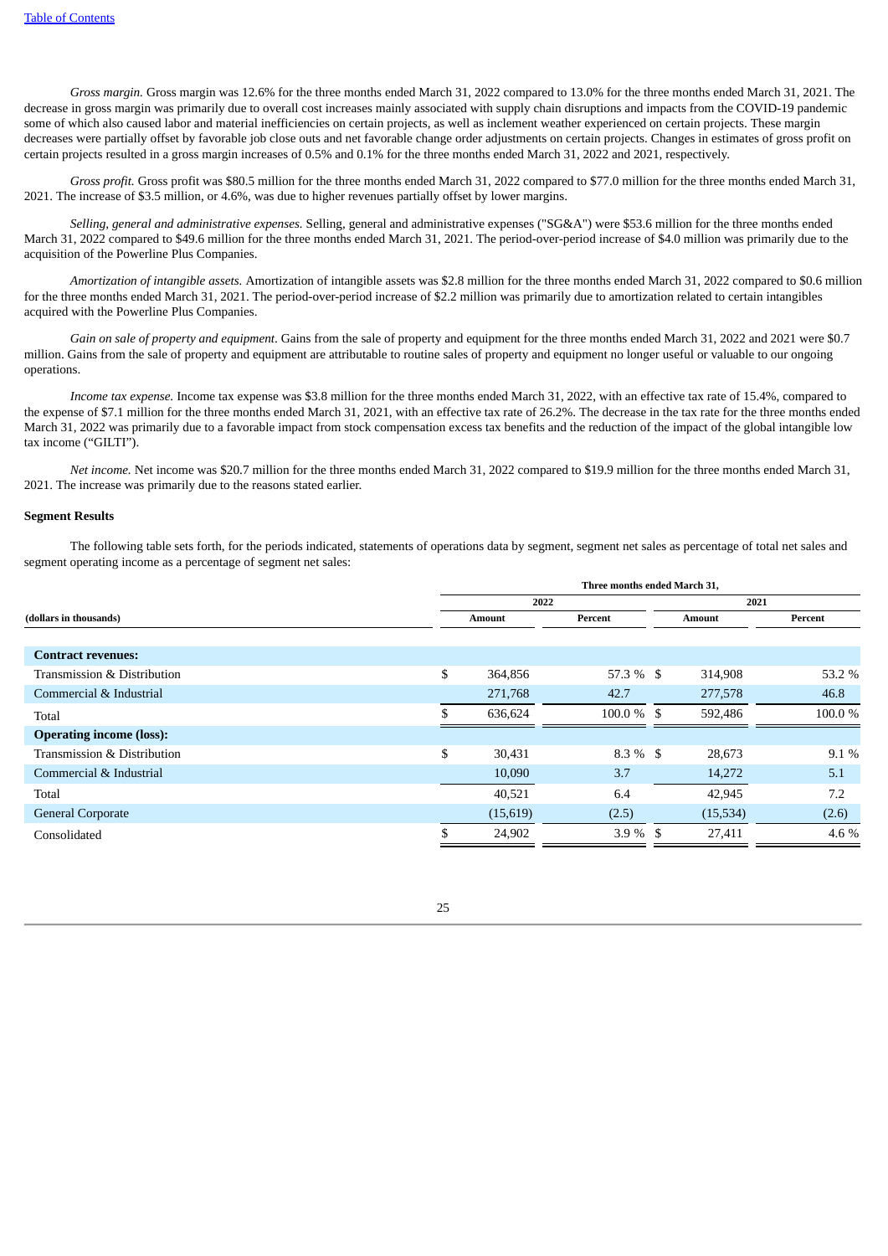*Gross margin.* Gross margin was 12.6% for the three months ended March 31, 2022 compared to 13.0% for the three months ended March 31, 2021. The decrease in gross margin was primarily due to overall cost increases mainly associated with supply chain disruptions and impacts from the COVID-19 pandemic some of which also caused labor and material inefficiencies on certain projects, as well as inclement weather experienced on certain projects. These margin decreases were partially offset by favorable job close outs and net favorable change order adjustments on certain projects. Changes in estimates of gross profit on certain projects resulted in a gross margin increases of 0.5% and 0.1% for the three months ended March 31, 2022 and 2021, respectively.

*Gross profit.* Gross profit was \$80.5 million for the three months ended March 31, 2022 compared to \$77.0 million for the three months ended March 31, 2021. The increase of \$3.5 million, or 4.6%, was due to higher revenues partially offset by lower margins.

*Selling, general and administrative expenses.* Selling, general and administrative expenses ("SG&A") were \$53.6 million for the three months ended March 31, 2022 compared to \$49.6 million for the three months ended March 31, 2021. The period-over-period increase of \$4.0 million was primarily due to the acquisition of the Powerline Plus Companies.

*Amortization of intangible assets.* Amortization of intangible assets was \$2.8 million for the three months ended March 31, 2022 compared to \$0.6 million for the three months ended March 31, 2021. The period-over-period increase of \$2.2 million was primarily due to amortization related to certain intangibles acquired with the Powerline Plus Companies.

*Gain on sale of property and equipment*. Gains from the sale of property and equipment for the three months ended March 31, 2022 and 2021 were \$0.7 million. Gains from the sale of property and equipment are attributable to routine sales of property and equipment no longer useful or valuable to our ongoing operations.

*Income tax expense.* Income tax expense was \$3.8 million for the three months ended March 31, 2022, with an effective tax rate of 15.4%, compared to the expense of \$7.1 million for the three months ended March 31, 2021, with an effective tax rate of 26.2%. The decrease in the tax rate for the three months ended March 31, 2022 was primarily due to a favorable impact from stock compensation excess tax benefits and the reduction of the impact of the global intangible low tax income ("GILTI").

*Net income.* Net income was \$20.7 million for the three months ended March 31, 2022 compared to \$19.9 million for the three months ended March 31, 2021. The increase was primarily due to the reasons stated earlier.

### **Segment Results**

The following table sets forth, for the periods indicated, statements of operations data by segment, segment net sales as percentage of total net sales and segment operating income as a percentage of segment net sales:

|                                 |               | Three months ended March 31, |               |         |
|---------------------------------|---------------|------------------------------|---------------|---------|
|                                 | 2022          |                              |               | 2021    |
| (dollars in thousands)          | Amount        | Percent                      | <b>Amount</b> | Percent |
|                                 |               |                              |               |         |
| <b>Contract revenues:</b>       |               |                              |               |         |
| Transmission & Distribution     | \$<br>364,856 | $57.3\%$ \$                  | 314,908       | 53.2 %  |
| Commercial & Industrial         | 271,768       | 42.7                         | 277,578       | 46.8    |
| Total                           | 636,624       | $100.0 \%$ \$                | 592,486       | 100.0%  |
| <b>Operating income (loss):</b> |               |                              |               |         |
| Transmission & Distribution     | \$<br>30,431  | $8.3\%$ \$                   | 28,673        | 9.1%    |
| Commercial & Industrial         | 10,090        | 3.7                          | 14,272        | 5.1     |
| Total                           | 40,521        | 6.4                          | 42,945        | 7.2     |
| <b>General Corporate</b>        | (15,619)      | (2.5)                        | (15, 534)     | (2.6)   |
| Consolidated                    | 24,902        | $3.9\%$ \$                   | 27,411        | 4.6 %   |
|                                 |               |                              |               |         |

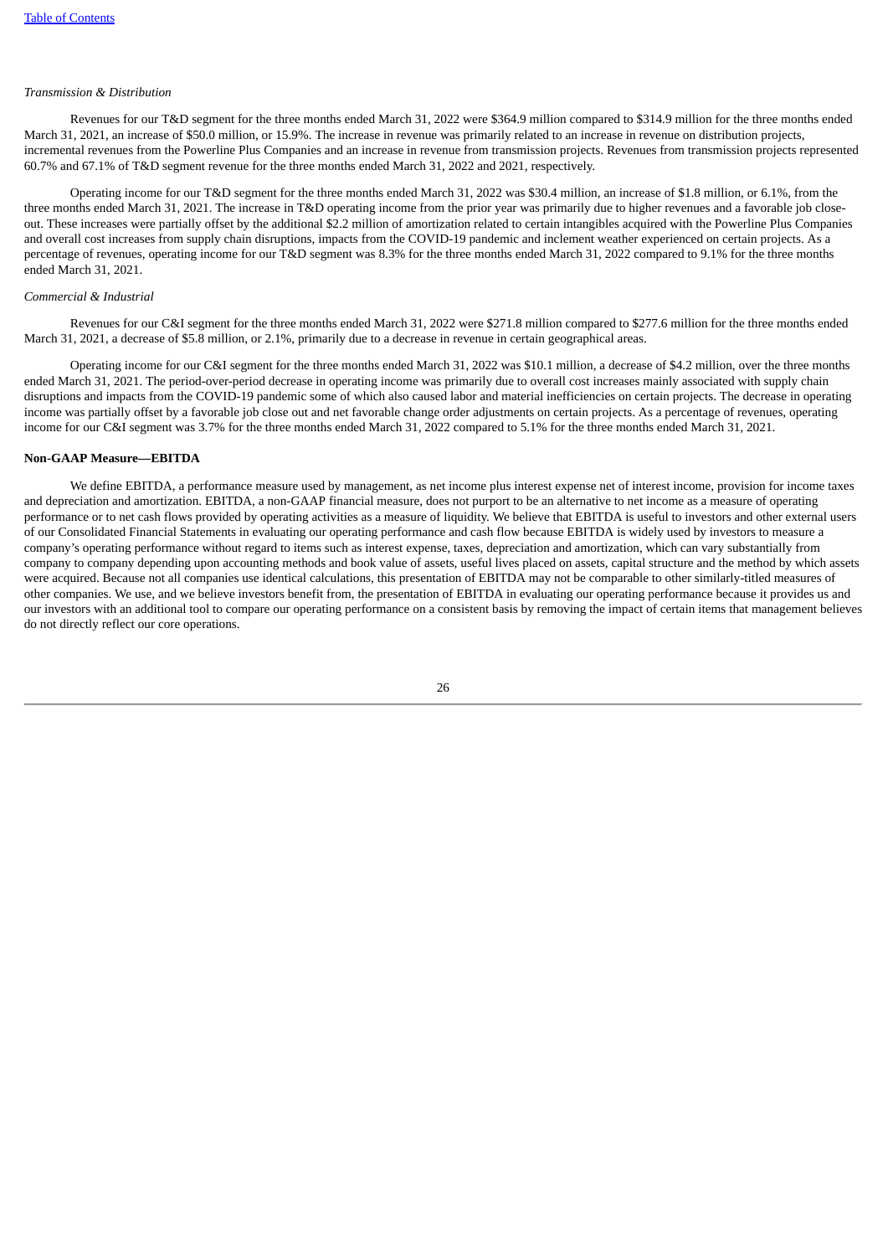### *Transmission & Distribution*

Revenues for our T&D segment for the three months ended March 31, 2022 were \$364.9 million compared to \$314.9 million for the three months ended March 31, 2021, an increase of \$50.0 million, or 15.9%. The increase in revenue was primarily related to an increase in revenue on distribution projects, incremental revenues from the Powerline Plus Companies and an increase in revenue from transmission projects. Revenues from transmission projects represented 60.7% and 67.1% of T&D segment revenue for the three months ended March 31, 2022 and 2021, respectively.

Operating income for our T&D segment for the three months ended March 31, 2022 was \$30.4 million, an increase of \$1.8 million, or 6.1%, from the three months ended March 31, 2021. The increase in T&D operating income from the prior year was primarily due to higher revenues and a favorable job closeout. These increases were partially offset by the additional \$2.2 million of amortization related to certain intangibles acquired with the Powerline Plus Companies and overall cost increases from supply chain disruptions, impacts from the COVID-19 pandemic and inclement weather experienced on certain projects. As a percentage of revenues, operating income for our T&D segment was 8.3% for the three months ended March 31, 2022 compared to 9.1% for the three months ended March 31, 2021.

#### *Commercial & Industrial*

Revenues for our C&I segment for the three months ended March 31, 2022 were \$271.8 million compared to \$277.6 million for the three months ended March 31, 2021, a decrease of \$5.8 million, or 2.1%, primarily due to a decrease in revenue in certain geographical areas.

Operating income for our C&I segment for the three months ended March 31, 2022 was \$10.1 million, a decrease of \$4.2 million, over the three months ended March 31, 2021. The period-over-period decrease in operating income was primarily due to overall cost increases mainly associated with supply chain disruptions and impacts from the COVID-19 pandemic some of which also caused labor and material inefficiencies on certain projects. The decrease in operating income was partially offset by a favorable job close out and net favorable change order adjustments on certain projects. As a percentage of revenues, operating income for our C&I segment was 3.7% for the three months ended March 31, 2022 compared to 5.1% for the three months ended March 31, 2021.

### **Non-GAAP Measure—EBITDA**

We define EBITDA, a performance measure used by management, as net income plus interest expense net of interest income, provision for income taxes and depreciation and amortization. EBITDA, a non-GAAP financial measure, does not purport to be an alternative to net income as a measure of operating performance or to net cash flows provided by operating activities as a measure of liquidity. We believe that EBITDA is useful to investors and other external users of our Consolidated Financial Statements in evaluating our operating performance and cash flow because EBITDA is widely used by investors to measure a company's operating performance without regard to items such as interest expense, taxes, depreciation and amortization, which can vary substantially from company to company depending upon accounting methods and book value of assets, useful lives placed on assets, capital structure and the method by which assets were acquired. Because not all companies use identical calculations, this presentation of EBITDA may not be comparable to other similarly-titled measures of other companies. We use, and we believe investors benefit from, the presentation of EBITDA in evaluating our operating performance because it provides us and our investors with an additional tool to compare our operating performance on a consistent basis by removing the impact of certain items that management believes do not directly reflect our core operations.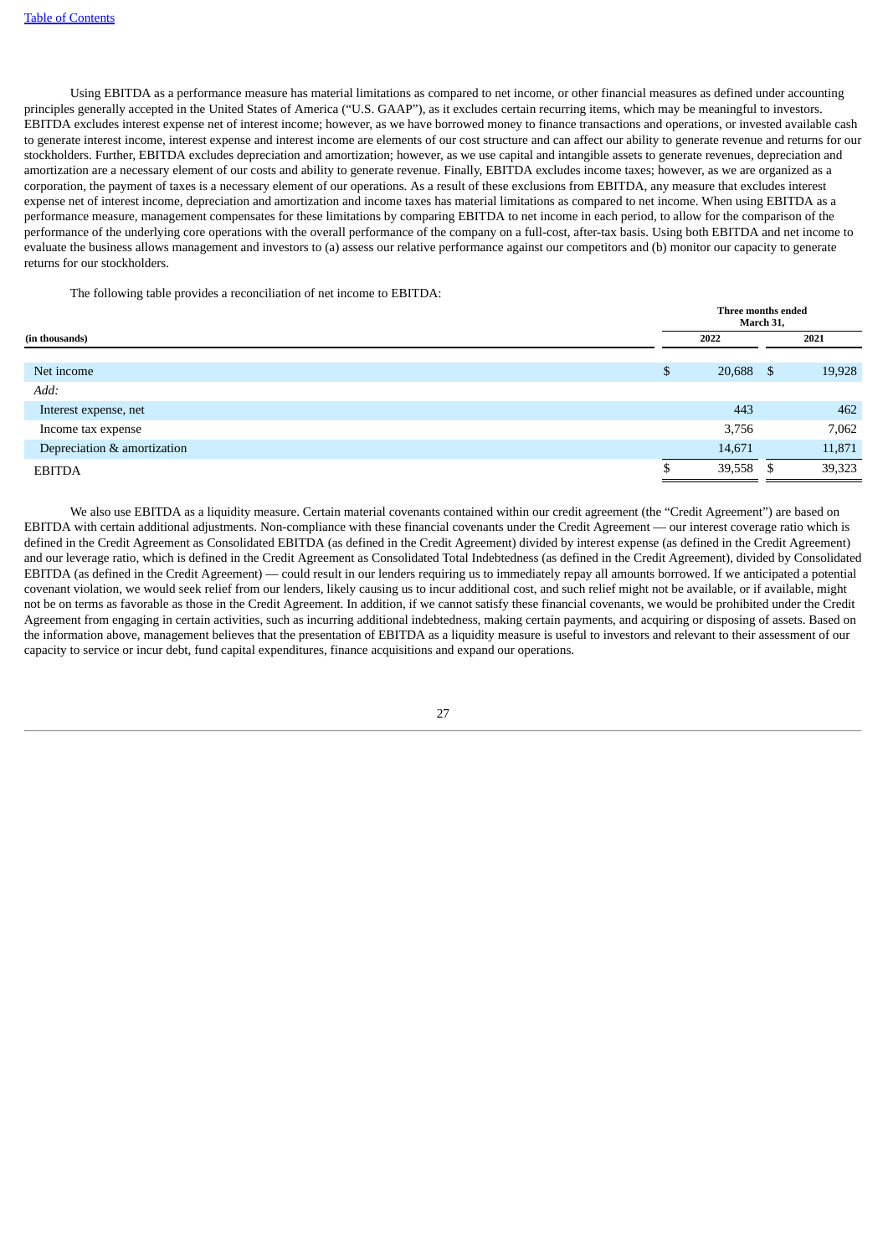Using EBITDA as a performance measure has material limitations as compared to net income, or other financial measures as defined under accounting principles generally accepted in the United States of America ("U.S. GAAP"), as it excludes certain recurring items, which may be meaningful to investors. EBITDA excludes interest expense net of interest income; however, as we have borrowed money to finance transactions and operations, or invested available cash to generate interest income, interest expense and interest income are elements of our cost structure and can affect our ability to generate revenue and returns for our stockholders. Further, EBITDA excludes depreciation and amortization; however, as we use capital and intangible assets to generate revenues, depreciation and amortization are a necessary element of our costs and ability to generate revenue. Finally, EBITDA excludes income taxes; however, as we are organized as a corporation, the payment of taxes is a necessary element of our operations. As a result of these exclusions from EBITDA, any measure that excludes interest expense net of interest income, depreciation and amortization and income taxes has material limitations as compared to net income. When using EBITDA as a performance measure, management compensates for these limitations by comparing EBITDA to net income in each period, to allow for the comparison of the performance of the underlying core operations with the overall performance of the company on a full-cost, after-tax basis. Using both EBITDA and net income to evaluate the business allows management and investors to (a) assess our relative performance against our competitors and (b) monitor our capacity to generate returns for our stockholders.

The following table provides a reconciliation of net income to EBITDA:

|                             | Three months ended<br>March 31, |             |  |        |  |
|-----------------------------|---------------------------------|-------------|--|--------|--|
| (in thousands)              |                                 | 2022        |  | 2021   |  |
| Net income                  | \$                              | $20,688$ \$ |  | 19,928 |  |
| Add:                        |                                 |             |  |        |  |
| Interest expense, net       |                                 | 443         |  | 462    |  |
| Income tax expense          |                                 | 3,756       |  | 7,062  |  |
| Depreciation & amortization |                                 | 14,671      |  | 11,871 |  |
| <b>EBITDA</b>               |                                 | 39,558 \$   |  | 39,323 |  |

We also use EBITDA as a liquidity measure. Certain material covenants contained within our credit agreement (the "Credit Agreement") are based on EBITDA with certain additional adjustments. Non-compliance with these financial covenants under the Credit Agreement — our interest coverage ratio which is defined in the Credit Agreement as Consolidated EBITDA (as defined in the Credit Agreement) divided by interest expense (as defined in the Credit Agreement) and our leverage ratio, which is defined in the Credit Agreement as Consolidated Total Indebtedness (as defined in the Credit Agreement), divided by Consolidated EBITDA (as defined in the Credit Agreement) — could result in our lenders requiring us to immediately repay all amounts borrowed. If we anticipated a potential covenant violation, we would seek relief from our lenders, likely causing us to incur additional cost, and such relief might not be available, or if available, might not be on terms as favorable as those in the Credit Agreement. In addition, if we cannot satisfy these financial covenants, we would be prohibited under the Credit Agreement from engaging in certain activities, such as incurring additional indebtedness, making certain payments, and acquiring or disposing of assets. Based on the information above, management believes that the presentation of EBITDA as a liquidity measure is useful to investors and relevant to their assessment of our capacity to service or incur debt, fund capital expenditures, finance acquisitions and expand our operations.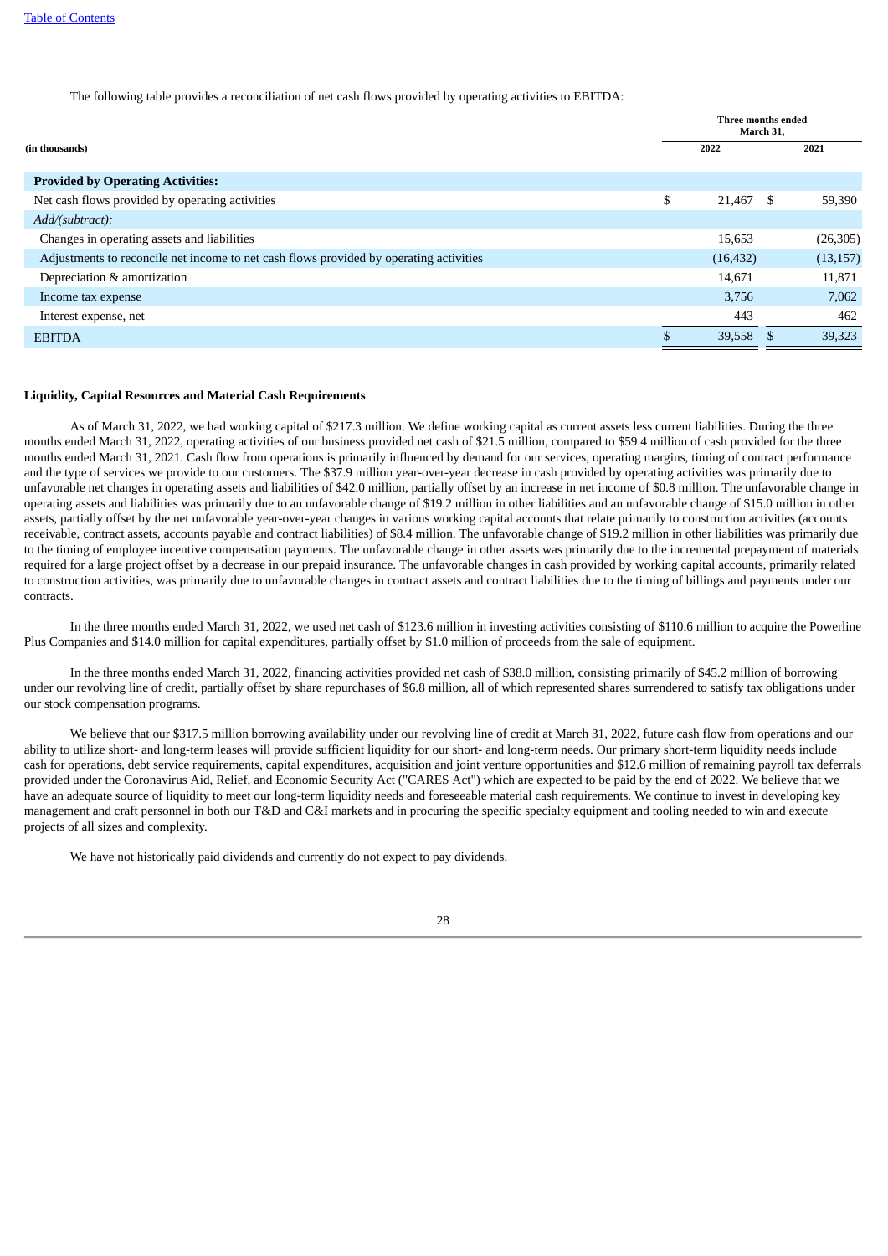### The following table provides a reconciliation of net cash flows provided by operating activities to EBITDA:

|                                                                                        | Three months ended | March 31, |           |
|----------------------------------------------------------------------------------------|--------------------|-----------|-----------|
| (in thousands)                                                                         | 2022               |           | 2021      |
| <b>Provided by Operating Activities:</b>                                               |                    |           |           |
| Net cash flows provided by operating activities                                        | \$<br>21,467 \$    |           | 59.390    |
| Add/(subtract):                                                                        |                    |           |           |
| Changes in operating assets and liabilities                                            | 15,653             |           | (26, 305) |
| Adjustments to reconcile net income to net cash flows provided by operating activities | (16, 432)          |           | (13, 157) |
| Depreciation & amortization                                                            | 14.671             |           | 11,871    |
| Income tax expense                                                                     | 3,756              |           | 7,062     |
| Interest expense, net                                                                  | 443                |           | 462       |
| <b>EBITDA</b>                                                                          | 39,558 \$          |           | 39,323    |

### **Liquidity, Capital Resources and Material Cash Requirements**

As of March 31, 2022, we had working capital of \$217.3 million. We define working capital as current assets less current liabilities. During the three months ended March 31, 2022, operating activities of our business provided net cash of \$21.5 million, compared to \$59.4 million of cash provided for the three months ended March 31, 2021. Cash flow from operations is primarily influenced by demand for our services, operating margins, timing of contract performance and the type of services we provide to our customers. The \$37.9 million year-over-year decrease in cash provided by operating activities was primarily due to unfavorable net changes in operating assets and liabilities of \$42.0 million, partially offset by an increase in net income of \$0.8 million. The unfavorable change in operating assets and liabilities was primarily due to an unfavorable change of \$19.2 million in other liabilities and an unfavorable change of \$15.0 million in other assets, partially offset by the net unfavorable year-over-year changes in various working capital accounts that relate primarily to construction activities (accounts receivable, contract assets, accounts payable and contract liabilities) of \$8.4 million. The unfavorable change of \$19.2 million in other liabilities was primarily due to the timing of employee incentive compensation payments. The unfavorable change in other assets was primarily due to the incremental prepayment of materials required for a large project offset by a decrease in our prepaid insurance. The unfavorable changes in cash provided by working capital accounts, primarily related to construction activities, was primarily due to unfavorable changes in contract assets and contract liabilities due to the timing of billings and payments under our contracts.

In the three months ended March 31, 2022, we used net cash of \$123.6 million in investing activities consisting of \$110.6 million to acquire the Powerline Plus Companies and \$14.0 million for capital expenditures, partially offset by \$1.0 million of proceeds from the sale of equipment.

In the three months ended March 31, 2022, financing activities provided net cash of \$38.0 million, consisting primarily of \$45.2 million of borrowing under our revolving line of credit, partially offset by share repurchases of \$6.8 million, all of which represented shares surrendered to satisfy tax obligations under our stock compensation programs.

We believe that our \$317.5 million borrowing availability under our revolving line of credit at March 31, 2022, future cash flow from operations and our ability to utilize short- and long-term leases will provide sufficient liquidity for our short- and long-term needs. Our primary short-term liquidity needs include cash for operations, debt service requirements, capital expenditures, acquisition and joint venture opportunities and \$12.6 million of remaining payroll tax deferrals provided under the Coronavirus Aid, Relief, and Economic Security Act ("CARES Act") which are expected to be paid by the end of 2022. We believe that we have an adequate source of liquidity to meet our long-term liquidity needs and foreseeable material cash requirements. We continue to invest in developing key management and craft personnel in both our T&D and C&I markets and in procuring the specific specialty equipment and tooling needed to win and execute projects of all sizes and complexity.

We have not historically paid dividends and currently do not expect to pay dividends.

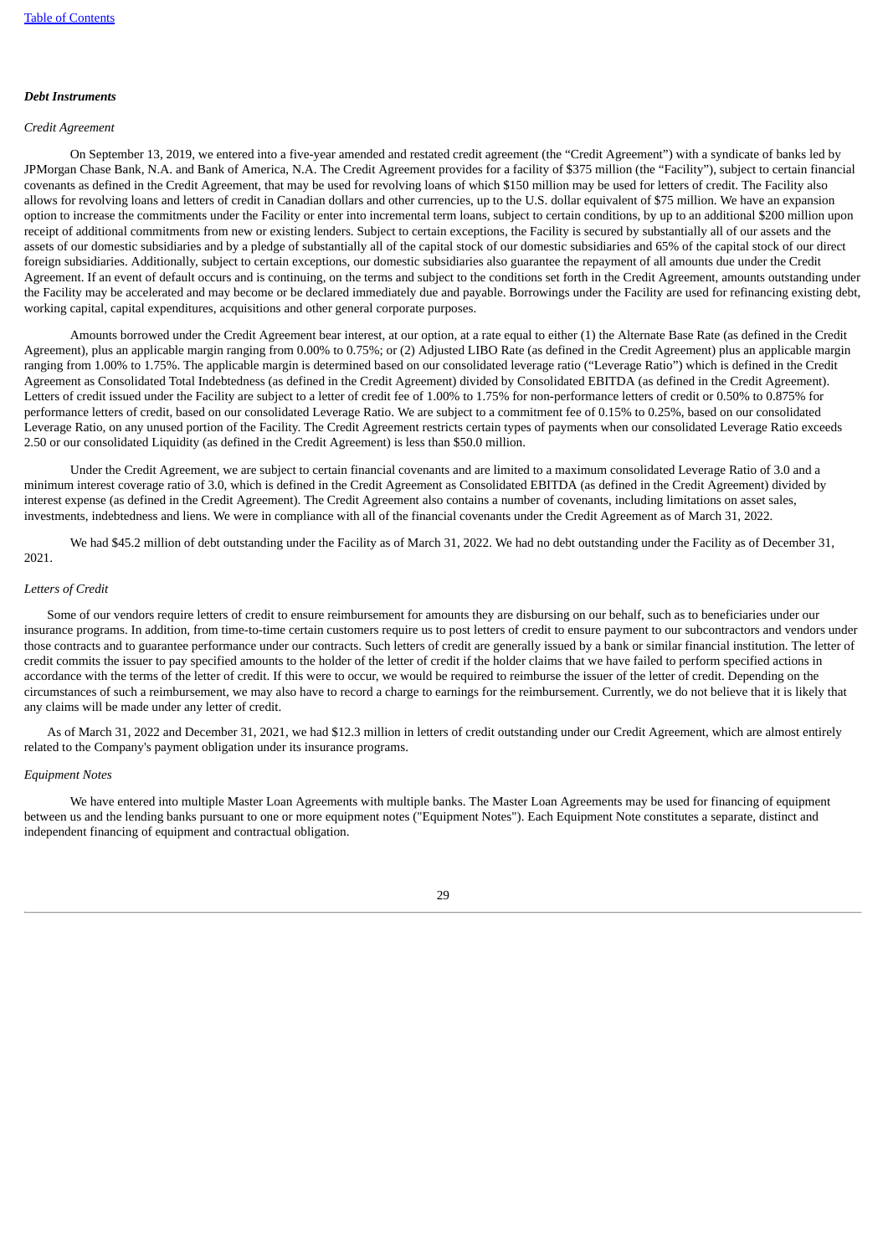#### *Debt Instruments*

#### *Credit Agreement*

On September 13, 2019, we entered into a five-year amended and restated credit agreement (the "Credit Agreement") with a syndicate of banks led by JPMorgan Chase Bank, N.A. and Bank of America, N.A. The Credit Agreement provides for a facility of \$375 million (the "Facility"), subject to certain financial covenants as defined in the Credit Agreement, that may be used for revolving loans of which \$150 million may be used for letters of credit. The Facility also allows for revolving loans and letters of credit in Canadian dollars and other currencies, up to the U.S. dollar equivalent of \$75 million. We have an expansion option to increase the commitments under the Facility or enter into incremental term loans, subject to certain conditions, by up to an additional \$200 million upon receipt of additional commitments from new or existing lenders. Subject to certain exceptions, the Facility is secured by substantially all of our assets and the assets of our domestic subsidiaries and by a pledge of substantially all of the capital stock of our domestic subsidiaries and 65% of the capital stock of our direct foreign subsidiaries. Additionally, subject to certain exceptions, our domestic subsidiaries also guarantee the repayment of all amounts due under the Credit Agreement. If an event of default occurs and is continuing, on the terms and subject to the conditions set forth in the Credit Agreement, amounts outstanding under the Facility may be accelerated and may become or be declared immediately due and payable. Borrowings under the Facility are used for refinancing existing debt, working capital, capital expenditures, acquisitions and other general corporate purposes.

Amounts borrowed under the Credit Agreement bear interest, at our option, at a rate equal to either (1) the Alternate Base Rate (as defined in the Credit Agreement), plus an applicable margin ranging from 0.00% to 0.75%; or (2) Adjusted LIBO Rate (as defined in the Credit Agreement) plus an applicable margin ranging from 1.00% to 1.75%. The applicable margin is determined based on our consolidated leverage ratio ("Leverage Ratio") which is defined in the Credit Agreement as Consolidated Total Indebtedness (as defined in the Credit Agreement) divided by Consolidated EBITDA (as defined in the Credit Agreement). Letters of credit issued under the Facility are subject to a letter of credit fee of 1.00% to 1.75% for non-performance letters of credit or 0.50% to 0.875% for performance letters of credit, based on our consolidated Leverage Ratio. We are subject to a commitment fee of 0.15% to 0.25%, based on our consolidated Leverage Ratio, on any unused portion of the Facility. The Credit Agreement restricts certain types of payments when our consolidated Leverage Ratio exceeds 2.50 or our consolidated Liquidity (as defined in the Credit Agreement) is less than \$50.0 million.

Under the Credit Agreement, we are subject to certain financial covenants and are limited to a maximum consolidated Leverage Ratio of 3.0 and a minimum interest coverage ratio of 3.0, which is defined in the Credit Agreement as Consolidated EBITDA (as defined in the Credit Agreement) divided by interest expense (as defined in the Credit Agreement). The Credit Agreement also contains a number of covenants, including limitations on asset sales, investments, indebtedness and liens. We were in compliance with all of the financial covenants under the Credit Agreement as of March 31, 2022.

We had \$45.2 million of debt outstanding under the Facility as of March 31, 2022. We had no debt outstanding under the Facility as of December 31, 2021.

#### *Letters of Credit*

Some of our vendors require letters of credit to ensure reimbursement for amounts they are disbursing on our behalf, such as to beneficiaries under our insurance programs. In addition, from time-to-time certain customers require us to post letters of credit to ensure payment to our subcontractors and vendors under those contracts and to guarantee performance under our contracts. Such letters of credit are generally issued by a bank or similar financial institution. The letter of credit commits the issuer to pay specified amounts to the holder of the letter of credit if the holder claims that we have failed to perform specified actions in accordance with the terms of the letter of credit. If this were to occur, we would be required to reimburse the issuer of the letter of credit. Depending on the circumstances of such a reimbursement, we may also have to record a charge to earnings for the reimbursement. Currently, we do not believe that it is likely that any claims will be made under any letter of credit.

As of March 31, 2022 and December 31, 2021, we had \$12.3 million in letters of credit outstanding under our Credit Agreement, which are almost entirely related to the Company's payment obligation under its insurance programs.

### *Equipment Notes*

We have entered into multiple Master Loan Agreements with multiple banks. The Master Loan Agreements may be used for financing of equipment between us and the lending banks pursuant to one or more equipment notes ("Equipment Notes"). Each Equipment Note constitutes a separate, distinct and independent financing of equipment and contractual obligation.

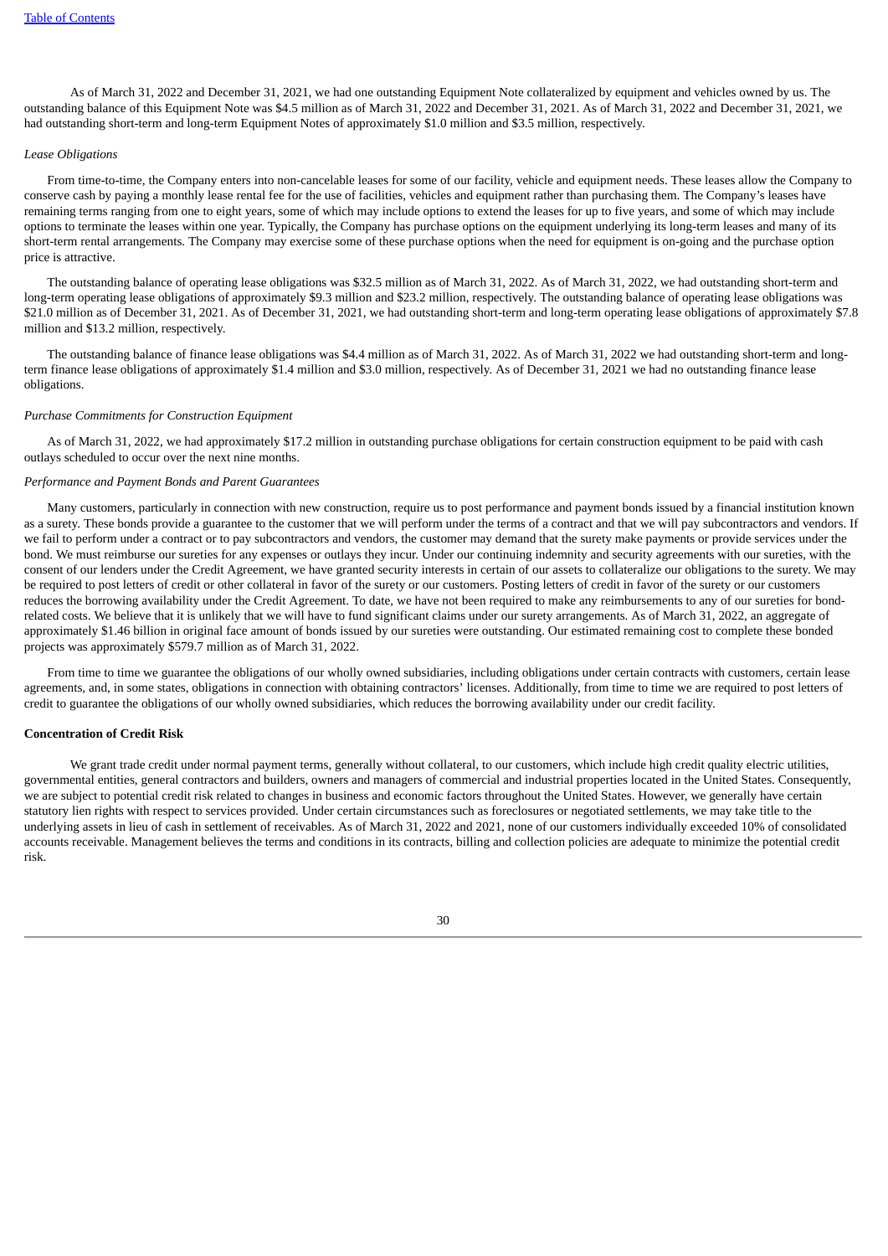As of March 31, 2022 and December 31, 2021, we had one outstanding Equipment Note collateralized by equipment and vehicles owned by us. The outstanding balance of this Equipment Note was \$4.5 million as of March 31, 2022 and December 31, 2021. As of March 31, 2022 and December 31, 2021, we had outstanding short-term and long-term Equipment Notes of approximately \$1.0 million and \$3.5 million, respectively.

### *Lease Obligations*

From time-to-time, the Company enters into non-cancelable leases for some of our facility, vehicle and equipment needs. These leases allow the Company to conserve cash by paying a monthly lease rental fee for the use of facilities, vehicles and equipment rather than purchasing them. The Company's leases have remaining terms ranging from one to eight years, some of which may include options to extend the leases for up to five years, and some of which may include options to terminate the leases within one year. Typically, the Company has purchase options on the equipment underlying its long-term leases and many of its short-term rental arrangements. The Company may exercise some of these purchase options when the need for equipment is on-going and the purchase option price is attractive.

The outstanding balance of operating lease obligations was \$32.5 million as of March 31, 2022. As of March 31, 2022, we had outstanding short-term and long-term operating lease obligations of approximately \$9.3 million and \$23.2 million, respectively. The outstanding balance of operating lease obligations was \$21.0 million as of December 31, 2021. As of December 31, 2021, we had outstanding short-term and long-term operating lease obligations of approximately \$7.8 million and \$13.2 million, respectively.

The outstanding balance of finance lease obligations was \$4.4 million as of March 31, 2022. As of March 31, 2022 we had outstanding short-term and longterm finance lease obligations of approximately \$1.4 million and \$3.0 million, respectively. As of December 31, 2021 we had no outstanding finance lease obligations.

#### *Purchase Commitments for Construction Equipment*

As of March 31, 2022, we had approximately \$17.2 million in outstanding purchase obligations for certain construction equipment to be paid with cash outlays scheduled to occur over the next nine months.

### *Performance and Payment Bonds and Parent Guarantees*

Many customers, particularly in connection with new construction, require us to post performance and payment bonds issued by a financial institution known as a surety. These bonds provide a guarantee to the customer that we will perform under the terms of a contract and that we will pay subcontractors and vendors. If we fail to perform under a contract or to pay subcontractors and vendors, the customer may demand that the surety make payments or provide services under the bond. We must reimburse our sureties for any expenses or outlays they incur. Under our continuing indemnity and security agreements with our sureties, with the consent of our lenders under the Credit Agreement, we have granted security interests in certain of our assets to collateralize our obligations to the surety. We may be required to post letters of credit or other collateral in favor of the surety or our customers. Posting letters of credit in favor of the surety or our customers reduces the borrowing availability under the Credit Agreement. To date, we have not been required to make any reimbursements to any of our sureties for bondrelated costs. We believe that it is unlikely that we will have to fund significant claims under our surety arrangements. As of March 31, 2022, an aggregate of approximately \$1.46 billion in original face amount of bonds issued by our sureties were outstanding. Our estimated remaining cost to complete these bonded projects was approximately \$579.7 million as of March 31, 2022.

From time to time we guarantee the obligations of our wholly owned subsidiaries, including obligations under certain contracts with customers, certain lease agreements, and, in some states, obligations in connection with obtaining contractors' licenses. Additionally, from time to time we are required to post letters of credit to guarantee the obligations of our wholly owned subsidiaries, which reduces the borrowing availability under our credit facility.

### **Concentration of Credit Risk**

We grant trade credit under normal payment terms, generally without collateral, to our customers, which include high credit quality electric utilities, governmental entities, general contractors and builders, owners and managers of commercial and industrial properties located in the United States. Consequently, we are subject to potential credit risk related to changes in business and economic factors throughout the United States. However, we generally have certain statutory lien rights with respect to services provided. Under certain circumstances such as foreclosures or negotiated settlements, we may take title to the underlying assets in lieu of cash in settlement of receivables. As of March 31, 2022 and 2021, none of our customers individually exceeded 10% of consolidated accounts receivable. Management believes the terms and conditions in its contracts, billing and collection policies are adequate to minimize the potential credit risk.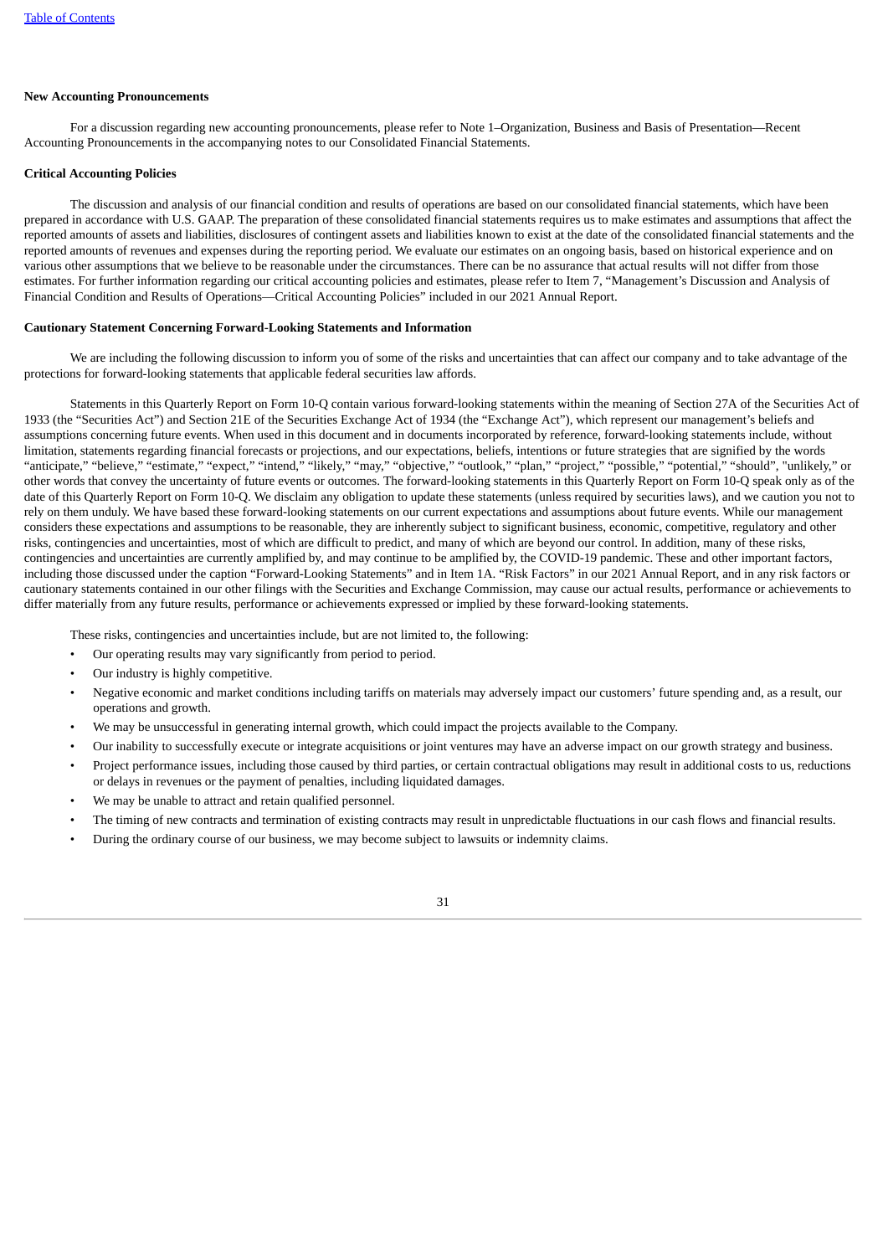#### **New Accounting Pronouncements**

For a discussion regarding new accounting pronouncements, please refer to Note 1–Organization, Business and Basis of Presentation—Recent Accounting Pronouncements in the accompanying notes to our Consolidated Financial Statements.

### **Critical Accounting Policies**

The discussion and analysis of our financial condition and results of operations are based on our consolidated financial statements, which have been prepared in accordance with U.S. GAAP. The preparation of these consolidated financial statements requires us to make estimates and assumptions that affect the reported amounts of assets and liabilities, disclosures of contingent assets and liabilities known to exist at the date of the consolidated financial statements and the reported amounts of revenues and expenses during the reporting period. We evaluate our estimates on an ongoing basis, based on historical experience and on various other assumptions that we believe to be reasonable under the circumstances. There can be no assurance that actual results will not differ from those estimates. For further information regarding our critical accounting policies and estimates, please refer to Item 7, "Management's Discussion and Analysis of Financial Condition and Results of Operations—Critical Accounting Policies" included in our 2021 Annual Report.

#### **Cautionary Statement Concerning Forward-Looking Statements and Information**

We are including the following discussion to inform you of some of the risks and uncertainties that can affect our company and to take advantage of the protections for forward-looking statements that applicable federal securities law affords.

Statements in this Quarterly Report on Form 10-Q contain various forward-looking statements within the meaning of Section 27A of the Securities Act of 1933 (the "Securities Act") and Section 21E of the Securities Exchange Act of 1934 (the "Exchange Act"), which represent our management's beliefs and assumptions concerning future events. When used in this document and in documents incorporated by reference, forward-looking statements include, without limitation, statements regarding financial forecasts or projections, and our expectations, beliefs, intentions or future strategies that are signified by the words "anticipate," "believe," "estimate," "expect," "intend," "likely," "may," "objective," "outlook," "plan," "project," "possible," "potential," "should", "unlikely," or other words that convey the uncertainty of future events or outcomes. The forward-looking statements in this Quarterly Report on Form 10-Q speak only as of the date of this Quarterly Report on Form 10-Q. We disclaim any obligation to update these statements (unless required by securities laws), and we caution you not to rely on them unduly. We have based these forward-looking statements on our current expectations and assumptions about future events. While our management considers these expectations and assumptions to be reasonable, they are inherently subject to significant business, economic, competitive, regulatory and other risks, contingencies and uncertainties, most of which are difficult to predict, and many of which are beyond our control. In addition, many of these risks, contingencies and uncertainties are currently amplified by, and may continue to be amplified by, the COVID-19 pandemic. These and other important factors, including those discussed under the caption "Forward-Looking Statements" and in Item 1A. "Risk Factors" in our 2021 Annual Report, and in any risk factors or cautionary statements contained in our other filings with the Securities and Exchange Commission, may cause our actual results, performance or achievements to differ materially from any future results, performance or achievements expressed or implied by these forward-looking statements.

These risks, contingencies and uncertainties include, but are not limited to, the following:

- Our operating results may vary significantly from period to period.
- Our industry is highly competitive.
- Negative economic and market conditions including tariffs on materials may adversely impact our customers' future spending and, as a result, our operations and growth.
- We may be unsuccessful in generating internal growth, which could impact the projects available to the Company.
- Our inability to successfully execute or integrate acquisitions or joint ventures may have an adverse impact on our growth strategy and business.
- Project performance issues, including those caused by third parties, or certain contractual obligations may result in additional costs to us, reductions or delays in revenues or the payment of penalties, including liquidated damages.
- We may be unable to attract and retain qualified personnel.
- The timing of new contracts and termination of existing contracts may result in unpredictable fluctuations in our cash flows and financial results.
- During the ordinary course of our business, we may become subject to lawsuits or indemnity claims.

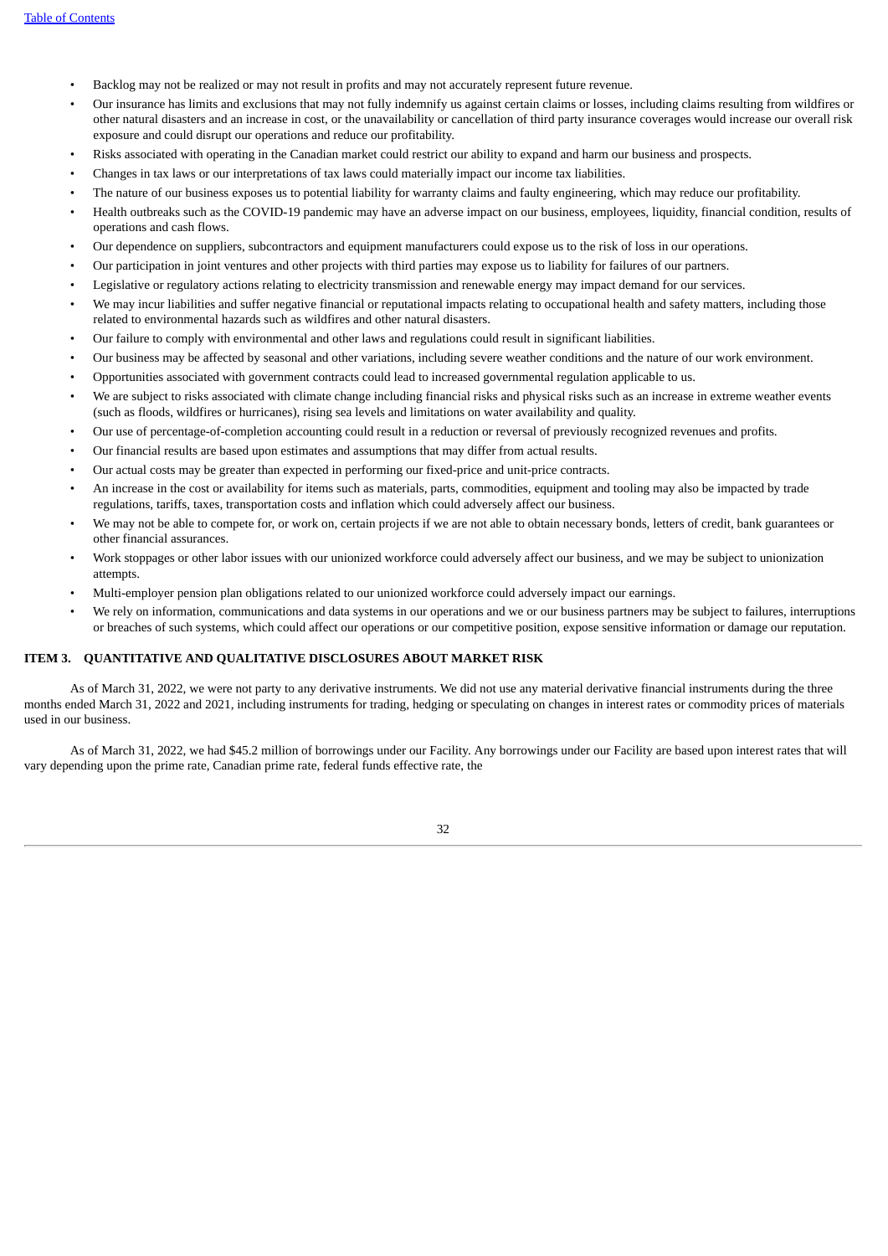- Backlog may not be realized or may not result in profits and may not accurately represent future revenue.
- Our insurance has limits and exclusions that may not fully indemnify us against certain claims or losses, including claims resulting from wildfires or other natural disasters and an increase in cost, or the unavailability or cancellation of third party insurance coverages would increase our overall risk exposure and could disrupt our operations and reduce our profitability.
- Risks associated with operating in the Canadian market could restrict our ability to expand and harm our business and prospects.
- Changes in tax laws or our interpretations of tax laws could materially impact our income tax liabilities.
- The nature of our business exposes us to potential liability for warranty claims and faulty engineering, which may reduce our profitability.
- Health outbreaks such as the COVID-19 pandemic may have an adverse impact on our business, employees, liquidity, financial condition, results of operations and cash flows.
- Our dependence on suppliers, subcontractors and equipment manufacturers could expose us to the risk of loss in our operations.
- Our participation in joint ventures and other projects with third parties may expose us to liability for failures of our partners.
- Legislative or regulatory actions relating to electricity transmission and renewable energy may impact demand for our services.
- We may incur liabilities and suffer negative financial or reputational impacts relating to occupational health and safety matters, including those related to environmental hazards such as wildfires and other natural disasters.
- Our failure to comply with environmental and other laws and regulations could result in significant liabilities.
- Our business may be affected by seasonal and other variations, including severe weather conditions and the nature of our work environment.
- Opportunities associated with government contracts could lead to increased governmental regulation applicable to us.
- We are subject to risks associated with climate change including financial risks and physical risks such as an increase in extreme weather events (such as floods, wildfires or hurricanes), rising sea levels and limitations on water availability and quality.
- Our use of percentage-of-completion accounting could result in a reduction or reversal of previously recognized revenues and profits.
- Our financial results are based upon estimates and assumptions that may differ from actual results.
- Our actual costs may be greater than expected in performing our fixed-price and unit-price contracts.
- An increase in the cost or availability for items such as materials, parts, commodities, equipment and tooling may also be impacted by trade regulations, tariffs, taxes, transportation costs and inflation which could adversely affect our business.
- We may not be able to compete for, or work on, certain projects if we are not able to obtain necessary bonds, letters of credit, bank guarantees or other financial assurances.
- Work stoppages or other labor issues with our unionized workforce could adversely affect our business, and we may be subject to unionization attempts.
- Multi-employer pension plan obligations related to our unionized workforce could adversely impact our earnings.
- We rely on information, communications and data systems in our operations and we or our business partners may be subject to failures, interruptions or breaches of such systems, which could affect our operations or our competitive position, expose sensitive information or damage our reputation.

### <span id="page-32-0"></span>**ITEM 3. QUANTITATIVE AND QUALITATIVE DISCLOSURES ABOUT MARKET RISK**

As of March 31, 2022, we were not party to any derivative instruments. We did not use any material derivative financial instruments during the three months ended March 31, 2022 and 2021, including instruments for trading, hedging or speculating on changes in interest rates or commodity prices of materials used in our business.

As of March 31, 2022, we had \$45.2 million of borrowings under our Facility. Any borrowings under our Facility are based upon interest rates that will vary depending upon the prime rate, Canadian prime rate, federal funds effective rate, the

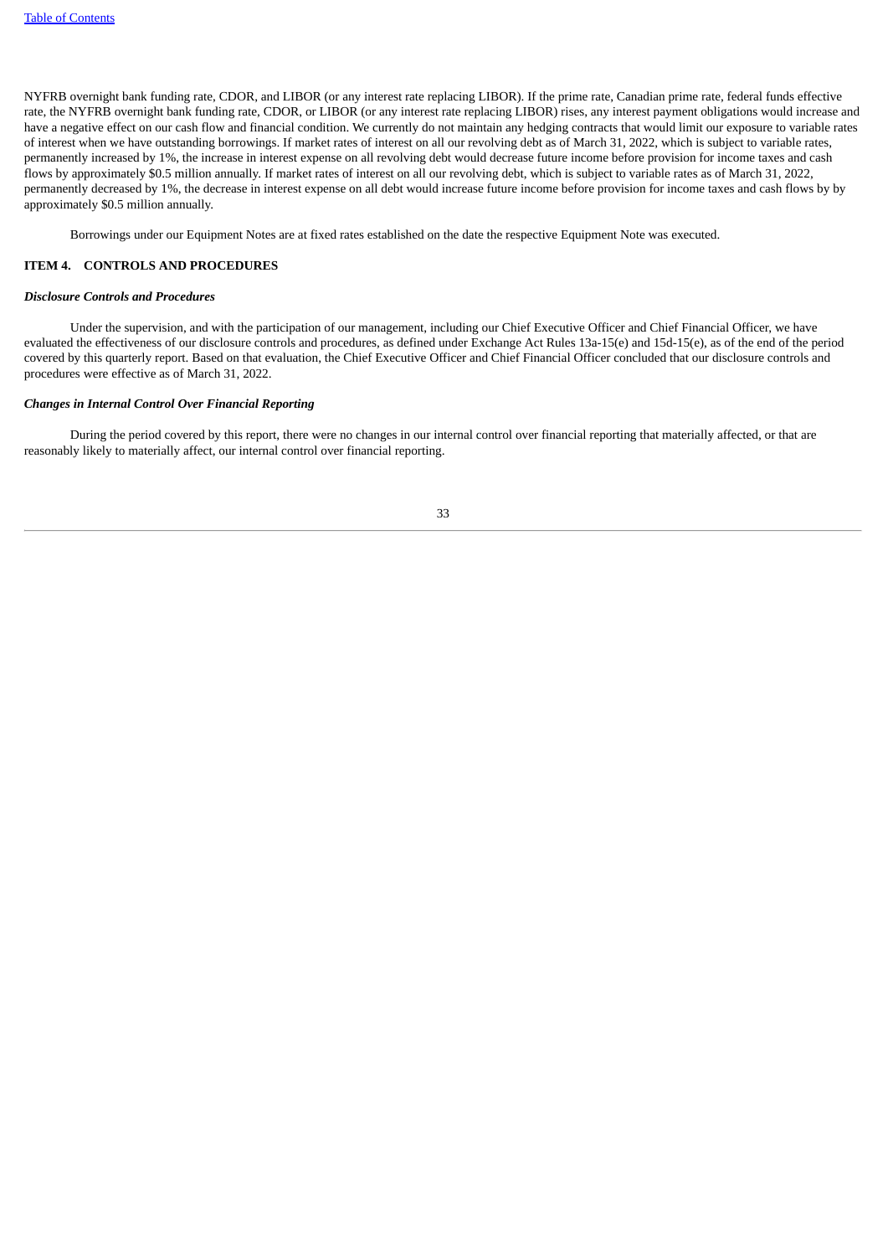NYFRB overnight bank funding rate, CDOR, and LIBOR (or any interest rate replacing LIBOR). If the prime rate, Canadian prime rate, federal funds effective rate, the NYFRB overnight bank funding rate, CDOR, or LIBOR (or any interest rate replacing LIBOR) rises, any interest payment obligations would increase and have a negative effect on our cash flow and financial condition. We currently do not maintain any hedging contracts that would limit our exposure to variable rates of interest when we have outstanding borrowings. If market rates of interest on all our revolving debt as of March 31, 2022, which is subject to variable rates, permanently increased by 1%, the increase in interest expense on all revolving debt would decrease future income before provision for income taxes and cash flows by approximately \$0.5 million annually. If market rates of interest on all our revolving debt, which is subject to variable rates as of March 31, 2022, permanently decreased by 1%, the decrease in interest expense on all debt would increase future income before provision for income taxes and cash flows by by approximately \$0.5 million annually.

Borrowings under our Equipment Notes are at fixed rates established on the date the respective Equipment Note was executed.

### <span id="page-33-0"></span>**ITEM 4. CONTROLS AND PROCEDURES**

#### *Disclosure Controls and Procedures*

Under the supervision, and with the participation of our management, including our Chief Executive Officer and Chief Financial Officer, we have evaluated the effectiveness of our disclosure controls and procedures, as defined under Exchange Act Rules 13a-15(e) and 15d-15(e), as of the end of the period covered by this quarterly report. Based on that evaluation, the Chief Executive Officer and Chief Financial Officer concluded that our disclosure controls and procedures were effective as of March 31, 2022.

### *Changes in Internal Control Over Financial Reporting*

<span id="page-33-1"></span>During the period covered by this report, there were no changes in our internal control over financial reporting that materially affected, or that are reasonably likely to materially affect, our internal control over financial reporting.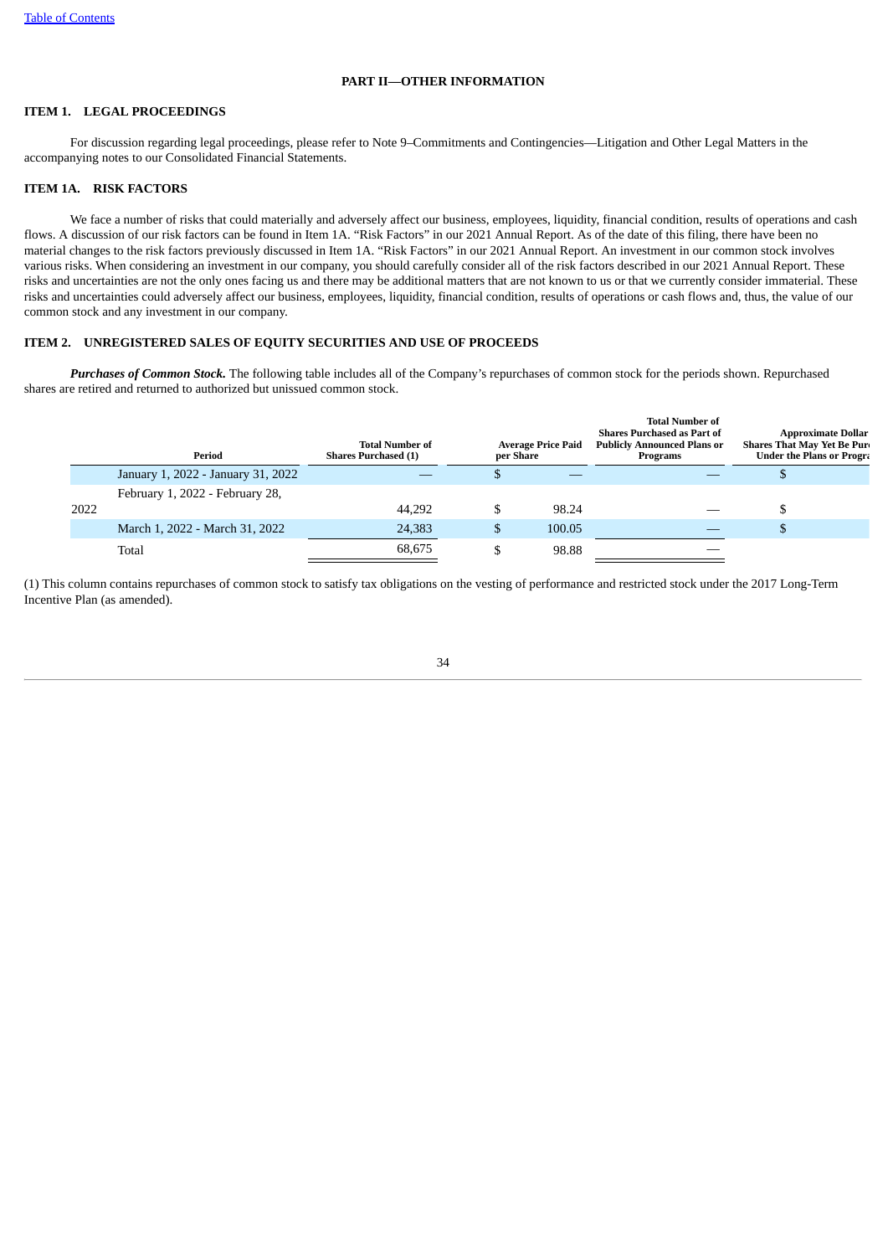### **PART II—OTHER INFORMATION**

# <span id="page-34-0"></span>**ITEM 1. LEGAL PROCEEDINGS**

For discussion regarding legal proceedings, please refer to Note 9–Commitments and Contingencies—Litigation and Other Legal Matters in the accompanying notes to our Consolidated Financial Statements.

### <span id="page-34-1"></span>**ITEM 1A. RISK FACTORS**

We face a number of risks that could materially and adversely affect our business, employees, liquidity, financial condition, results of operations and cash flows. A discussion of our risk factors can be found in Item 1A. "Risk Factors" in our 2021 Annual Report. As of the date of this filing, there have been no material changes to the risk factors previously discussed in Item 1A. "Risk Factors" in our 2021 Annual Report. An investment in our common stock involves various risks. When considering an investment in our company, you should carefully consider all of the risk factors described in our 2021 Annual Report. These risks and uncertainties are not the only ones facing us and there may be additional matters that are not known to us or that we currently consider immaterial. These risks and uncertainties could adversely affect our business, employees, liquidity, financial condition, results of operations or cash flows and, thus, the value of our common stock and any investment in our company.

### <span id="page-34-2"></span>**ITEM 2. UNREGISTERED SALES OF EQUITY SECURITIES AND USE OF PROCEEDS**

*Purchases of Common Stock.* The following table includes all of the Company's repurchases of common stock for the periods shown. Repurchased shares are retired and returned to authorized but unissued common stock.

|      | Period                             | <b>Total Number of</b><br><b>Shares Purchased (1)</b> | <b>Average Price Paid</b><br>per Share | <b>Total Number of</b><br><b>Shares Purchased as Part of</b><br><b>Publicly Announced Plans or</b><br>Programs | <b>Approximate Dollar</b><br><b>Shares That May Yet Be Pure</b><br><b>Under the Plans or Progra</b> |
|------|------------------------------------|-------------------------------------------------------|----------------------------------------|----------------------------------------------------------------------------------------------------------------|-----------------------------------------------------------------------------------------------------|
|      | January 1, 2022 - January 31, 2022 |                                                       |                                        |                                                                                                                |                                                                                                     |
|      | February 1, 2022 - February 28,    |                                                       |                                        |                                                                                                                |                                                                                                     |
| 2022 |                                    | 44.292                                                | 98.24                                  |                                                                                                                |                                                                                                     |
|      | March 1, 2022 - March 31, 2022     | 24,383                                                | 100.05                                 |                                                                                                                |                                                                                                     |
|      | Total                              | 68,675                                                | 98.88                                  |                                                                                                                |                                                                                                     |

<span id="page-34-3"></span>(1) This column contains repurchases of common stock to satisfy tax obligations on the vesting of performance and restricted stock under the 2017 Long-Term Incentive Plan (as amended).

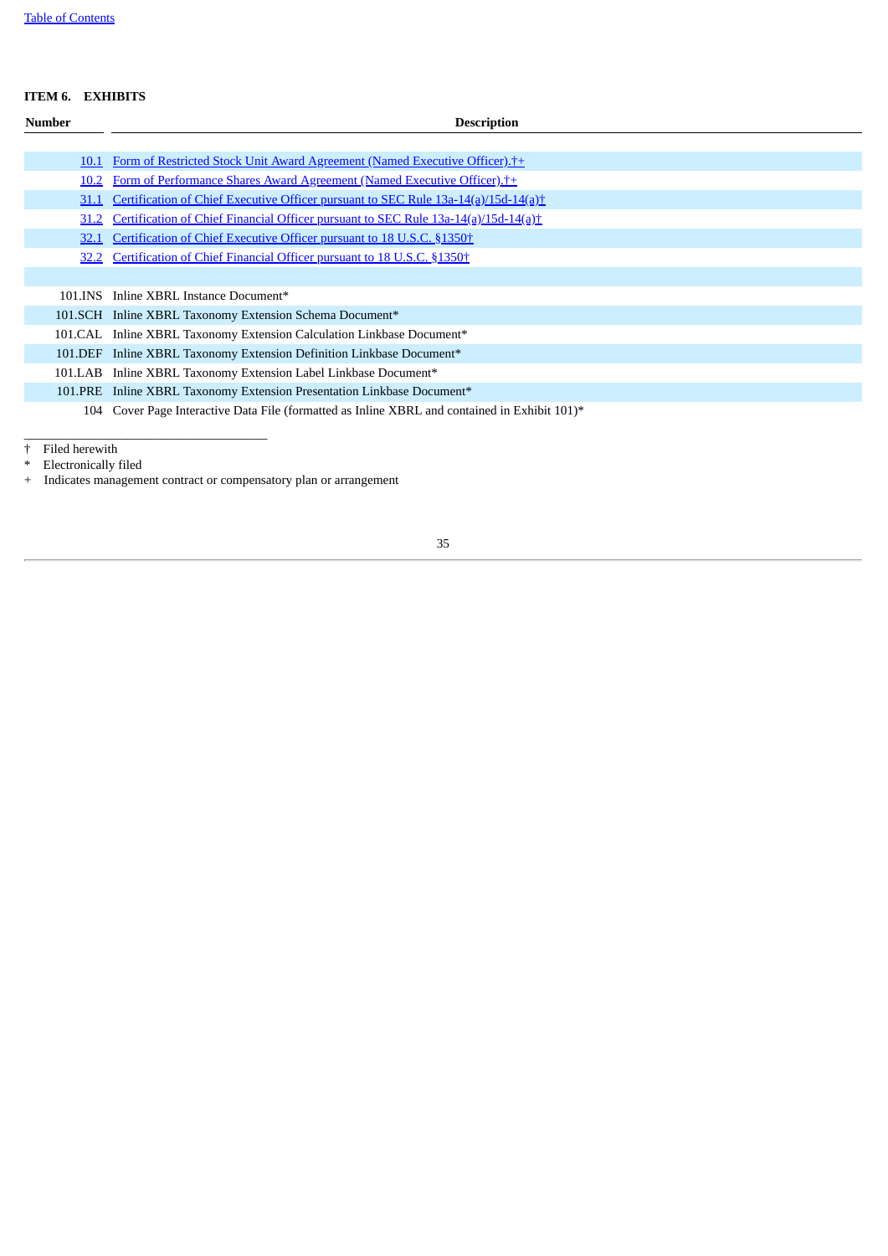# **ITEM 6. EXHIBITS**

| <b>Number</b> | <b>Description</b>                                                                               |  |  |  |  |  |
|---------------|--------------------------------------------------------------------------------------------------|--|--|--|--|--|
|               |                                                                                                  |  |  |  |  |  |
| <b>10.1</b>   | <u>Form of Restricted Stock Unit Award Agreement (Named Executive Officer).<sup>†+</sup></u>     |  |  |  |  |  |
| 10.2          | <u>Form of Performance Shares Award Agreement (Named Executive Officer).<sup>†+</sup></u>        |  |  |  |  |  |
| 31.1          | Certification of Chief Executive Officer pursuant to SEC Rule $13a-14(a)/15d-14(a)$ <sup>+</sup> |  |  |  |  |  |
| 31.2          | Certification of Chief Financial Officer pursuant to SEC Rule 13a-14(a)/15d-14(a) <sup>†</sup>   |  |  |  |  |  |
| 32.1          | Certification of Chief Executive Officer pursuant to 18 U.S.C. §1350 <sup>+</sup>                |  |  |  |  |  |
| 32.2          | Certification of Chief Financial Officer pursuant to 18 U.S.C. §1350†                            |  |  |  |  |  |
|               |                                                                                                  |  |  |  |  |  |
| 101.INS       | Inline XBRL Instance Document*                                                                   |  |  |  |  |  |
|               | 101.SCH Inline XBRL Taxonomy Extension Schema Document*                                          |  |  |  |  |  |
|               | 101.CAL Inline XBRL Taxonomy Extension Calculation Linkbase Document*                            |  |  |  |  |  |
| 101.DEF       | Inline XBRL Taxonomy Extension Definition Linkbase Document*                                     |  |  |  |  |  |
| 101.LAB       | Inline XBRL Taxonomy Extension Label Linkbase Document*                                          |  |  |  |  |  |
|               | 101.PRE Inline XBRL Taxonomy Extension Presentation Linkbase Document*                           |  |  |  |  |  |
| 104           | Cover Page Interactive Data File (formatted as Inline XBRL and contained in Exhibit $101$ )*     |  |  |  |  |  |

- † Filed herewith<br>\* Electronically
- **Electronically filed**

+ Indicates management contract or compensatory plan or arrangement

\_\_\_\_\_\_\_\_\_\_\_\_\_\_\_\_\_\_\_\_\_\_\_\_\_\_\_\_\_\_\_\_\_\_\_\_\_\_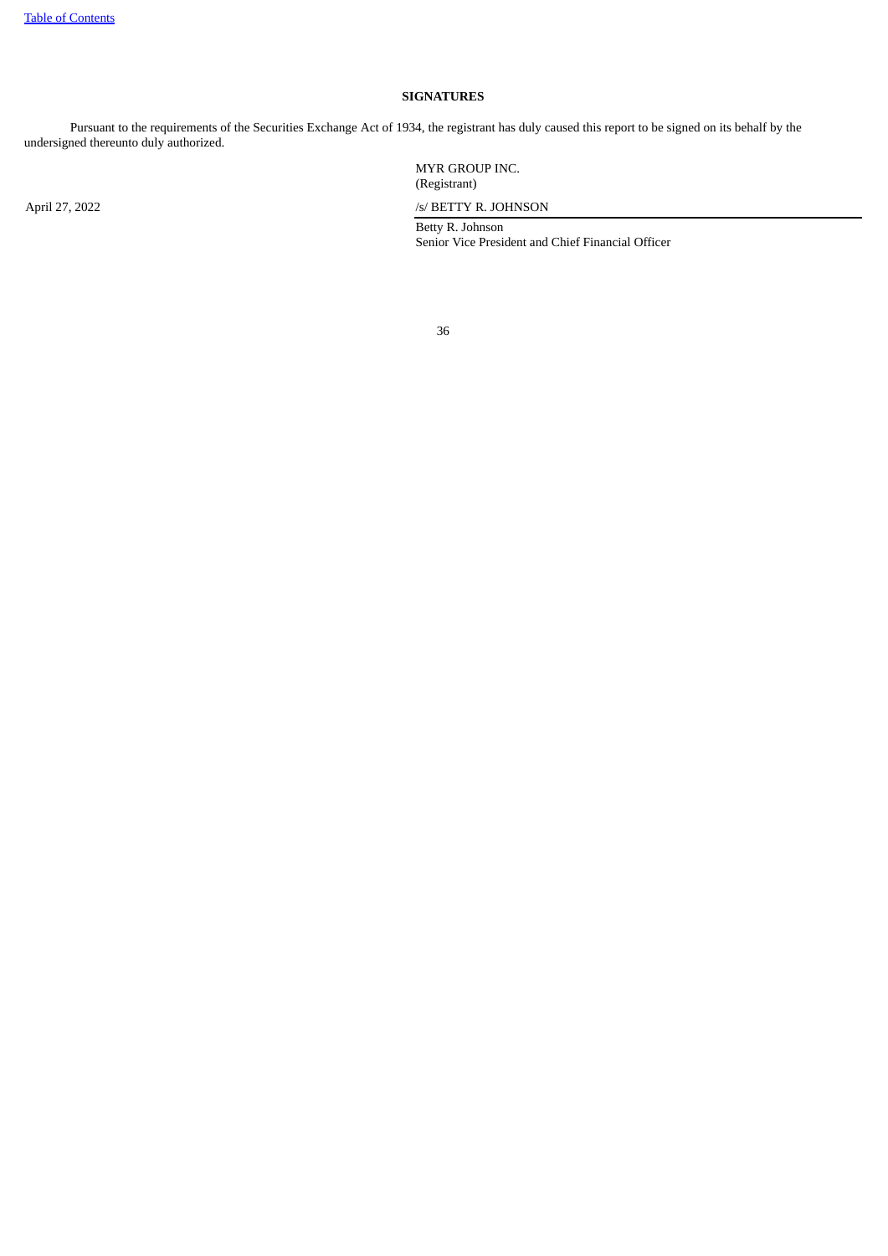### **SIGNATURES**

Pursuant to the requirements of the Securities Exchange Act of 1934, the registrant has duly caused this report to be signed on its behalf by the undersigned thereunto duly authorized.

MYR GROUP INC. (Registrant)

April 27, 2022 /s/ BETTY R. JOHNSON

Betty R. Johnson Senior Vice President and Chief Financial Officer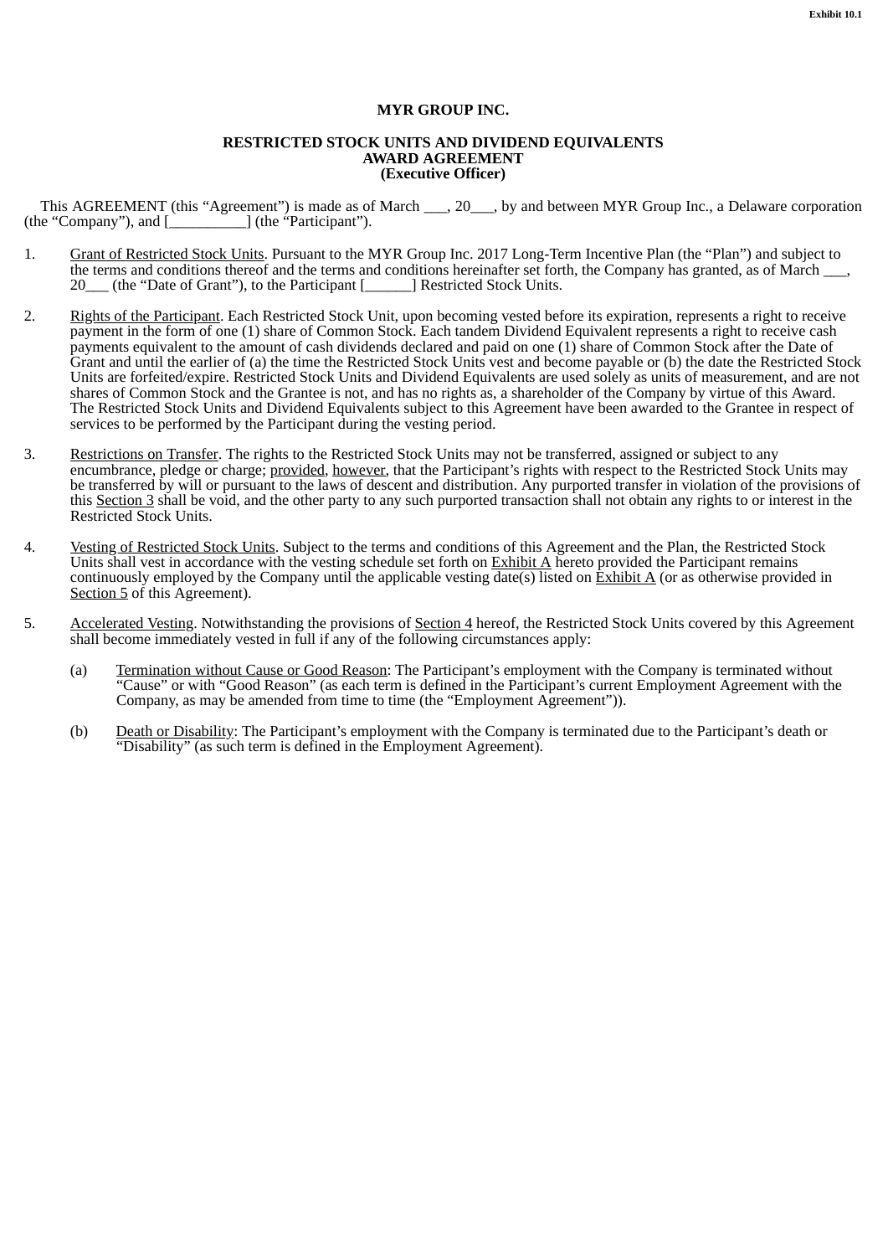### **RESTRICTED STOCK UNITS AND DIVIDEND EQUIVALENTS AWARD AGREEMENT (Executive Officer)**

<span id="page-37-0"></span>This AGREEMENT (this "Agreement") is made as of March \_\_\_, 20\_\_\_, by and between MYR Group Inc., a Delaware corporation le "Company"), and [1] (the "Participant"). (the "Company"), and  $\lceil$ 

- 1. Grant of Restricted Stock Units. Pursuant to the MYR Group Inc. 2017 Long-Term Incentive Plan (the "Plan") and subject to the terms and conditions thereof and the terms and conditions hereinafter set forth, the Company has granted, as of March 20\_\_\_ (the "Date of Grant"), to the Participant [\_\_\_\_\_\_] Restricted Stock Units.
- 2. Rights of the Participant. Each Restricted Stock Unit, upon becoming vested before its expiration, represents a right to receive payment in the form of one (1) share of Common Stock. Each tandem Dividend Equivalent represents a right to receive cash payments equivalent to the amount of cash dividends declared and paid on one (1) share of Common Stock after the Date of Grant and until the earlier of (a) the time the Restricted Stock Units vest and become payable or (b) the date the Restricted Stock Units are forfeited/expire. Restricted Stock Units and Dividend Equivalents are used solely as units of measurement, and are not shares of Common Stock and the Grantee is not, and has no rights as, a shareholder of the Company by virtue of this Award. The Restricted Stock Units and Dividend Equivalents subject to this Agreement have been awarded to the Grantee in respect of services to be performed by the Participant during the vesting period.
- 3. Restrictions on Transfer. The rights to the Restricted Stock Units may not be transferred, assigned or subject to any encumbrance, pledge or charge; provided, however, that the Participant's rights with respect to the Restricted Stock Units may be transferred by will or pursuant to the laws of descent and distribution. Any purported transfer in violation of the provisions of this Section 3 shall be void, and the other party to any such purported transaction shall not obtain any rights to or interest in the Restricted Stock Units.
- 4. Vesting of Restricted Stock Units. Subject to the terms and conditions of this Agreement and the Plan, the Restricted Stock Units shall vest in accordance with the vesting schedule set forth on **Exhibit A** hereto provided the Participant remains continuously employed by the Company until the applicable vesting  $\frac{data(s)}{data(s)}$  listed on  $\frac{Exhibit A}{s}$  (or as otherwise provided in Section 5 of this Agreement).
- 5. Accelerated Vesting. Notwithstanding the provisions of Section 4 hereof, the Restricted Stock Units covered by this Agreement shall become immediately vested in full if any of the following circumstances apply:
	- (a) Termination without Cause or Good Reason: The Participant's employment with the Company is terminated without "Cause" or with "Good Reason" (as each term is defined in the Participant's current Employment Agreement with the Company, as may be amended from time to time (the "Employment Agreement")).
	- (b) Death or Disability: The Participant's employment with the Company is terminated due to the Participant's death or "Disability" (as such term is defined in the Employment Agreement).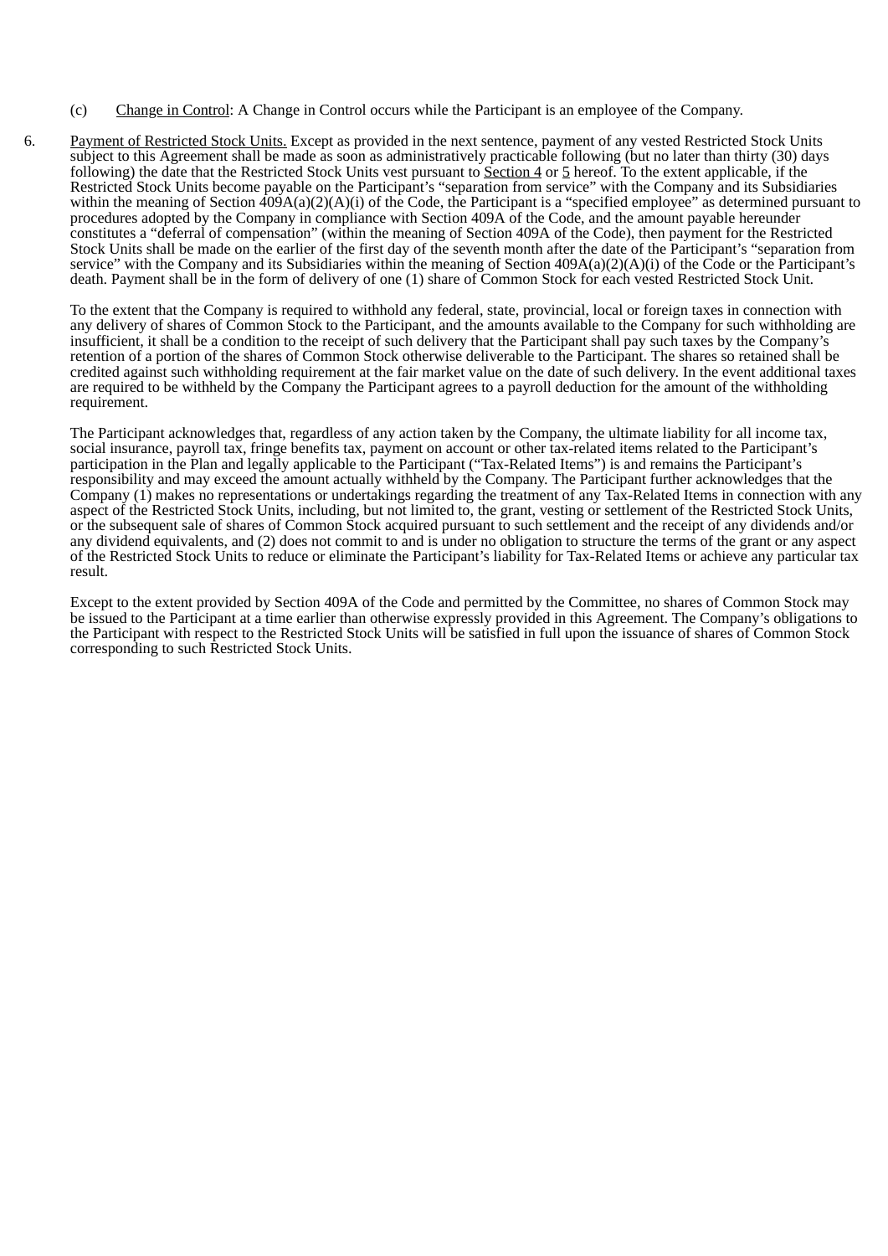- (c) Change in Control: A Change in Control occurs while the Participant is an employee of the Company.
- 6. Payment of Restricted Stock Units. Except as provided in the next sentence, payment of any vested Restricted Stock Units subject to this Agreement shall be made as soon as administratively practicable following (but no later than thirty (30) days following) the date that the Restricted Stock Units vest pursuant to  $Section 4$  or  $5$  hereof. To the extent applicable, if the Restricted Stock Units become payable on the Participant's "separation from service" with the Company and its Subsidiaries within the meaning of Section  $\widehat{409A(a)(2)(A)(i)}$  of the Code, the Participant is a "specified employee" as determined pursuant to procedures adopted by the Company in compliance with Section 409A of the Code, and the amount payable hereunder constitutes a "deferral of compensation" (within the meaning of Section 409A of the Code), then payment for the Restricted Stock Units shall be made on the earlier of the first day of the seventh month after the date of the Participant's "separation from service" with the Company and its Subsidiaries within the meaning of Section 409A(a)(2)(A)(i) of the Code or the Participant's death. Payment shall be in the form of delivery of one (1) share of Common Stock for each vested Restricted Stock Unit.

To the extent that the Company is required to withhold any federal, state, provincial, local or foreign taxes in connection with any delivery of shares of Common Stock to the Participant, and the amounts available to the Company for such withholding are insufficient, it shall be a condition to the receipt of such delivery that the Participant shall pay such taxes by the Company's retention of a portion of the shares of Common Stock otherwise deliverable to the Participant. The shares so retained shall be credited against such withholding requirement at the fair market value on the date of such delivery. In the event additional taxes are required to be withheld by the Company the Participant agrees to a payroll deduction for the amount of the withholding requirement.

The Participant acknowledges that, regardless of any action taken by the Company, the ultimate liability for all income tax, social insurance, payroll tax, fringe benefits tax, payment on account or other tax-related items related to the Participant's participation in the Plan and legally applicable to the Participant ("Tax-Related Items") is and remains the Participant's responsibility and may exceed the amount actually withheld by the Company. The Participant further acknowledges that the Company (1) makes no representations or undertakings regarding the treatment of any Tax-Related Items in connection with any aspect of the Restricted Stock Units, including, but not limited to, the grant, vesting or settlement of the Restricted Stock Units, or the subsequent sale of shares of Common Stock acquired pursuant to such settlement and the receipt of any dividends and/or any dividend equivalents, and (2) does not commit to and is under no obligation to structure the terms of the grant or any aspect of the Restricted Stock Units to reduce or eliminate the Participant's liability for Tax-Related Items or achieve any particular tax result.

Except to the extent provided by Section 409A of the Code and permitted by the Committee, no shares of Common Stock may be issued to the Participant at a time earlier than otherwise expressly provided in this Agreement. The Company's obligations to the Participant with respect to the Restricted Stock Units will be satisfied in full upon the issuance of shares of Common Stock corresponding to such Restricted Stock Units.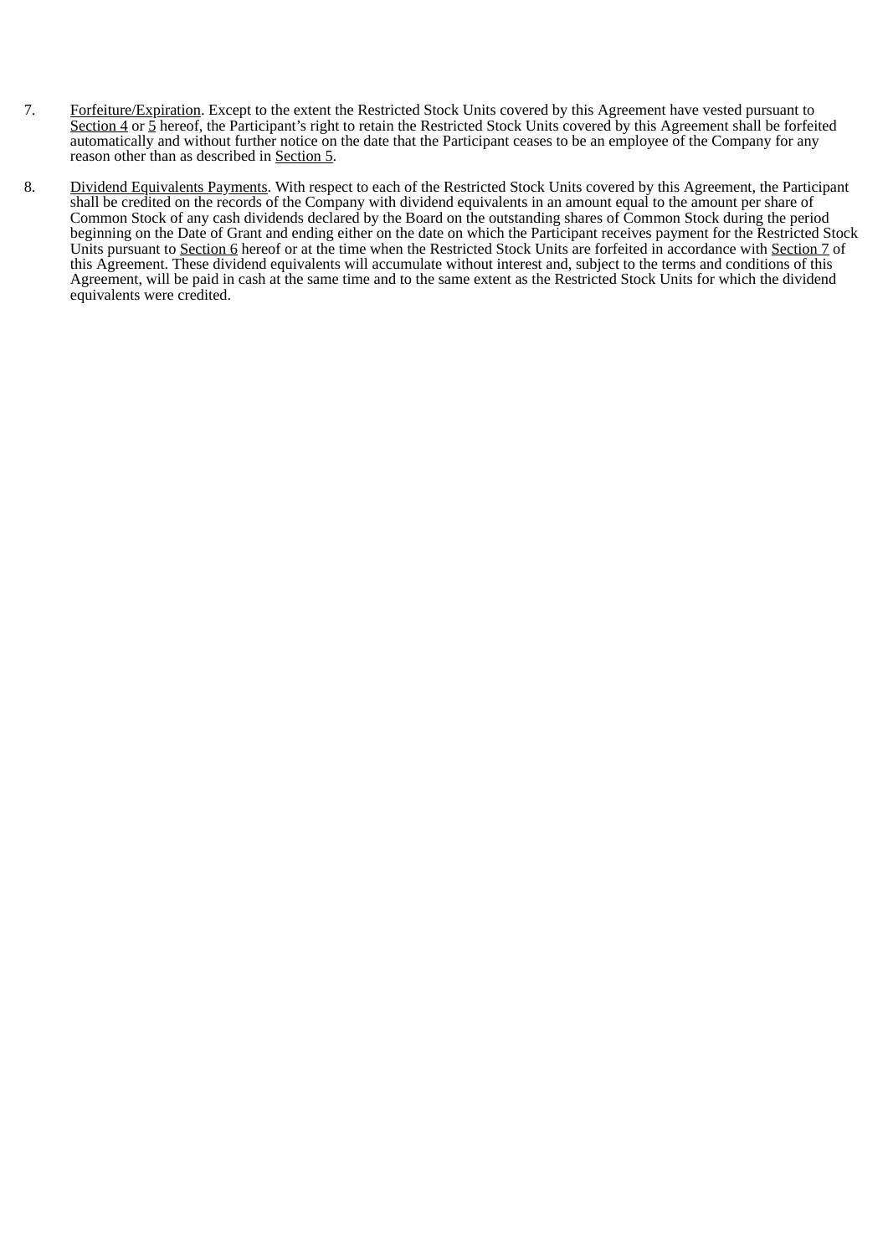- 7. Forfeiture/Expiration. Except to the extent the Restricted Stock Units covered by this Agreement have vested pursuant to Section 4 or 5 hereof, the Participant's right to retain the Restricted Stock Units covered by this Agreement shall be forfeited automatically and without further notice on the date that the Participant ceases to be an employee of the Company for any reason other than as described in Section 5.
- 8. Dividend Equivalents Payments. With respect to each of the Restricted Stock Units covered by this Agreement, the Participant shall be credited on the records of the Company with dividend equivalents in an amount equal to the amount per share of Common Stock of any cash dividends declared by the Board on the outstanding shares of Common Stock during the period beginning on the Date of Grant and ending either on the date on which the Participant receives payment for the Restricted Stock Units pursuant to Section 6 hereof or at the time when the Restricted Stock Units are forfeited in accordance with Section 7 of this Agreement. These dividend equivalents will accumulate without interest and, subject to the terms and conditions of this Agreement, will be paid in cash at the same time and to the same extent as the Restricted Stock Units for which the dividend equivalents were credited.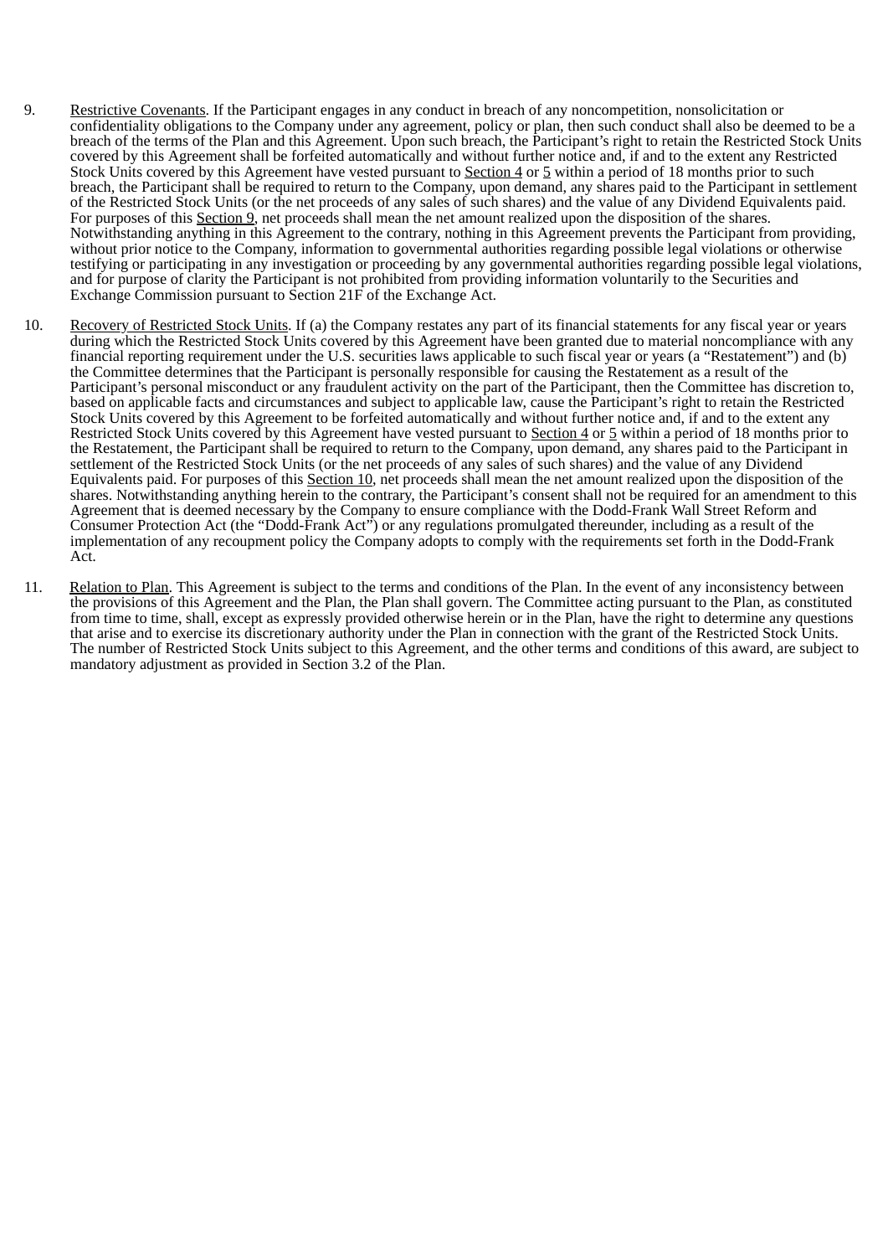- 9. Restrictive Covenants. If the Participant engages in any conduct in breach of any noncompetition, nonsolicitation or confidentiality obligations to the Company under any agreement, policy or plan, then such conduct shall also be deemed to be a breach of the terms of the Plan and this Agreement. Upon such breach, the Participant's right to retain the Restricted Stock Units covered by this Agreement shall be forfeited automatically and without further notice and, if and to the extent any Restricted Stock Units covered by this Agreement have vested pursuant to Section 4 or  $\frac{1}{2}$  within a period of 18 months prior to such breach, the Participant shall be required to return to the Company, upon demand, any shares paid to the Participant in settlement of the Restricted Stock Units (or the net proceeds of any sales of such shares) and the value of any Dividend Equivalents paid. For purposes of this Section 9, net proceeds shall mean the net amount realized upon the disposition of the shares. Notwithstanding anything in this Agreement to the contrary, nothing in this Agreement prevents the Participant from providing, without prior notice to the Company, information to governmental authorities regarding possible legal violations or otherwise testifying or participating in any investigation or proceeding by any governmental authorities regarding possible legal violations, and for purpose of clarity the Participant is not prohibited from providing information voluntarily to the Securities and Exchange Commission pursuant to Section 21F of the Exchange Act.
- 10. Recovery of Restricted Stock Units. If (a) the Company restates any part of its financial statements for any fiscal year or years during which the Restricted Stock Units covered by this Agreement have been granted due to material noncompliance with any financial reporting requirement under the U.S. securities laws applicable to such fiscal year or years (a "Restatement") and (b) the Committee determines that the Participant is personally responsible for causing the Restatement as a result of the Participant's personal misconduct or any fraudulent activity on the part of the Participant, then the Committee has discretion to, based on applicable facts and circumstances and subject to applicable law, cause the Participant's right to retain the Restricted Stock Units covered by this Agreement to be forfeited automatically and without further notice and, if and to the extent any Restricted Stock Units covered by this Agreement have vested pursuant to Section 4 or 5 within a period of 18 months prior to the Restatement, the Participant shall be required to return to the Company, upon demand, any shares paid to the Participant in settlement of the Restricted Stock Units (or the net proceeds of any sales of such shares) and the value of any Dividend Equivalents paid. For purposes of this Section 10, net proceeds shall mean the net amount realized upon the disposition of the shares. Notwithstanding anything herein to the contrary, the Participant's consent shall not be required for an amendment to this Agreement that is deemed necessary by the Company to ensure compliance with the Dodd-Frank Wall Street Reform and Consumer Protection Act (the "Dodd-Frank Act") or any regulations promulgated thereunder, including as a result of the implementation of any recoupment policy the Company adopts to comply with the requirements set forth in the Dodd-Frank Act.
- 11. Relation to Plan. This Agreement is subject to the terms and conditions of the Plan. In the event of any inconsistency between the provisions of this Agreement and the Plan, the Plan shall govern. The Committee acting pursuant to the Plan, as constituted from time to time, shall, except as expressly provided otherwise herein or in the Plan, have the right to determine any questions that arise and to exercise its discretionary authority under the Plan in connection with the grant of the Restricted Stock Units. The number of Restricted Stock Units subject to this Agreement, and the other terms and conditions of this award, are subject to mandatory adjustment as provided in Section 3.2 of the Plan.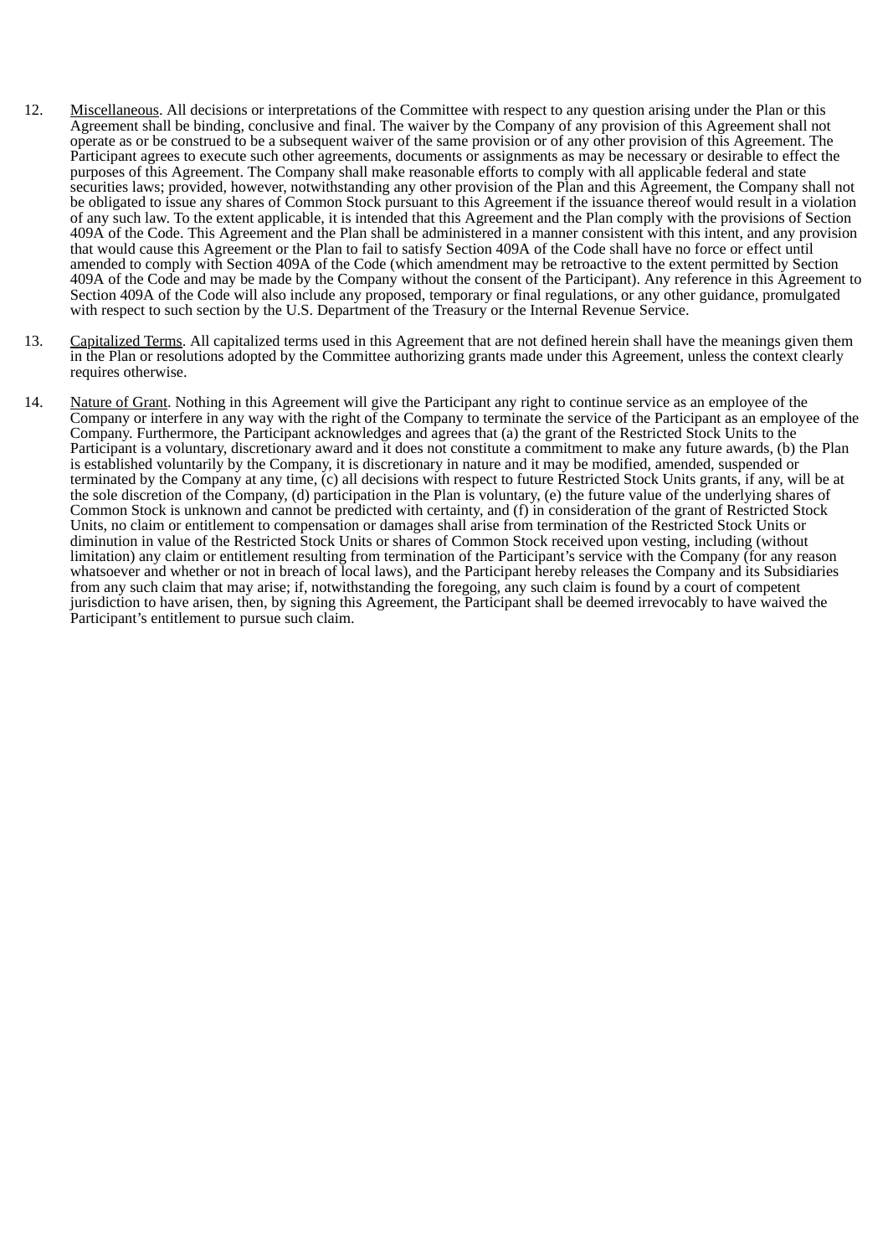- 12. Miscellaneous. All decisions or interpretations of the Committee with respect to any question arising under the Plan or this Agreement shall be binding, conclusive and final. The waiver by the Company of any provision of this Agreement shall not operate as or be construed to be a subsequent waiver of the same provision or of any other provision of this Agreement. The Participant agrees to execute such other agreements, documents or assignments as may be necessary or desirable to effect the purposes of this Agreement. The Company shall make reasonable efforts to comply with all applicable federal and state securities laws; provided, however, notwithstanding any other provision of the Plan and this Agreement, the Company shall not be obligated to issue any shares of Common Stock pursuant to this Agreement if the issuance thereof would result in a violation of any such law. To the extent applicable, it is intended that this Agreement and the Plan comply with the provisions of Section 409A of the Code. This Agreement and the Plan shall be administered in a manner consistent with this intent, and any provision that would cause this Agreement or the Plan to fail to satisfy Section 409A of the Code shall have no force or effect until amended to comply with Section 409A of the Code (which amendment may be retroactive to the extent permitted by Section 409A of the Code and may be made by the Company without the consent of the Participant). Any reference in this Agreement to Section 409A of the Code will also include any proposed, temporary or final regulations, or any other guidance, promulgated with respect to such section by the U.S. Department of the Treasury or the Internal Revenue Service.
- 13. Capitalized Terms. All capitalized terms used in this Agreement that are not defined herein shall have the meanings given them in the Plan or resolutions adopted by the Committee authorizing grants made under this Agreement, unless the context clearly requires otherwise.
- 14. Nature of Grant. Nothing in this Agreement will give the Participant any right to continue service as an employee of the Company or interfere in any way with the right of the Company to terminate the service of the Participant as an employee of the Company. Furthermore, the Participant acknowledges and agrees that (a) the grant of the Restricted Stock Units to the Participant is a voluntary, discretionary award and it does not constitute a commitment to make any future awards, (b) the Plan is established voluntarily by the Company, it is discretionary in nature and it may be modified, amended, suspended or terminated by the Company at any time, (c) all decisions with respect to future Restricted Stock Units grants, if any, will be at the sole discretion of the Company, (d) participation in the Plan is voluntary, (e) the future value of the underlying shares of Common Stock is unknown and cannot be predicted with certainty, and (f) in consideration of the grant of Restricted Stock Units, no claim or entitlement to compensation or damages shall arise from termination of the Restricted Stock Units or diminution in value of the Restricted Stock Units or shares of Common Stock received upon vesting, including (without limitation) any claim or entitlement resulting from termination of the Participant's service with the Company (for any reason whatsoever and whether or not in breach of local laws), and the Participant hereby releases the Company and its Subsidiaries from any such claim that may arise; if, notwithstanding the foregoing, any such claim is found by a court of competent jurisdiction to have arisen, then, by signing this Agreement, the Participant shall be deemed irrevocably to have waived the Participant's entitlement to pursue such claim.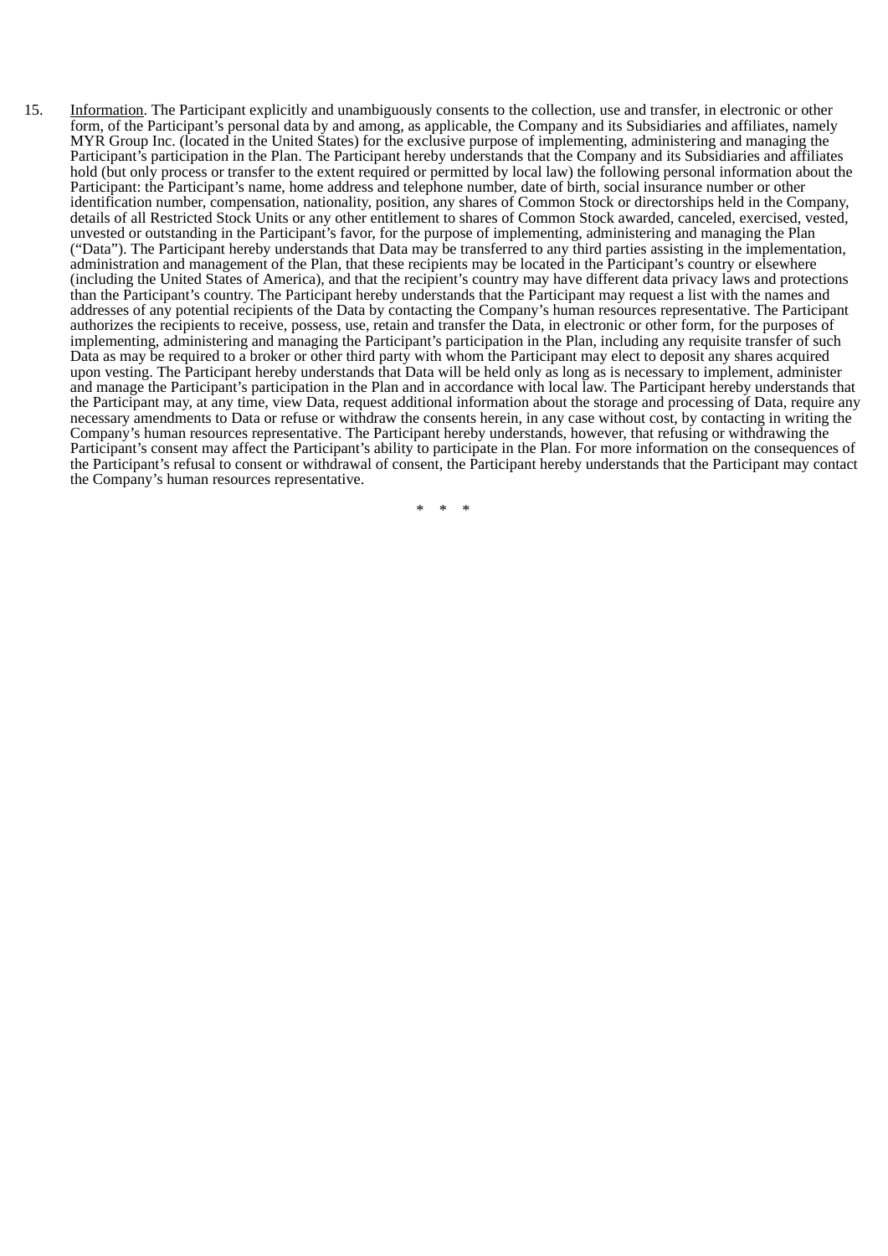15. Information. The Participant explicitly and unambiguously consents to the collection, use and transfer, in electronic or other form, of the Participant's personal data by and among, as applicable, the Company and its Subsidiaries and affiliates, namely MYR Group Inc. (located in the United States) for the exclusive purpose of implementing, administering and managing the Participant's participation in the Plan. The Participant hereby understands that the Company and its Subsidiaries and affiliates hold (but only process or transfer to the extent required or permitted by local law) the following personal information about the Participant: the Participant's name, home address and telephone number, date of birth, social insurance number or other identification number, compensation, nationality, position, any shares of Common Stock or directorships held in the Company, details of all Restricted Stock Units or any other entitlement to shares of Common Stock awarded, canceled, exercised, vested, unvested or outstanding in the Participant's favor, for the purpose of implementing, administering and managing the Plan ("Data"). The Participant hereby understands that Data may be transferred to any third parties assisting in the implementation, administration and management of the Plan, that these recipients may be located in the Participant's country or elsewhere (including the United States of America), and that the recipient's country may have different data privacy laws and protections than the Participant's country. The Participant hereby understands that the Participant may request a list with the names and addresses of any potential recipients of the Data by contacting the Company's human resources representative. The Participant authorizes the recipients to receive, possess, use, retain and transfer the Data, in electronic or other form, for the purposes of implementing, administering and managing the Participant's participation in the Plan, including any requisite transfer of such Data as may be required to a broker or other third party with whom the Participant may elect to deposit any shares acquired upon vesting. The Participant hereby understands that Data will be held only as long as is necessary to implement, administer and manage the Participant's participation in the Plan and in accordance with local law. The Participant hereby understands that the Participant may, at any time, view Data, request additional information about the storage and processing of Data, require any necessary amendments to Data or refuse or withdraw the consents herein, in any case without cost, by contacting in writing the Company's human resources representative. The Participant hereby understands, however, that refusing or withdrawing the Participant's consent may affect the Participant's ability to participate in the Plan. For more information on the consequences of the Participant's refusal to consent or withdrawal of consent, the Participant hereby understands that the Participant may contact the Company's human resources representative.

\* \* \*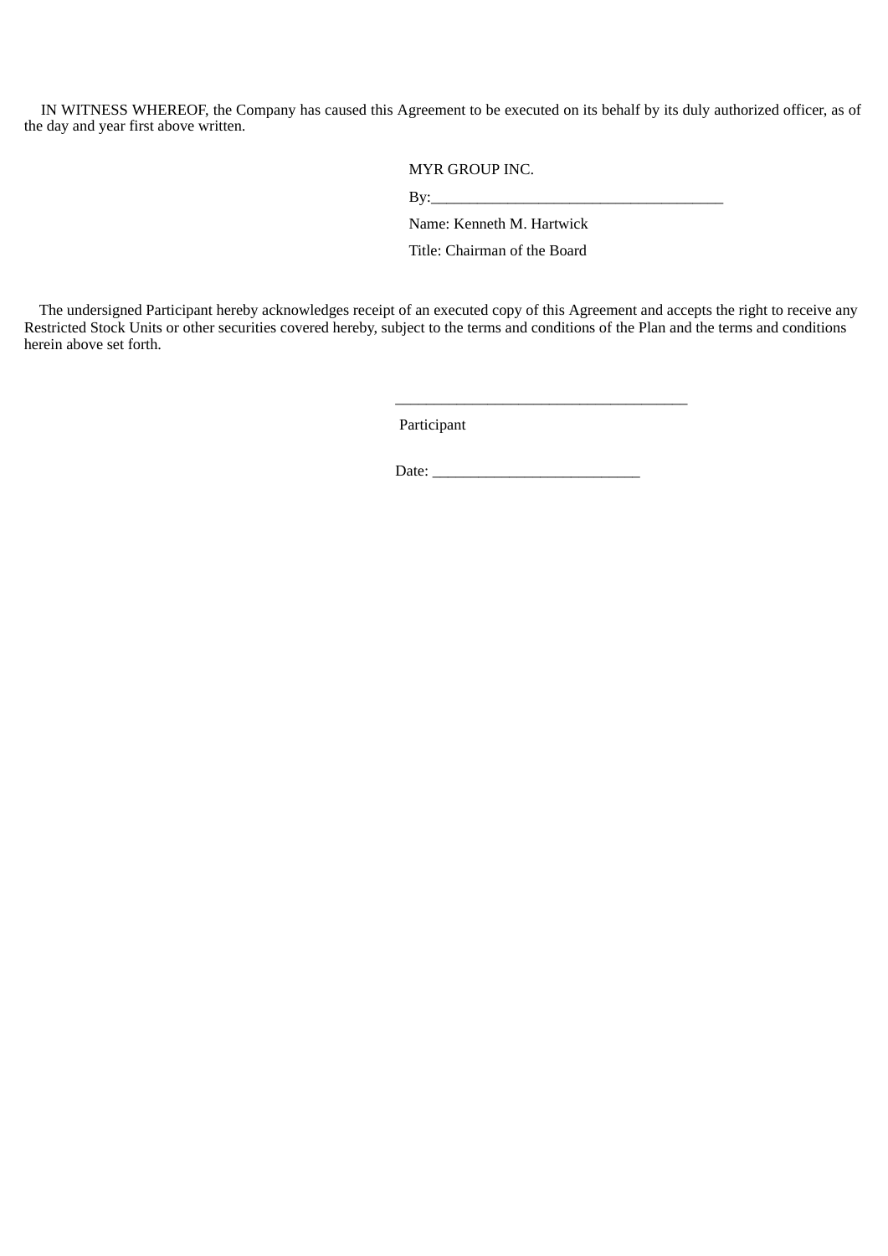IN WITNESS WHEREOF, the Company has caused this Agreement to be executed on its behalf by its duly authorized officer, as of the day and year first above written.

MYR GROUP INC.

By:\_\_\_\_\_\_\_\_\_\_\_\_\_\_\_\_\_\_\_\_\_\_\_\_\_\_\_\_\_\_\_\_\_\_\_\_\_\_

Name: Kenneth M. Hartwick

Title: Chairman of the Board

 The undersigned Participant hereby acknowledges receipt of an executed copy of this Agreement and accepts the right to receive any Restricted Stock Units or other securities covered hereby, subject to the terms and conditions of the Plan and the terms and conditions herein above set forth.

Participant

Date: \_\_\_\_\_\_\_\_\_\_\_\_\_\_\_\_\_\_\_\_\_\_\_\_\_\_\_

\_\_\_\_\_\_\_\_\_\_\_\_\_\_\_\_\_\_\_\_\_\_\_\_\_\_\_\_\_\_\_\_\_\_\_\_\_\_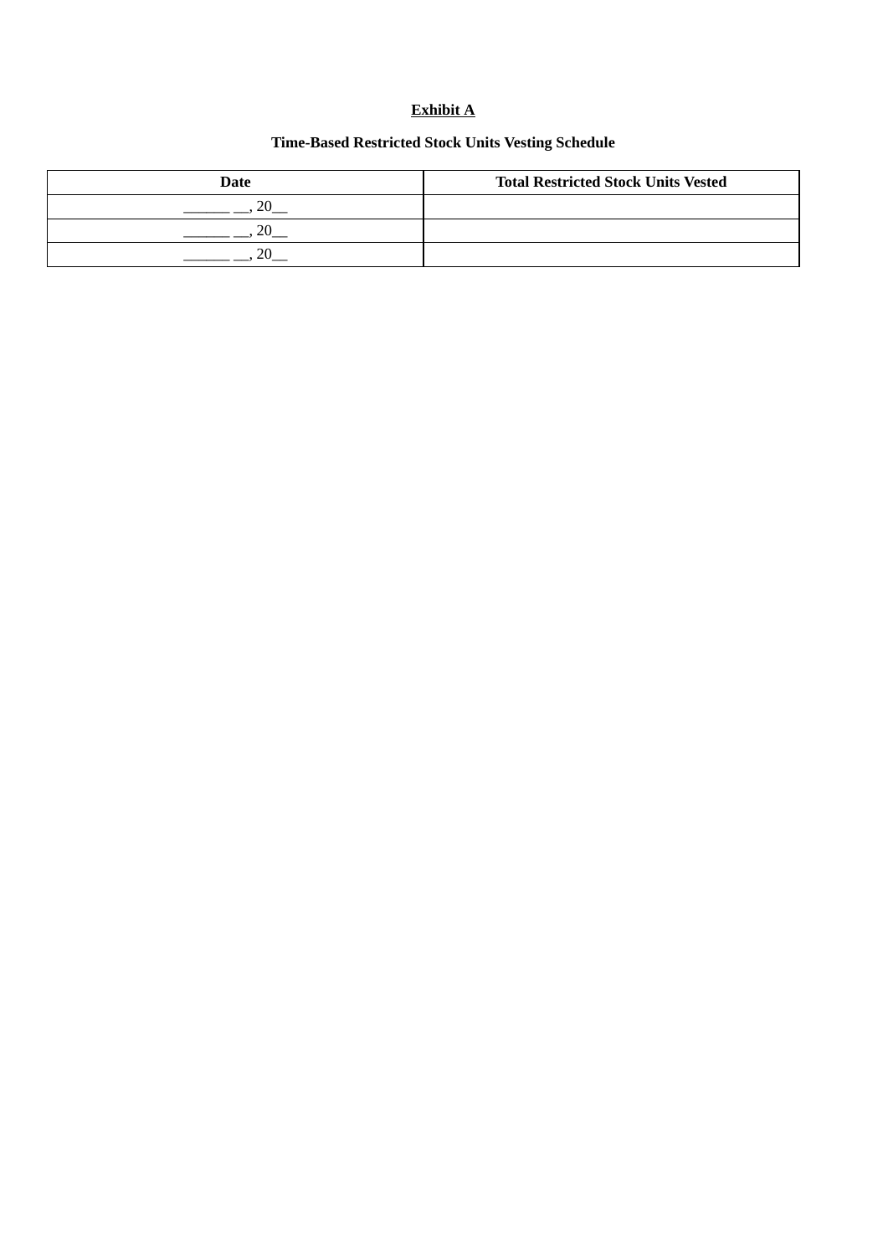# **Exhibit A**

# **Time-Based Restricted Stock Units Vesting Schedule**

| <b>Date</b> | <b>Total Restricted Stock Units Vested</b> |
|-------------|--------------------------------------------|
| n           |                                            |
| n,          |                                            |
| n,          |                                            |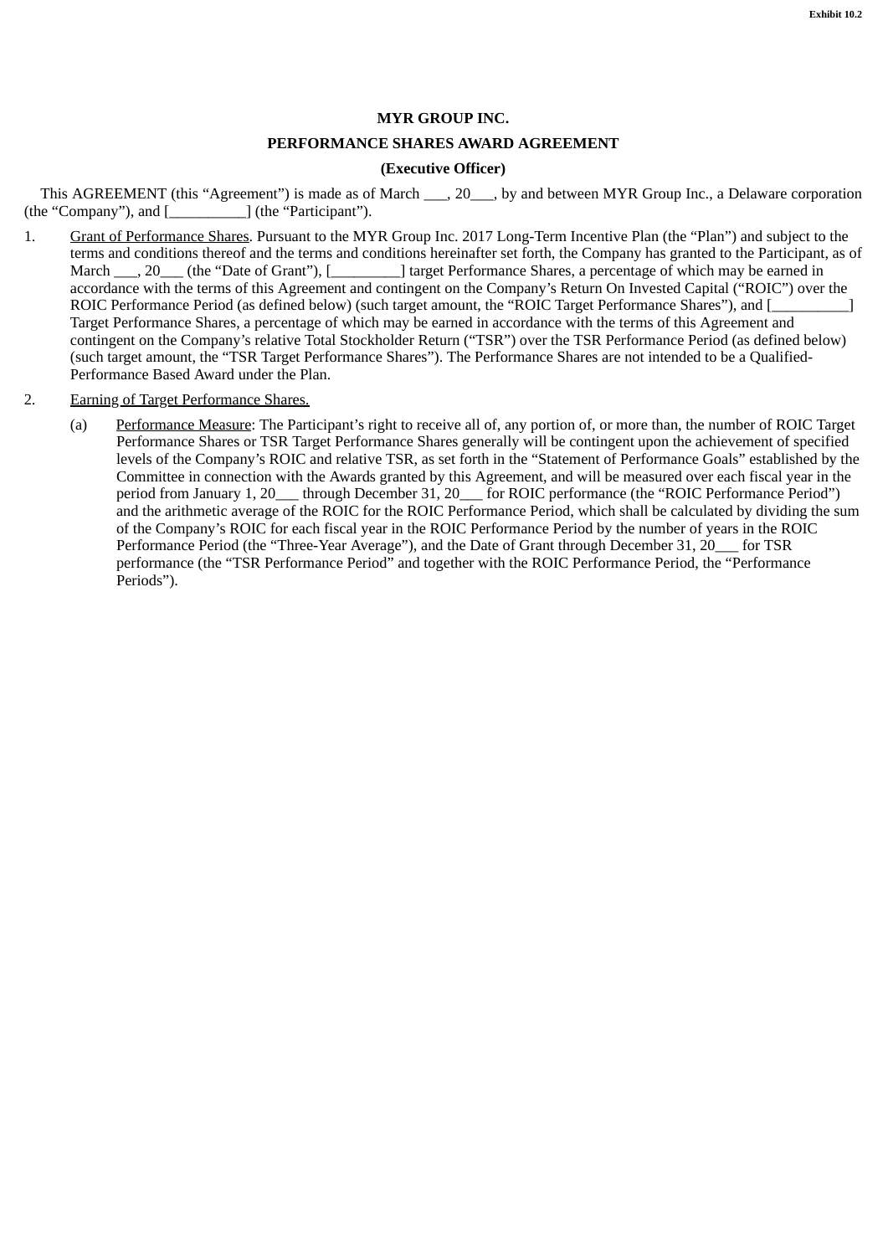## **PERFORMANCE SHARES AWARD AGREEMENT**

## **(Executive Officer)**

<span id="page-45-0"></span>This AGREEMENT (this "Agreement") is made as of March \_\_\_, 20\_\_\_, by and between MYR Group Inc., a Delaware corporation (the "Company"), and [\_\_\_\_\_\_\_\_\_\_] (the "Participant").

- 1. Grant of Performance Shares. Pursuant to the MYR Group Inc. 2017 Long-Term Incentive Plan (the "Plan") and subject to the terms and conditions thereof and the terms and conditions hereinafter set forth, the Company has granted to the Participant, as of March  $\,$ , 20  $\,$  (the "Date of Grant"), [  $\,$  ] target Performance Shares, a percentage of which may be earned in accordance with the terms of this Agreement and contingent on the Company's Return On Invested Capital ("ROIC") over the ROIC Performance Period (as defined below) (such target amount, the "ROIC Target Performance Shares"), and [\_\_\_\_\_\_\_\_\_\_] Target Performance Shares, a percentage of which may be earned in accordance with the terms of this Agreement and contingent on the Company's relative Total Stockholder Return ("TSR") over the TSR Performance Period (as defined below) (such target amount, the "TSR Target Performance Shares"). The Performance Shares are not intended to be a Qualified-Performance Based Award under the Plan.
- 2. Earning of Target Performance Shares.
	- (a) Performance Measure: The Participant's right to receive all of, any portion of, or more than, the number of ROIC Target Performance Shares or TSR Target Performance Shares generally will be contingent upon the achievement of specified levels of the Company's ROIC and relative TSR, as set forth in the "Statement of Performance Goals" established by the Committee in connection with the Awards granted by this Agreement, and will be measured over each fiscal year in the period from January 1, 20\_\_\_ through December 31, 20\_\_\_ for ROIC performance (the "ROIC Performance Period") and the arithmetic average of the ROIC for the ROIC Performance Period, which shall be calculated by dividing the sum of the Company's ROIC for each fiscal year in the ROIC Performance Period by the number of years in the ROIC Performance Period (the "Three-Year Average"), and the Date of Grant through December 31, 20\_\_\_ for TSR performance (the "TSR Performance Period" and together with the ROIC Performance Period, the "Performance Periods").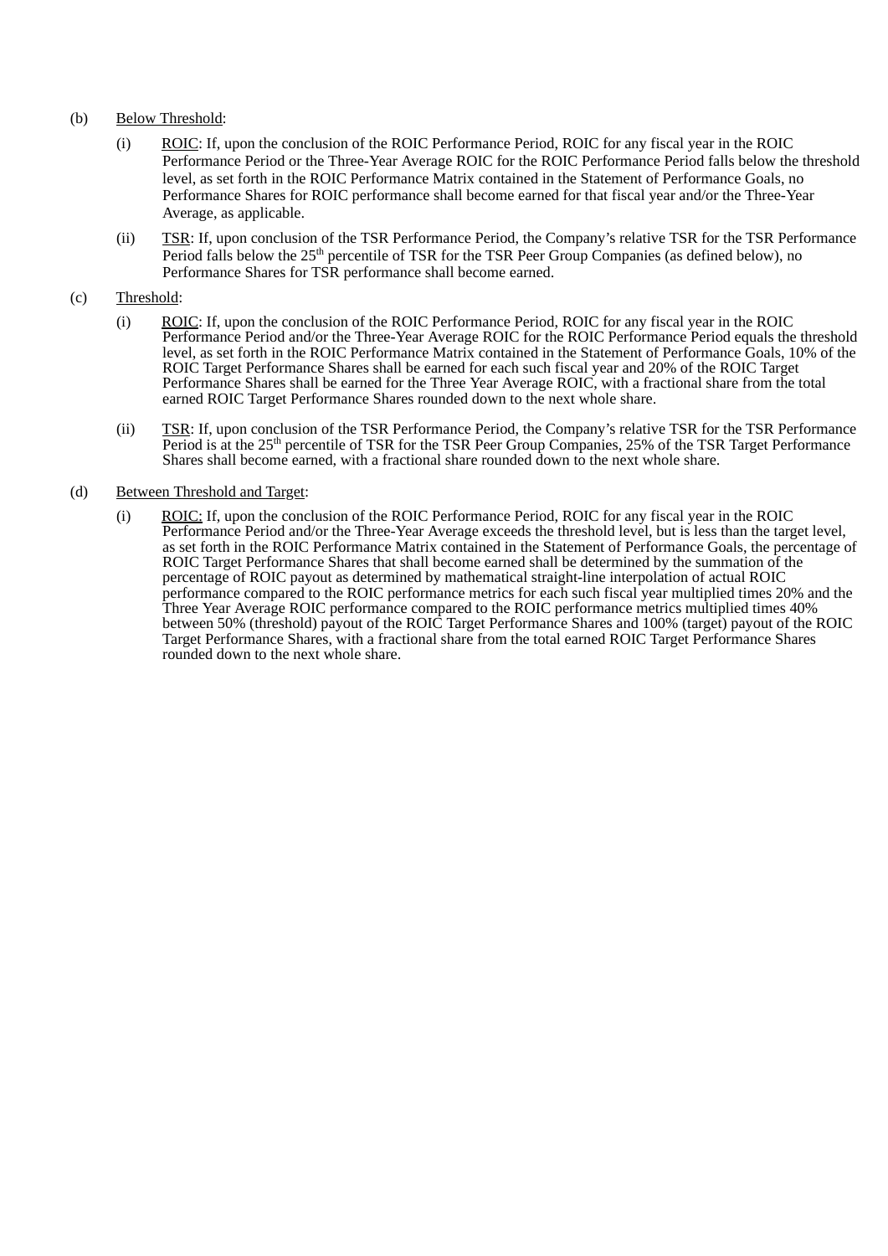## (b) Below Threshold:

- (i) ROIC: If, upon the conclusion of the ROIC Performance Period, ROIC for any fiscal year in the ROIC Performance Period or the Three-Year Average ROIC for the ROIC Performance Period falls below the threshold level, as set forth in the ROIC Performance Matrix contained in the Statement of Performance Goals, no Performance Shares for ROIC performance shall become earned for that fiscal year and/or the Three-Year Average, as applicable.
- (ii) TSR: If, upon conclusion of the TSR Performance Period, the Company's relative TSR for the TSR Performance Period falls below the 25<sup>th</sup> percentile of TSR for the TSR Peer Group Companies (as defined below), no Performance Shares for TSR performance shall become earned.

# (c) Threshold:

- (i) ROIC: If, upon the conclusion of the ROIC Performance Period, ROIC for any fiscal year in the ROIC Performance Period and/or the Three-Year Average ROIC for the ROIC Performance Period equals the threshold level, as set forth in the ROIC Performance Matrix contained in the Statement of Performance Goals, 10% of the ROIC Target Performance Shares shall be earned for each such fiscal year and 20% of the ROIC Target Performance Shares shall be earned for the Three Year Average ROIC, with a fractional share from the total earned ROIC Target Performance Shares rounded down to the next whole share.
- (ii) TSR: If, upon conclusion of the TSR Performance Period, the Company's relative TSR for the TSR Performance Period is at the  $25<sup>th</sup>$  percentile of TSR for the TSR Peer Group Companies, 25% of the TSR Target Performance Shares shall become earned, with a fractional share rounded down to the next whole share.

# (d) Between Threshold and Target:

(i) ROIC: If, upon the conclusion of the ROIC Performance Period, ROIC for any fiscal year in the ROIC Performance Period and/or the Three-Year Average exceeds the threshold level, but is less than the target level, as set forth in the ROIC Performance Matrix contained in the Statement of Performance Goals, the percentage of ROIC Target Performance Shares that shall become earned shall be determined by the summation of the percentage of ROIC payout as determined by mathematical straight-line interpolation of actual ROIC performance compared to the ROIC performance metrics for each such fiscal year multiplied times 20% and the Three Year Average ROIC performance compared to the ROIC performance metrics multiplied times 40% between 50% (threshold) payout of the ROIC Target Performance Shares and 100% (target) payout of the ROIC Target Performance Shares, with a fractional share from the total earned ROIC Target Performance Shares rounded down to the next whole share.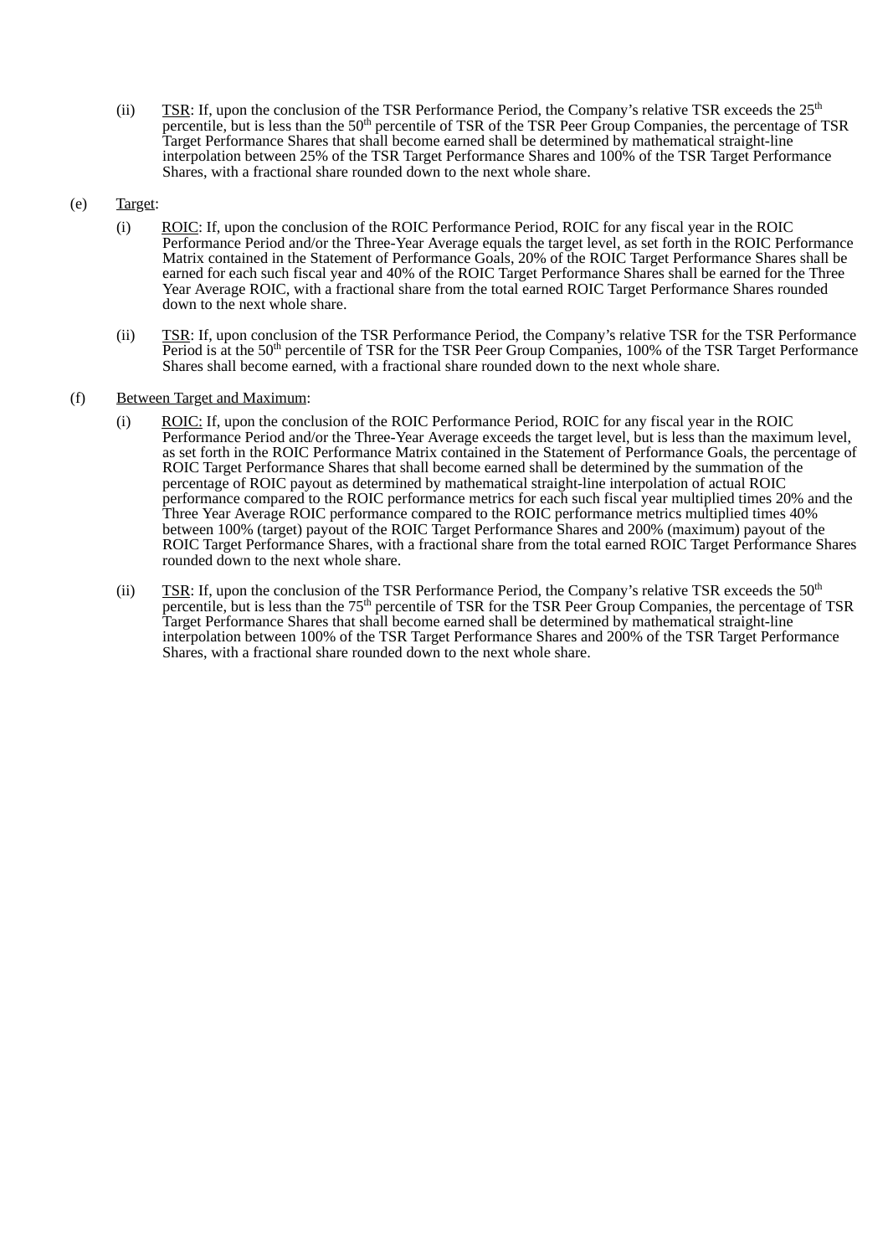(ii) TSR: If, upon the conclusion of the TSR Performance Period, the Company's relative TSR exceeds the  $25<sup>th</sup>$ percentile, but is less than the  $50<sup>th</sup>$  percentile of TSR of the TSR Peer Group Companies, the percentage of TSR Target Performance Shares that shall become earned shall be determined by mathematical straight-line interpolation between 25% of the TSR Target Performance Shares and 100% of the TSR Target Performance Shares, with a fractional share rounded down to the next whole share.

## (e) Target:

- (i) ROIC: If, upon the conclusion of the ROIC Performance Period, ROIC for any fiscal year in the ROIC Performance Period and/or the Three-Year Average equals the target level, as set forth in the ROIC Performance Matrix contained in the Statement of Performance Goals, 20% of the ROIC Target Performance Shares shall be earned for each such fiscal year and 40% of the ROIC Target Performance Shares shall be earned for the Three Year Average ROIC, with a fractional share from the total earned ROIC Target Performance Shares rounded down to the next whole share.
- (ii) TSR: If, upon conclusion of the TSR Performance Period, the Company's relative TSR for the TSR Performance Period is at the 50<sup>th</sup> percentile of TSR for the TSR Peer Group Companies, 100% of the TSR Target Performance Shares shall become earned, with a fractional share rounded down to the next whole share.
- (f) Between Target and Maximum:
	- (i) ROIC: If, upon the conclusion of the ROIC Performance Period, ROIC for any fiscal year in the ROIC Performance Period and/or the Three-Year Average exceeds the target level, but is less than the maximum level, as set forth in the ROIC Performance Matrix contained in the Statement of Performance Goals, the percentage of ROIC Target Performance Shares that shall become earned shall be determined by the summation of the percentage of ROIC payout as determined by mathematical straight-line interpolation of actual ROIC performance compared to the ROIC performance metrics for each such fiscal year multiplied times 20% and the Three Year Average ROIC performance compared to the ROIC performance metrics multiplied times 40% between 100% (target) payout of the ROIC Target Performance Shares and 200% (maximum) payout of the ROIC Target Performance Shares, with a fractional share from the total earned ROIC Target Performance Shares rounded down to the next whole share.
	- (ii) TSR: If, upon the conclusion of the TSR Performance Period, the Company's relative TSR exceeds the  $50<sup>th</sup>$ percentile, but is less than the 75<sup>th</sup> percentile of TSR for the TSR Peer Group Companies, the percentage of TSR Target Performance Shares that shall become earned shall be determined by mathematical straight-line interpolation between 100% of the TSR Target Performance Shares and 200% of the TSR Target Performance Shares, with a fractional share rounded down to the next whole share.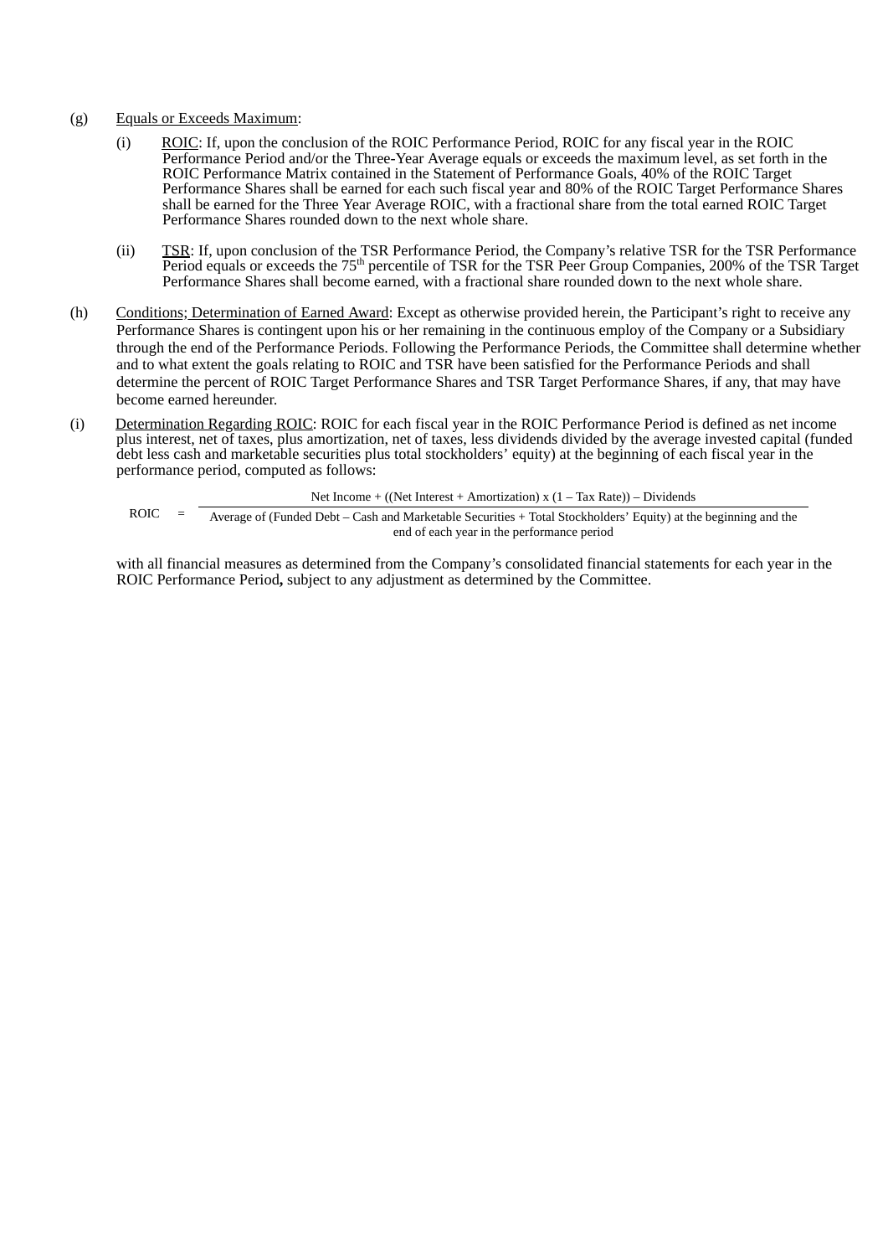### (g) Equals or Exceeds Maximum:

- (i) ROIC: If, upon the conclusion of the ROIC Performance Period, ROIC for any fiscal year in the ROIC Performance Period and/or the Three-Year Average equals or exceeds the maximum level, as set forth in the ROIC Performance Matrix contained in the Statement of Performance Goals, 40% of the ROIC Target Performance Shares shall be earned for each such fiscal year and 80% of the ROIC Target Performance Shares shall be earned for the Three Year Average ROIC, with a fractional share from the total earned ROIC Target Performance Shares rounded down to the next whole share.
- (ii) TSR: If, upon conclusion of the TSR Performance Period, the Company's relative TSR for the TSR Performance Period equals or exceeds the 75<sup>th</sup> percentile of TSR for the TSR Peer Group Companies, 200% of the TSR Target Performance Shares shall become earned, with a fractional share rounded down to the next whole share.
- (h) Conditions; Determination of Earned Award: Except as otherwise provided herein, the Participant's right to receive any Performance Shares is contingent upon his or her remaining in the continuous employ of the Company or a Subsidiary through the end of the Performance Periods. Following the Performance Periods, the Committee shall determine whether and to what extent the goals relating to ROIC and TSR have been satisfied for the Performance Periods and shall determine the percent of ROIC Target Performance Shares and TSR Target Performance Shares, if any, that may have become earned hereunder.
- (i) Determination Regarding ROIC: ROIC for each fiscal year in the ROIC Performance Period is defined as net income plus interest, net of taxes, plus amortization, net of taxes, less dividends divided by the average invested capital (funded debt less cash and marketable securities plus total stockholders' equity) at the beginning of each fiscal year in the performance period, computed as follows:

Net Income + ((Net Interest + Amortization)  $x(1 - Tax Rate)$ ) – Dividends

 $ROIC =$ Average of (Funded Debt – Cash and Marketable Securities + Total Stockholders' Equity) at the beginning and the end of each year in the performance period

with all financial measures as determined from the Company's consolidated financial statements for each year in the ROIC Performance Period**,** subject to any adjustment as determined by the Committee.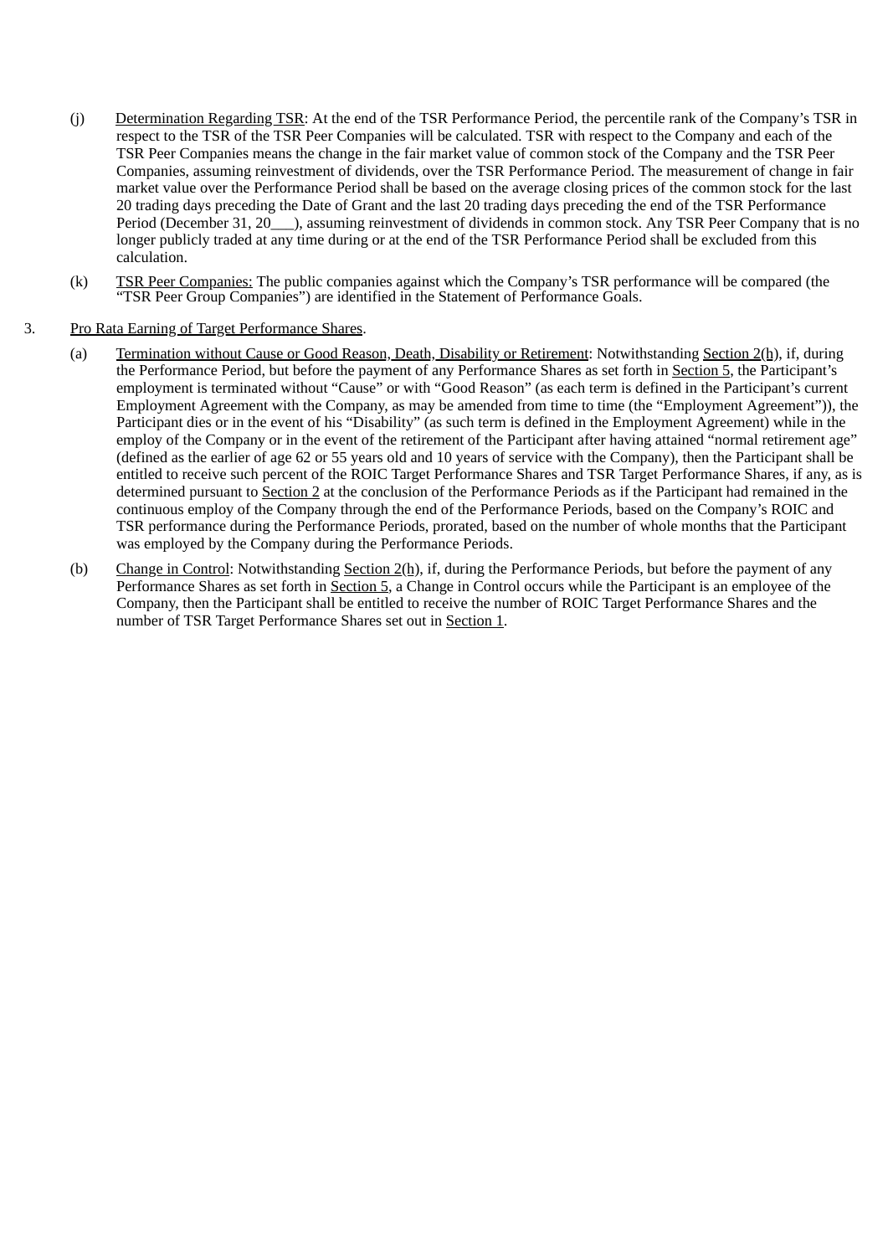- (j) Determination Regarding TSR: At the end of the TSR Performance Period, the percentile rank of the Company's TSR in respect to the TSR of the TSR Peer Companies will be calculated. TSR with respect to the Company and each of the TSR Peer Companies means the change in the fair market value of common stock of the Company and the TSR Peer Companies, assuming reinvestment of dividends, over the TSR Performance Period. The measurement of change in fair market value over the Performance Period shall be based on the average closing prices of the common stock for the last 20 trading days preceding the Date of Grant and the last 20 trading days preceding the end of the TSR Performance Period (December 31, 20\_\_\_), assuming reinvestment of dividends in common stock. Any TSR Peer Company that is no longer publicly traded at any time during or at the end of the TSR Performance Period shall be excluded from this calculation.
- (k) TSR Peer Companies: The public companies against which the Company's TSR performance will be compared (the "TSR Peer Group Companies") are identified in the Statement of Performance Goals.
- 3. Pro Rata Earning of Target Performance Shares.
	- (a) Termination without Cause or Good Reason, Death, Disability or Retirement: Notwithstanding Section 2(h), if, during the Performance Period, but before the payment of any Performance Shares as set forth in Section 5, the Participant's employment is terminated without "Cause" or with "Good Reason" (as each term is defined in the Participant's current Employment Agreement with the Company, as may be amended from time to time (the "Employment Agreement")), the Participant dies or in the event of his "Disability" (as such term is defined in the Employment Agreement) while in the employ of the Company or in the event of the retirement of the Participant after having attained "normal retirement age" (defined as the earlier of age 62 or 55 years old and 10 years of service with the Company), then the Participant shall be entitled to receive such percent of the ROIC Target Performance Shares and TSR Target Performance Shares, if any, as is determined pursuant to Section 2 at the conclusion of the Performance Periods as if the Participant had remained in the continuous employ of the Company through the end of the Performance Periods, based on the Company's ROIC and TSR performance during the Performance Periods, prorated, based on the number of whole months that the Participant was employed by the Company during the Performance Periods.
	- (b) Change in Control: Notwithstanding Section 2(h), if, during the Performance Periods, but before the payment of any Performance Shares as set forth in Section 5, a Change in Control occurs while the Participant is an employee of the Company, then the Participant shall be entitled to receive the number of ROIC Target Performance Shares and the number of TSR Target Performance Shares set out in Section 1.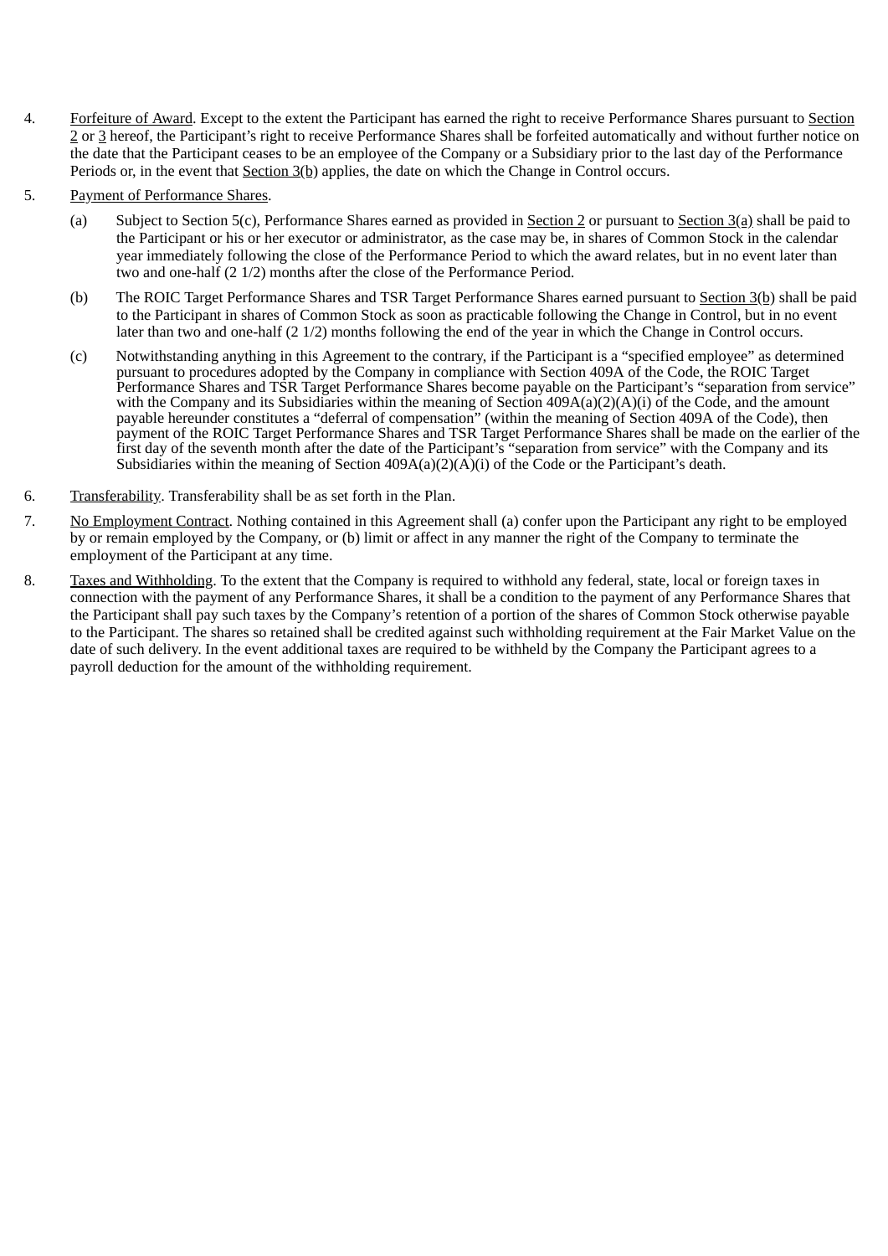- 4. Forfeiture of Award. Except to the extent the Participant has earned the right to receive Performance Shares pursuant to Section 2 or 3 hereof, the Participant's right to receive Performance Shares shall be forfeited automatically and without further notice on the date that the Participant ceases to be an employee of the Company or a Subsidiary prior to the last day of the Performance Periods or, in the event that Section 3(b) applies, the date on which the Change in Control occurs.
- 5. Payment of Performance Shares.
	- (a) Subject to Section 5(c), Performance Shares earned as provided in Section 2 or pursuant to Section 3(a) shall be paid to the Participant or his or her executor or administrator, as the case may be, in shares of Common Stock in the calendar year immediately following the close of the Performance Period to which the award relates, but in no event later than two and one-half (2 1/2) months after the close of the Performance Period.
	- (b) The ROIC Target Performance Shares and TSR Target Performance Shares earned pursuant to Section 3(b) shall be paid to the Participant in shares of Common Stock as soon as practicable following the Change in Control, but in no event later than two and one-half (2 1/2) months following the end of the year in which the Change in Control occurs.
	- (c) Notwithstanding anything in this Agreement to the contrary, if the Participant is a "specified employee" as determined pursuant to procedures adopted by the Company in compliance with Section 409A of the Code, the ROIC Target Performance Shares and TSR Target Performance Shares become payable on the Participant's "separation from service" with the Company and its Subsidiaries within the meaning of Section  $409A(a)(2)(A)(i)$  of the Code, and the amount payable hereunder constitutes a "deferral of compensation" (within the meaning of Section 409A of the Code), then payment of the ROIC Target Performance Shares and TSR Target Performance Shares shall be made on the earlier of the first day of the seventh month after the date of the Participant's "separation from service" with the Company and its Subsidiaries within the meaning of Section  $409A(a)(2)(A)(i)$  of the Code or the Participant's death.
- 6. Transferability. Transferability shall be as set forth in the Plan.
- 7. No Employment Contract. Nothing contained in this Agreement shall (a) confer upon the Participant any right to be employed by or remain employed by the Company, or (b) limit or affect in any manner the right of the Company to terminate the employment of the Participant at any time.
- 8. Taxes and Withholding. To the extent that the Company is required to withhold any federal, state, local or foreign taxes in connection with the payment of any Performance Shares, it shall be a condition to the payment of any Performance Shares that the Participant shall pay such taxes by the Company's retention of a portion of the shares of Common Stock otherwise payable to the Participant. The shares so retained shall be credited against such withholding requirement at the Fair Market Value on the date of such delivery. In the event additional taxes are required to be withheld by the Company the Participant agrees to a payroll deduction for the amount of the withholding requirement.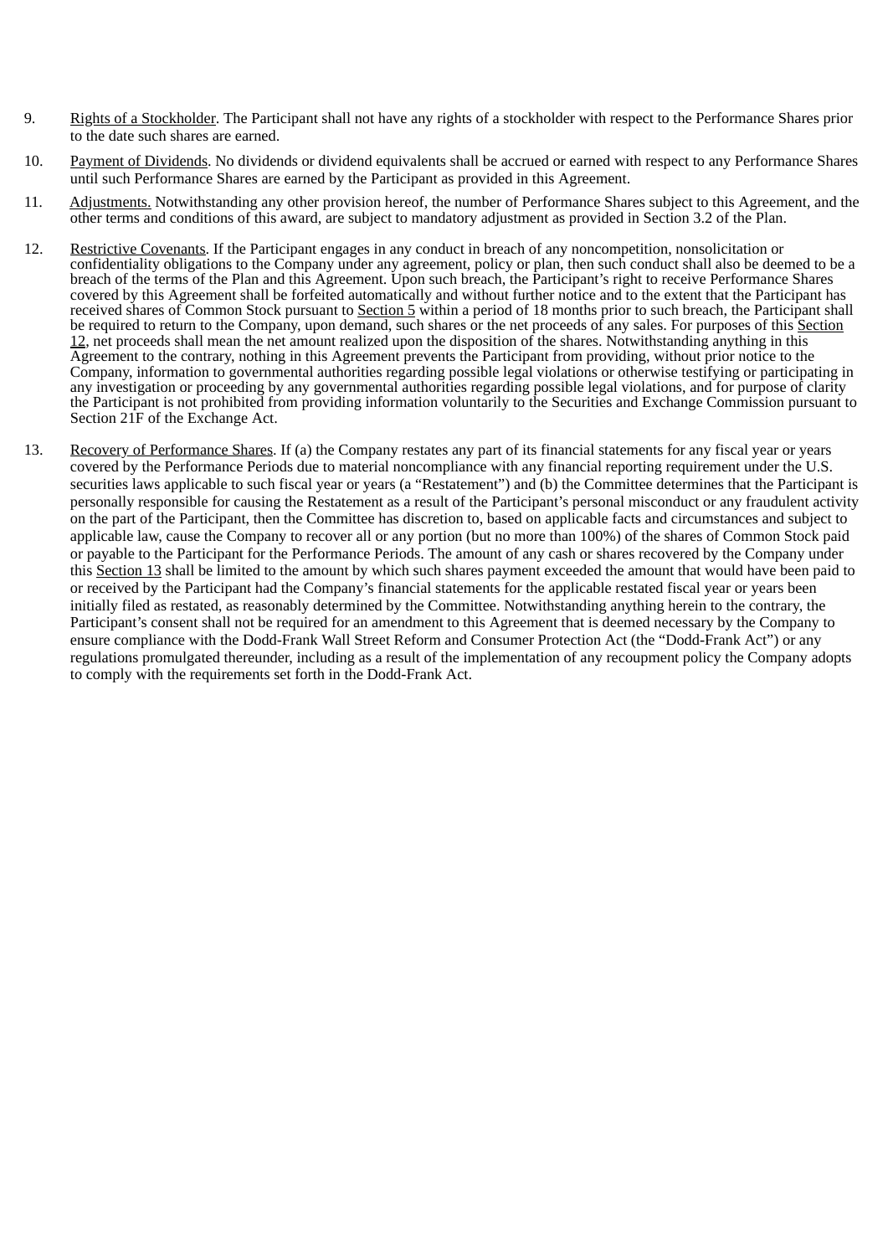- 9. Rights of a Stockholder. The Participant shall not have any rights of a stockholder with respect to the Performance Shares prior to the date such shares are earned.
- 10. Payment of Dividends. No dividends or dividend equivalents shall be accrued or earned with respect to any Performance Shares until such Performance Shares are earned by the Participant as provided in this Agreement.
- 11. Adjustments. Notwithstanding any other provision hereof, the number of Performance Shares subject to this Agreement, and the other terms and conditions of this award, are subject to mandatory adjustment as provided in Section 3.2 of the Plan.
- 12. Restrictive Covenants. If the Participant engages in any conduct in breach of any noncompetition, nonsolicitation or confidentiality obligations to the Company under any agreement, policy or plan, then such conduct shall also be deemed to be a breach of the terms of the Plan and this Agreement. Upon such breach, the Participant's right to receive Performance Shares covered by this Agreement shall be forfeited automatically and without further notice and to the extent that the Participant has received shares of Common Stock pursuant to Section 5 within a period of 18 months prior to such breach, the Participant shall be required to return to the Company, upon demand, such shares or the net proceeds of any sales. For purposes of this Section 12, net proceeds shall mean the net amount realized upon the disposition of the shares. Notwithstanding anything in this Agreement to the contrary, nothing in this Agreement prevents the Participant from providing, without prior notice to the Company, information to governmental authorities regarding possible legal violations or otherwise testifying or participating in any investigation or proceeding by any governmental authorities regarding possible legal violations, and for purpose of clarity the Participant is not prohibited from providing information voluntarily to the Securities and Exchange Commission pursuant to Section 21F of the Exchange Act.
- 13. Recovery of Performance Shares. If (a) the Company restates any part of its financial statements for any fiscal year or years covered by the Performance Periods due to material noncompliance with any financial reporting requirement under the U.S. securities laws applicable to such fiscal year or years (a "Restatement") and (b) the Committee determines that the Participant is personally responsible for causing the Restatement as a result of the Participant's personal misconduct or any fraudulent activity on the part of the Participant, then the Committee has discretion to, based on applicable facts and circumstances and subject to applicable law, cause the Company to recover all or any portion (but no more than 100%) of the shares of Common Stock paid or payable to the Participant for the Performance Periods. The amount of any cash or shares recovered by the Company under this Section 13 shall be limited to the amount by which such shares payment exceeded the amount that would have been paid to or received by the Participant had the Company's financial statements for the applicable restated fiscal year or years been initially filed as restated, as reasonably determined by the Committee. Notwithstanding anything herein to the contrary, the Participant's consent shall not be required for an amendment to this Agreement that is deemed necessary by the Company to ensure compliance with the Dodd-Frank Wall Street Reform and Consumer Protection Act (the "Dodd-Frank Act") or any regulations promulgated thereunder, including as a result of the implementation of any recoupment policy the Company adopts to comply with the requirements set forth in the Dodd-Frank Act.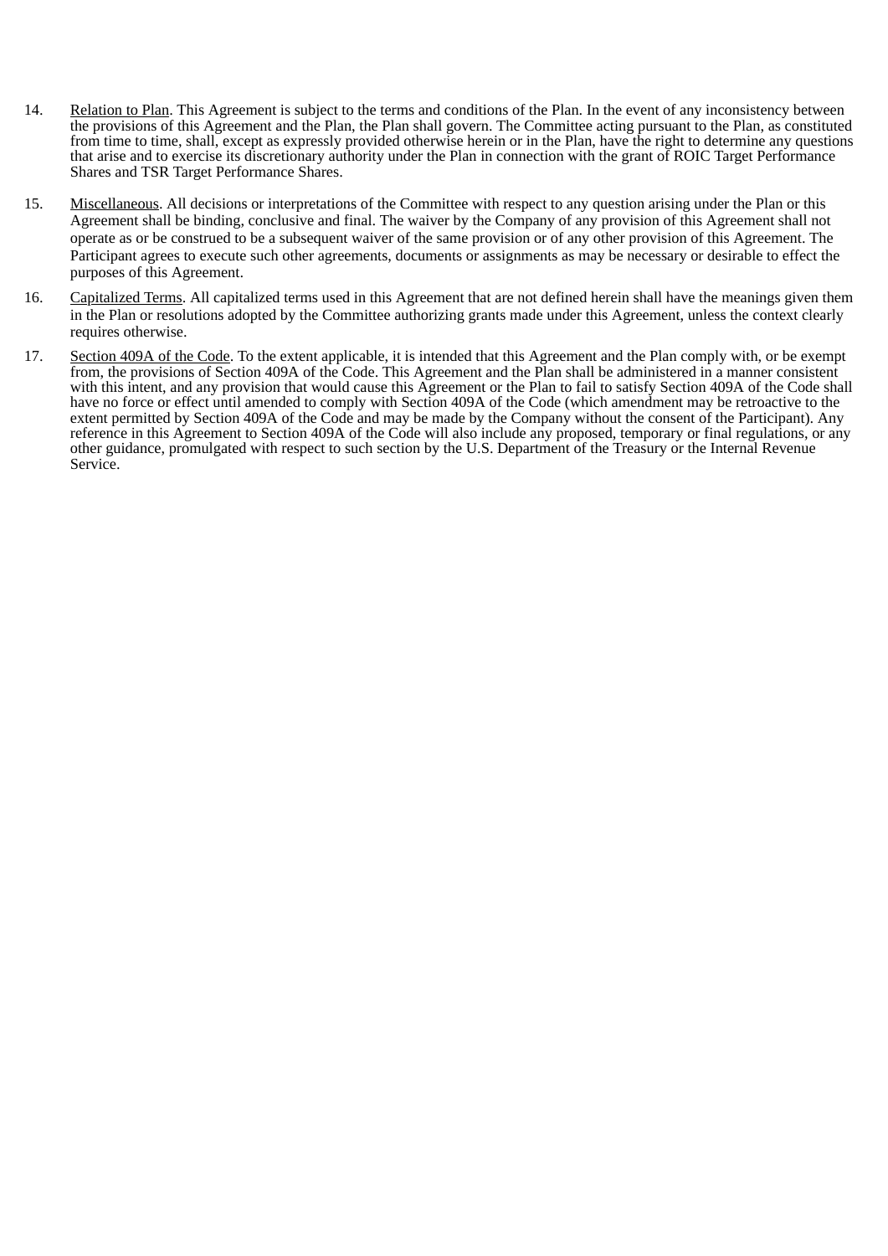- 14. Relation to Plan. This Agreement is subject to the terms and conditions of the Plan. In the event of any inconsistency between the provisions of this Agreement and the Plan, the Plan shall govern. The Committee acting pursuant to the Plan, as constituted from time to time, shall, except as expressly provided otherwise herein or in the Plan, have the right to determine any questions that arise and to exercise its discretionary authority under the Plan in connection with the grant of ROIC Target Performance Shares and TSR Target Performance Shares.
- 15. Miscellaneous. All decisions or interpretations of the Committee with respect to any question arising under the Plan or this Agreement shall be binding, conclusive and final. The waiver by the Company of any provision of this Agreement shall not operate as or be construed to be a subsequent waiver of the same provision or of any other provision of this Agreement. The Participant agrees to execute such other agreements, documents or assignments as may be necessary or desirable to effect the purposes of this Agreement.
- 16. Capitalized Terms. All capitalized terms used in this Agreement that are not defined herein shall have the meanings given them in the Plan or resolutions adopted by the Committee authorizing grants made under this Agreement, unless the context clearly requires otherwise.
- 17. Section 409A of the Code. To the extent applicable, it is intended that this Agreement and the Plan comply with, or be exempt from, the provisions of Section 409A of the Code. This Agreement and the Plan shall be administered in a manner consistent with this intent, and any provision that would cause this Agreement or the Plan to fail to satisfy Section 409A of the Code shall have no force or effect until amended to comply with Section 409A of the Code (which amendment may be retroactive to the extent permitted by Section 409A of the Code and may be made by the Company without the consent of the Participant). Any reference in this Agreement to Section 409A of the Code will also include any proposed, temporary or final regulations, or any other guidance, promulgated with respect to such section by the U.S. Department of the Treasury or the Internal Revenue Service.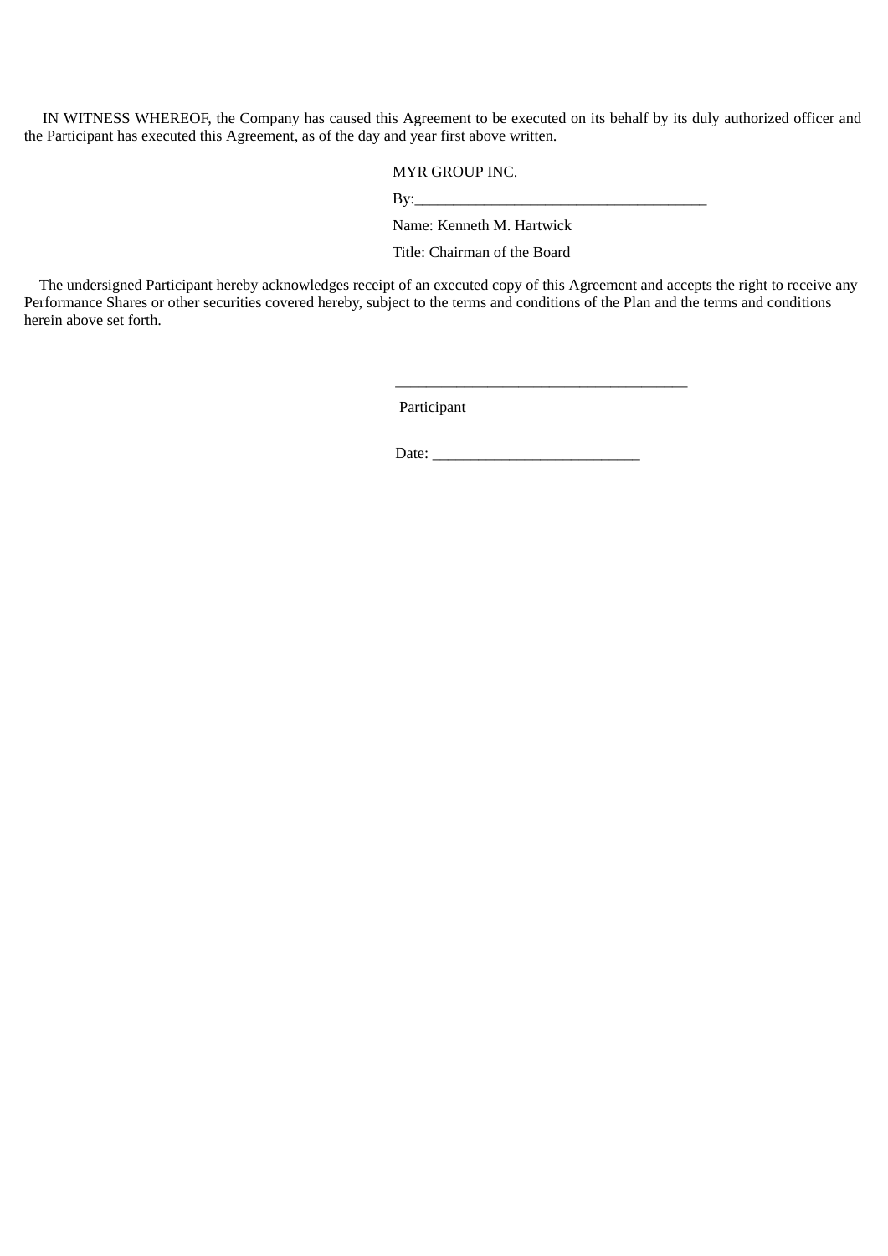IN WITNESS WHEREOF, the Company has caused this Agreement to be executed on its behalf by its duly authorized officer and the Participant has executed this Agreement, as of the day and year first above written.

MYR GROUP INC.

 $\text{By:}\qquad \qquad$ 

Name: Kenneth M. Hartwick

Title: Chairman of the Board

 The undersigned Participant hereby acknowledges receipt of an executed copy of this Agreement and accepts the right to receive any Performance Shares or other securities covered hereby, subject to the terms and conditions of the Plan and the terms and conditions herein above set forth.

Participant

Date: \_\_\_\_\_\_\_\_\_\_\_\_\_\_\_\_\_\_\_\_\_\_\_\_\_\_\_

\_\_\_\_\_\_\_\_\_\_\_\_\_\_\_\_\_\_\_\_\_\_\_\_\_\_\_\_\_\_\_\_\_\_\_\_\_\_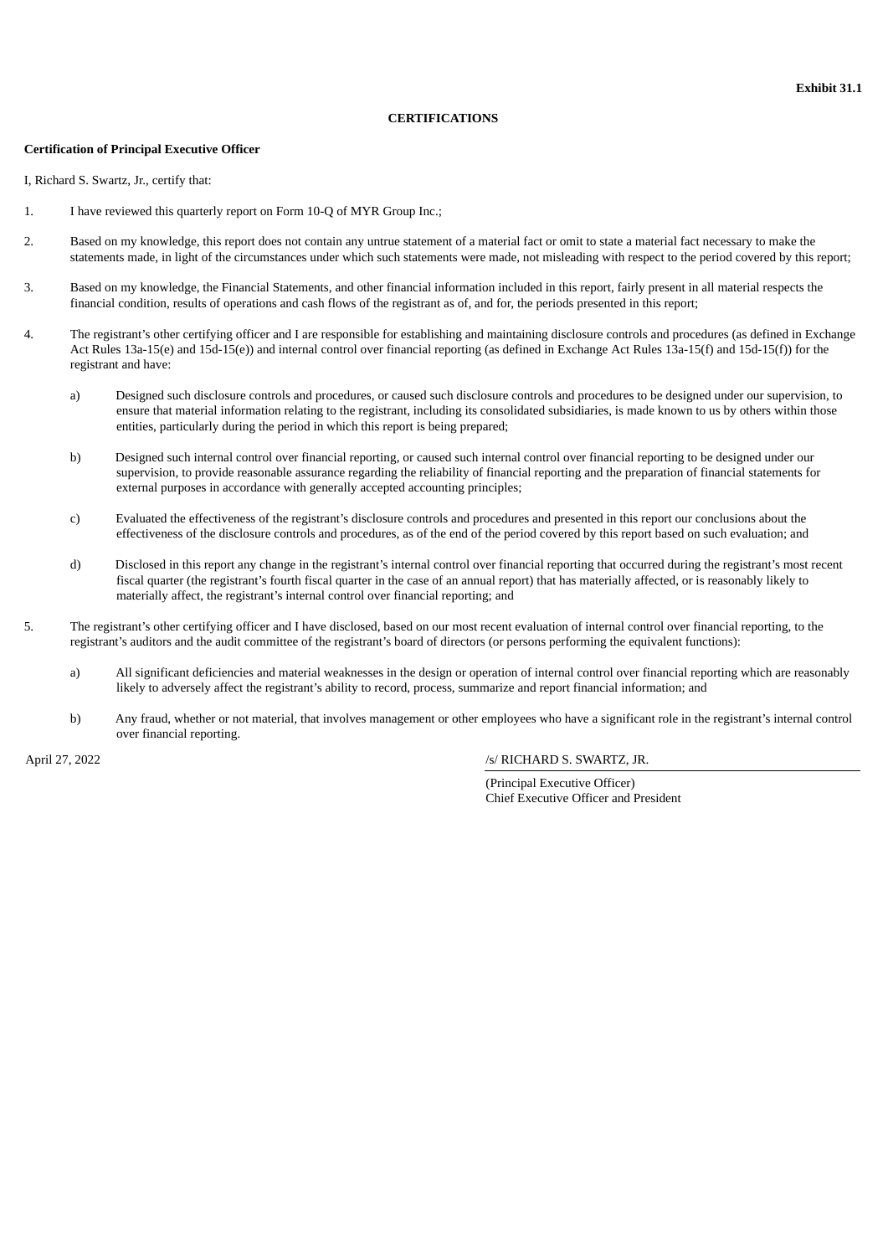### **CERTIFICATIONS**

### <span id="page-54-0"></span>**Certification of Principal Executive Officer**

I, Richard S. Swartz, Jr., certify that:

- 1. I have reviewed this quarterly report on Form 10-Q of MYR Group Inc.;
- 2. Based on my knowledge, this report does not contain any untrue statement of a material fact or omit to state a material fact necessary to make the statements made, in light of the circumstances under which such statements were made, not misleading with respect to the period covered by this report;
- 3. Based on my knowledge, the Financial Statements, and other financial information included in this report, fairly present in all material respects the financial condition, results of operations and cash flows of the registrant as of, and for, the periods presented in this report;
- 4. The registrant's other certifying officer and I are responsible for establishing and maintaining disclosure controls and procedures (as defined in Exchange Act Rules 13a-15(e) and 15d-15(e)) and internal control over financial reporting (as defined in Exchange Act Rules 13a-15(f) and 15d-15(f)) for the registrant and have:
	- a) Designed such disclosure controls and procedures, or caused such disclosure controls and procedures to be designed under our supervision, to ensure that material information relating to the registrant, including its consolidated subsidiaries, is made known to us by others within those entities, particularly during the period in which this report is being prepared;
	- b) Designed such internal control over financial reporting, or caused such internal control over financial reporting to be designed under our supervision, to provide reasonable assurance regarding the reliability of financial reporting and the preparation of financial statements for external purposes in accordance with generally accepted accounting principles;
	- c) Evaluated the effectiveness of the registrant's disclosure controls and procedures and presented in this report our conclusions about the effectiveness of the disclosure controls and procedures, as of the end of the period covered by this report based on such evaluation; and
	- d) Disclosed in this report any change in the registrant's internal control over financial reporting that occurred during the registrant's most recent fiscal quarter (the registrant's fourth fiscal quarter in the case of an annual report) that has materially affected, or is reasonably likely to materially affect, the registrant's internal control over financial reporting; and
- 5. The registrant's other certifying officer and I have disclosed, based on our most recent evaluation of internal control over financial reporting, to the registrant's auditors and the audit committee of the registrant's board of directors (or persons performing the equivalent functions):
	- a) All significant deficiencies and material weaknesses in the design or operation of internal control over financial reporting which are reasonably likely to adversely affect the registrant's ability to record, process, summarize and report financial information; and
	- b) Any fraud, whether or not material, that involves management or other employees who have a significant role in the registrant's internal control over financial reporting.

April 27, 2022 /s/ RICHARD S. SWARTZ, JR.

(Principal Executive Officer) Chief Executive Officer and President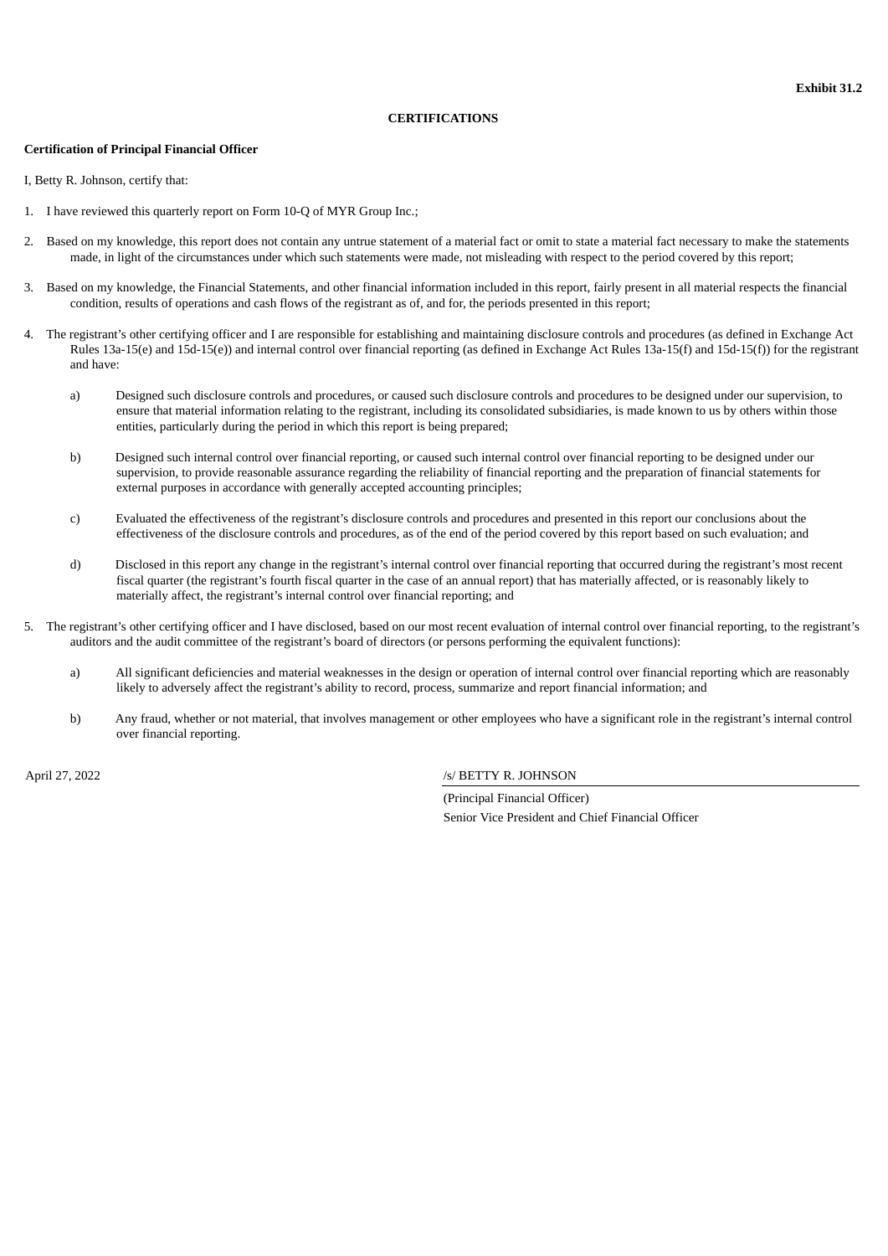### **CERTIFICATIONS**

### <span id="page-55-0"></span>**Certification of Principal Financial Officer**

I, Betty R. Johnson, certify that:

- 1. I have reviewed this quarterly report on Form 10-Q of MYR Group Inc.;
- 2. Based on my knowledge, this report does not contain any untrue statement of a material fact or omit to state a material fact necessary to make the statements made, in light of the circumstances under which such statements were made, not misleading with respect to the period covered by this report;
- 3. Based on my knowledge, the Financial Statements, and other financial information included in this report, fairly present in all material respects the financial condition, results of operations and cash flows of the registrant as of, and for, the periods presented in this report;
- 4. The registrant's other certifying officer and I are responsible for establishing and maintaining disclosure controls and procedures (as defined in Exchange Act Rules 13a-15(e) and 15d-15(e)) and internal control over financial reporting (as defined in Exchange Act Rules 13a-15(f) and 15d-15(f)) for the registrant and have:
	- a) Designed such disclosure controls and procedures, or caused such disclosure controls and procedures to be designed under our supervision, to ensure that material information relating to the registrant, including its consolidated subsidiaries, is made known to us by others within those entities, particularly during the period in which this report is being prepared;
	- b) Designed such internal control over financial reporting, or caused such internal control over financial reporting to be designed under our supervision, to provide reasonable assurance regarding the reliability of financial reporting and the preparation of financial statements for external purposes in accordance with generally accepted accounting principles;
	- c) Evaluated the effectiveness of the registrant's disclosure controls and procedures and presented in this report our conclusions about the effectiveness of the disclosure controls and procedures, as of the end of the period covered by this report based on such evaluation; and
	- d) Disclosed in this report any change in the registrant's internal control over financial reporting that occurred during the registrant's most recent fiscal quarter (the registrant's fourth fiscal quarter in the case of an annual report) that has materially affected, or is reasonably likely to materially affect, the registrant's internal control over financial reporting; and
- 5. The registrant's other certifying officer and I have disclosed, based on our most recent evaluation of internal control over financial reporting, to the registrant's auditors and the audit committee of the registrant's board of directors (or persons performing the equivalent functions):
	- a) All significant deficiencies and material weaknesses in the design or operation of internal control over financial reporting which are reasonably likely to adversely affect the registrant's ability to record, process, summarize and report financial information; and
	- b) Any fraud, whether or not material, that involves management or other employees who have a significant role in the registrant's internal control over financial reporting.

April 27, 2022 /s/ BETTY R. JOHNSON

(Principal Financial Officer) Senior Vice President and Chief Financial Officer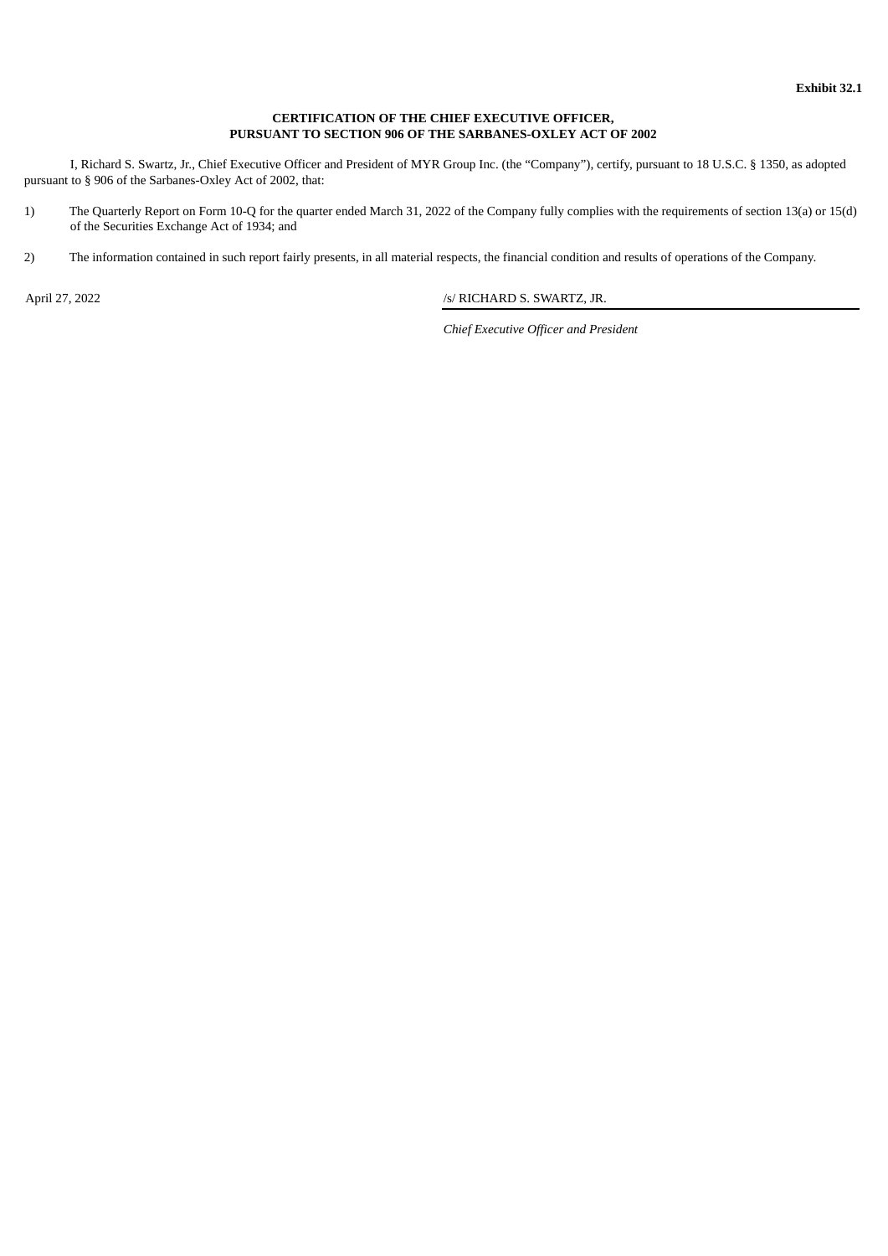### **CERTIFICATION OF THE CHIEF EXECUTIVE OFFICER, PURSUANT TO SECTION 906 OF THE SARBANES-OXLEY ACT OF 2002**

<span id="page-56-0"></span>I, Richard S. Swartz, Jr., Chief Executive Officer and President of MYR Group Inc. (the "Company"), certify, pursuant to 18 U.S.C. § 1350, as adopted pursuant to § 906 of the Sarbanes-Oxley Act of 2002, that:

- 1) The Quarterly Report on Form 10-Q for the quarter ended March 31, 2022 of the Company fully complies with the requirements of section 13(a) or 15(d) of the Securities Exchange Act of 1934; and
- 2) The information contained in such report fairly presents, in all material respects, the financial condition and results of operations of the Company.

April 27, 2022 /s/ RICHARD S. SWARTZ, JR.

*Chief Executive Officer and President*